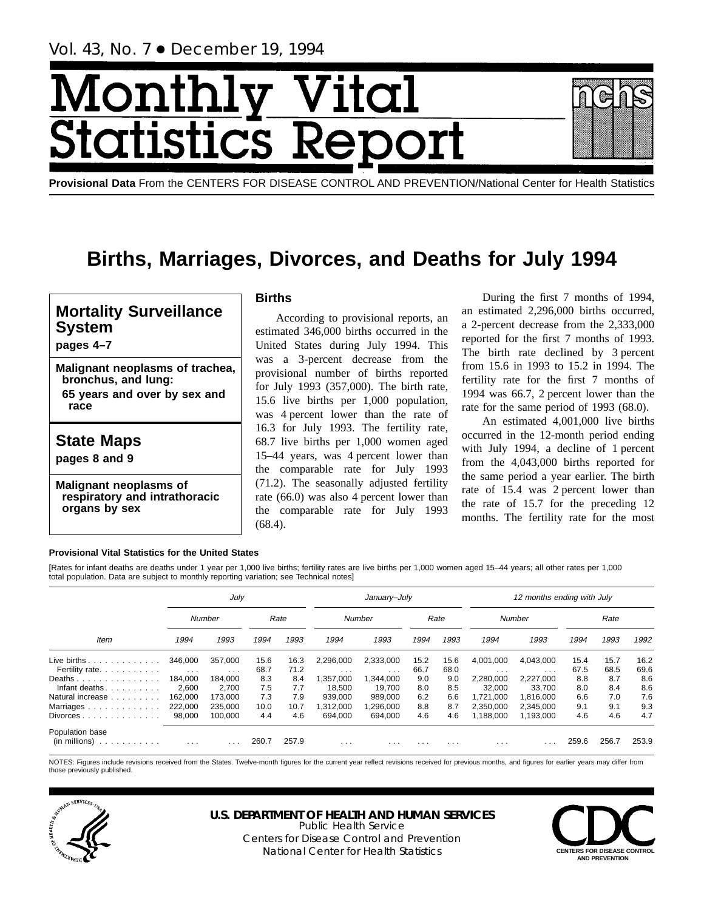# Monthl Vital tics R **itatist**



# **Births, Marriages, Divorces, and Deaths for July 1994**

# **Mortality Surveillance System**

**pages 4–7**

## **Malignant neoplasms of trachea, bronchus, and lung: 65 years and over by sex and race**

**State Maps pages 8 and 9**

**Malignant neoplasms of respiratory and intrathoracic organs by sex**

## **Births**

According to provisional reports, an estimated 346,000 births occurred in the United States during July 1994. This was a 3-percent decrease from the provisional number of births reported for July 1993 (357,000). The birth rate, 15.6 live births per 1,000 population, was 4 percent lower than the rate of 16.3 for July 1993. The fertility rate, 68.7 live births per 1,000 women aged 15–44 years, was 4 percent lower than the comparable rate for July 1993 (71.2). The seasonally adjusted fertility rate (66.0) was also 4 percent lower than the comparable rate for July 1993 (68.4).

During the first 7 months of 1994, an estimated 2,296,000 births occurred, a 2-percent decrease from the 2,333,000 reported for the first 7 months of 1993. The birth rate declined by 3 percent from 15.6 in 1993 to 15.2 in 1994. The fertility rate for the first 7 months of 1994 was 66.7, 2 percent lower than the rate for the same period of 1993 (68.0).

An estimated 4,001,000 live births occurred in the 12-month period ending with July 1994, a decline of 1 percent from the 4,043,000 births reported for the same period a year earlier. The birth rate of 15.4 was 2 percent lower than the rate of 15.7 for the preceding 12 months. The fertility rate for the most

#### **Provisional Vital Statistics for the United States**

[Rates for infant deaths are deaths under 1 year per 1,000 live births; fertility rates are live births per 1,000 women aged 15–44 years; all other rates per 1,000 total population. Data are subject to monthly reporting variation; see Technical notes]

|                                                              |                                 | July                |              |              |                                      | January-July            |              |                         |                        | 12 months ending with July           |              |              |              |
|--------------------------------------------------------------|---------------------------------|---------------------|--------------|--------------|--------------------------------------|-------------------------|--------------|-------------------------|------------------------|--------------------------------------|--------------|--------------|--------------|
|                                                              |                                 | Number              |              | Rate         |                                      | Number                  |              | Rate                    |                        | Number                               |              | Rate         |              |
| Item                                                         | 1994                            | 1993                | 1994         | 1993         | 1994                                 | 1993                    | 1994         | 1993                    | 1994                   | 1993                                 | 1994         | 1993         | 1992         |
| Live births $\ldots$<br>Fertility rate.                      | 346,000<br>$\sim$ $\sim$ $\sim$ | 357.000<br>$\cdots$ | 15.6<br>68.7 | 16.3<br>71.2 | 2,296,000<br>$\cdot$ $\cdot$ $\cdot$ | 2,333,000<br>$\cdots$   | 15.2<br>66.7 | 15.6<br>68.0            | 4,001,000<br>$\cdots$  | 4,043,000<br>$\cdot$ $\cdot$ $\cdot$ | 15.4<br>67.5 | 15.7<br>68.5 | 16.2<br>69.6 |
| Deaths<br>Infant deaths.                                     | 184.000<br>2,600                | 184.000<br>2,700    | 8.3<br>7.5   | 8.4<br>7.7   | .357.000<br>18,500                   | 1,344,000<br>19,700     | 9.0<br>8.0   | 9.0<br>8.5              | 2,280,000<br>32,000    | 2,227,000<br>33,700                  | 8.8<br>8.0   | 8.7<br>8.4   | 8.6<br>8.6   |
| Natural increase<br>Marriages                                | 162.000<br>222,000              | 173.000<br>235,000  | 7.3<br>10.0  | 7.9<br>10.7  | 939.000<br>1.312.000                 | 989.000<br>,296,000     | 6.2<br>8.8   | 6.6<br>8.7              | 1.721.000<br>2,350,000 | 1.816.000<br>2.345.000               | 6.6<br>9.1   | 7.0<br>9.1   | 7.6<br>9.3   |
| $Divorces \dots \dots \dots \dots \dots$                     | 98,000                          | 100.000             | 4.4          | 4.6          | 694.000                              | 694,000                 | 4.6          | 4.6                     | 1,188,000              | 1,193,000                            | 4.6          | 4.6          | 4.7          |
| Population base<br>$(in \text{ millions}) \dots \dots \dots$ | $\cdots$                        |                     | 260.7        | 257.9        | $\cdots$                             | $\cdot$ $\cdot$ $\cdot$ | $\cdots$     | $\cdot$ $\cdot$ $\cdot$ | $\cdots$               |                                      | 259.6        | 256.7        | 253.9        |

NOTES: Figures include revisions received from the States. Twelve-month figures for the current year reflect revisions received for previous months, and figures for earlier years may differ from those previously published.



# **U.S. DEPARTMENT OF HEALTH AND HUMAN SERVICES**

Public Health Service Centers for Disease Control and Prevention National Center for Health Statistics **CENTERS FOR DISEASE CONTROL** 

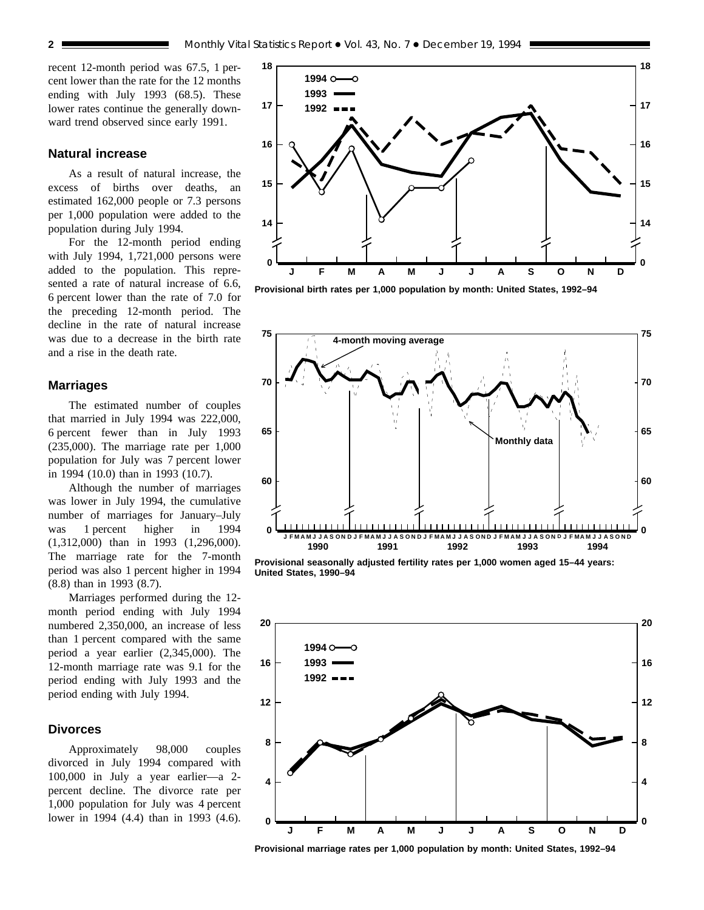recent 12-month period was 67.5, 1 percent lower than the rate for the 12 months ending with July 1993 (68.5). These lower rates continue the generally downward trend observed since early 1991.

## **Natural increase**

As a result of natural increase, the excess of births over deaths, an estimated 162,000 people or 7.3 persons per 1,000 population were added to the population during July 1994.

For the 12-month period ending with July 1994, 1,721,000 persons were added to the population. This represented a rate of natural increase of 6.6, 6 percent lower than the rate of 7.0 for the preceding 12-month period. The decline in the rate of natural increase was due to a decrease in the birth rate and a rise in the death rate.

### **Marriages**

The estimated number of couples that married in July 1994 was 222,000, 6 percent fewer than in July 1993 (235,000). The marriage rate per 1,000 population for July was 7 percent lower in 1994 (10.0) than in 1993 (10.7).

Although the number of marriages was lower in July 1994, the cumulative number of marriages for January–July was 1 percent higher in 1994 (1,312,000) than in 1993 (1,296,000). The marriage rate for the 7-month period was also 1 percent higher in 1994 (8.8) than in 1993 (8.7).

Marriages performed during the 12 month period ending with July 1994 numbered 2,350,000, an increase of less than 1 percent compared with the same period a year earlier (2,345,000). The 12-month marriage rate was 9.1 for the period ending with July 1993 and the period ending with July 1994.

#### **Divorces**

Approximately 98,000 couples divorced in July 1994 compared with 100,000 in July a year earlier—a 2 percent decline. The divorce rate per 1,000 population for July was 4 percent lower in 1994 (4.4) than in 1993 (4.6).



**Provisional birth rates per 1,000 population by month: United States, 1992–94**



**Provisional seasonally adjusted fertility rates per 1,000 women aged 15–44 years: United States, 1990–94**



**Provisional marriage rates per 1,000 population by month: United States, 1992–94**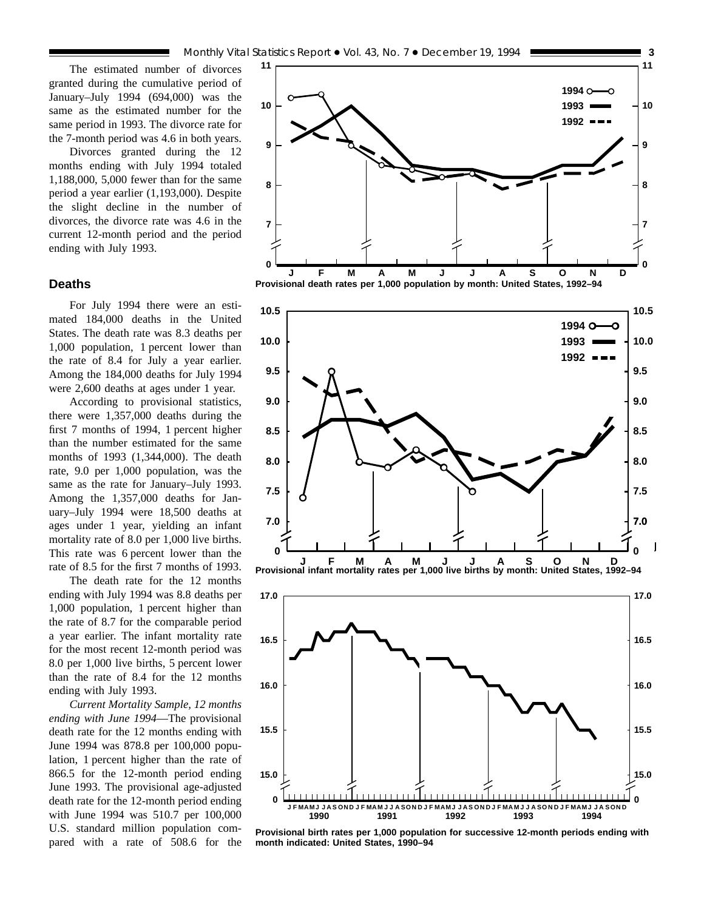Divorces granted during the 12 months ending with July 1994 totaled 1,188,000, 5,000 fewer than for the same period a year earlier (1,193,000). Despite the slight decline in the number of divorces, the divorce rate was 4.6 in the current 12-month period and the period ending with July 1993.

#### **Deaths**

For July 1994 there were an estimated 184,000 deaths in the United States. The death rate was 8.3 deaths per 1,000 population, 1 percent lower than the rate of 8.4 for July a year earlier. Among the 184,000 deaths for July 1994 were 2,600 deaths at ages under 1 year.

According to provisional statistics, there were 1,357,000 deaths during the first 7 months of 1994, 1 percent higher than the number estimated for the same months of 1993 (1,344,000). The death rate, 9.0 per 1,000 population, was the same as the rate for January–July 1993. Among the 1,357,000 deaths for January–July 1994 were 18,500 deaths at ages under 1 year, yielding an infant mortality rate of 8.0 per 1,000 live births. This rate was 6 percent lower than the rate of 8.5 for the first 7 months of 1993.

The death rate for the 12 months ending with July 1994 was 8.8 deaths per 1,000 population, 1 percent higher than the rate of 8.7 for the comparable period a year earlier. The infant mortality rate for the most recent 12-month period was 8.0 per 1,000 live births, 5 percent lower than the rate of 8.4 for the 12 months ending with July 1993.

*Current Mortality Sample, 12 months ending with June 1994*—The provisional death rate for the 12 months ending with June 1994 was 878.8 per 100,000 population, 1 percent higher than the rate of 866.5 for the 12-month period ending June 1993. The provisional age-adjusted death rate for the 12-month period ending with June 1994 was 510.7 per 100,000 U.S. standard million population compared with a rate of 508.6 for the







**Provisional birth rates per 1,000 population for successive 12-month periods ending with month indicated: United States, 1990–94**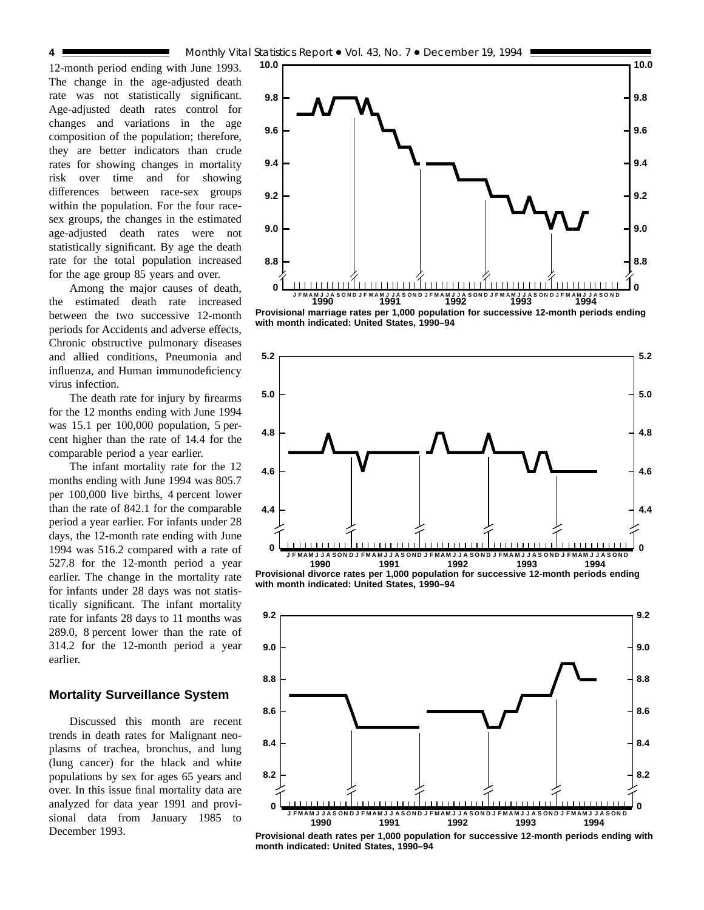12-month period ending with June 1993. The change in the age-adjusted death rate was not statistically significant. Age-adjusted death rates control for changes and variations in the age composition of the population; therefore, they are better indicators than crude rates for showing changes in mortality risk over time and for showing differences between race-sex groups within the population. For the four racesex groups, the changes in the estimated age-adjusted death rates were not statistically significant. By age the death rate for the total population increased for the age group 85 years and over.

Among the major causes of death, the estimated death rate increased between the two successive 12-month periods for Accidents and adverse effects, Chronic obstructive pulmonary diseases and allied conditions, Pneumonia and influenza, and Human immunodeficiency virus infection.

The death rate for injury by firearms for the 12 months ending with June 1994 was 15.1 per 100,000 population, 5 percent higher than the rate of 14.4 for the comparable period a year earlier.

The infant mortality rate for the 12 months ending with June 1994 was 805.7 per 100,000 live births, 4 percent lower than the rate of 842.1 for the comparable period a year earlier. For infants under 28 days, the 12-month rate ending with June 1994 was 516.2 compared with a rate of 527.8 for the 12-month period a year earlier. The change in the mortality rate for infants under 28 days was not statistically significant. The infant mortality rate for infants 28 days to 11 months was 289.0, 8 percent lower than the rate of 314.2 for the 12-month period a year earlier.

### **Mortality Surveillance System**

Discussed this month are recent trends in death rates for Malignant neoplasms of trachea, bronchus, and lung (lung cancer) for the black and white populations by sex for ages 65 years and over. In this issue final mortality data are analyzed for data year 1991 and provisional data from January 1985 to December 1993.



**Provisional marriage rates per 1,000 population for successive 12-month periods ending with month indicated: United States, 1990–94**



**Provisional divorce rates per 1,000 population for successive 12-month periods ending with month indicated: United States, 1990–94**



**Provisional death rates per 1,000 population for successive 12-month periods ending with month indicated: United States, 1990–94**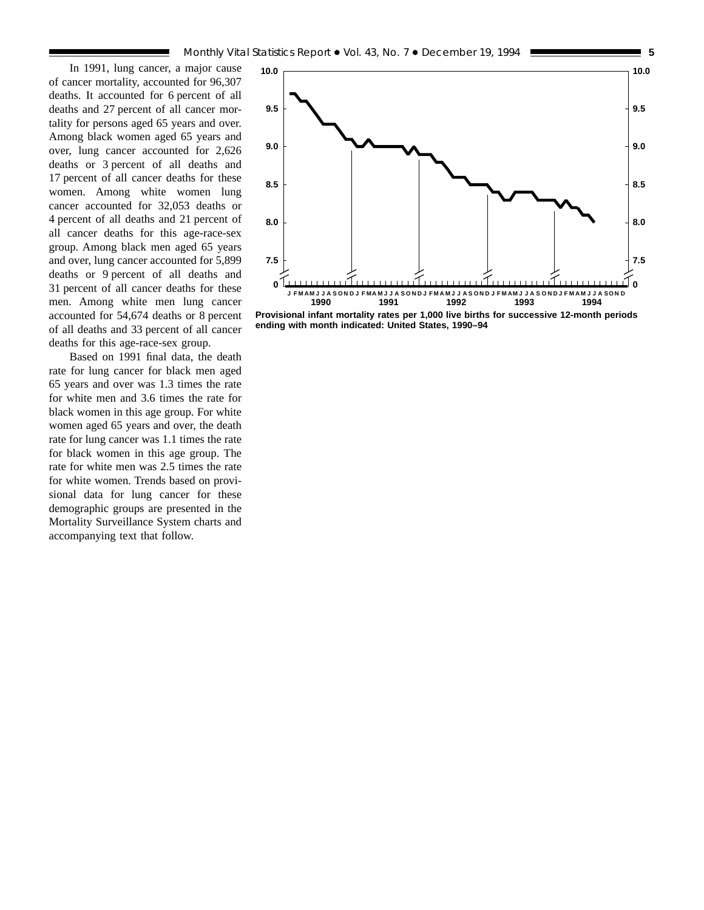In 1991, lung cancer, a major cause of cancer mortality, accounted for 96,307 deaths. It accounted for 6 percent of all deaths and 27 percent of all cancer mortality for persons aged 65 years and over. Among black women aged 65 years and over, lung cancer accounted for 2,626 deaths or 3 percent of all deaths and 17 percent of all cancer deaths for these women. Among white women lung cancer accounted for 32,053 deaths or 4 percent of all deaths and 21 percent of all cancer deaths for this age-race-sex group. Among black men aged 65 years and over, lung cancer accounted for 5,899 deaths or 9 percent of all deaths and 31 percent of all cancer deaths for these men. Among white men lung cancer accounted for 54,674 deaths or 8 percent of all deaths and 33 percent of all cancer deaths for this age-race-sex group.

Based on 1991 final data, the death rate for lung cancer for black men aged 65 years and over was 1.3 times the rate for white men and 3.6 times the rate for black women in this age group. For white women aged 65 years and over, the death rate for lung cancer was 1.1 times the rate for black women in this age group. The rate for white men was 2.5 times the rate for white women. Trends based on provisional data for lung cancer for these demographic groups are presented in the Mortality Surveillance System charts and accompanying text that follow.



**Provisional infant mortality rates per 1,000 live births for successive 12-month periods ending with month indicated: United States, 1990–94**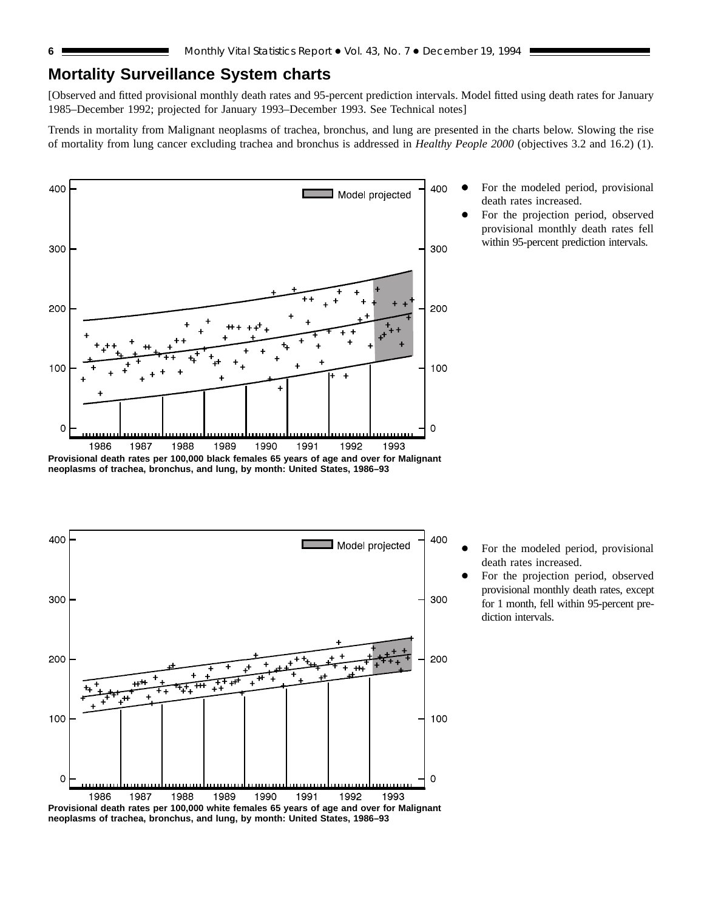# **Mortality Surveillance System charts**

[Observed and fitted provisional monthly death rates and 95-percent prediction intervals. Model fitted using death rates for January 1985–December 1992; projected for January 1993–December 1993. See Technical notes]

Trends in mortality from Malignant neoplasms of trachea, bronchus, and lung are presented in the charts below. Slowing the rise of mortality from lung cancer excluding trachea and bronchus is addressed in *Healthy People 2000* (objectives 3.2 and 16.2) (1).



- For the modeled period, provisional death rates increased.
- For the projection period, observed provisional monthly death rates fell within 95-percent prediction intervals.

**neoplasms of trachea, bronchus, and lung, by month: United States, 1986–93**



- For the modeled period, provisional death rates increased.
- For the projection period, observed provisional monthly death rates, except for 1 month, fell within 95-percent prediction intervals.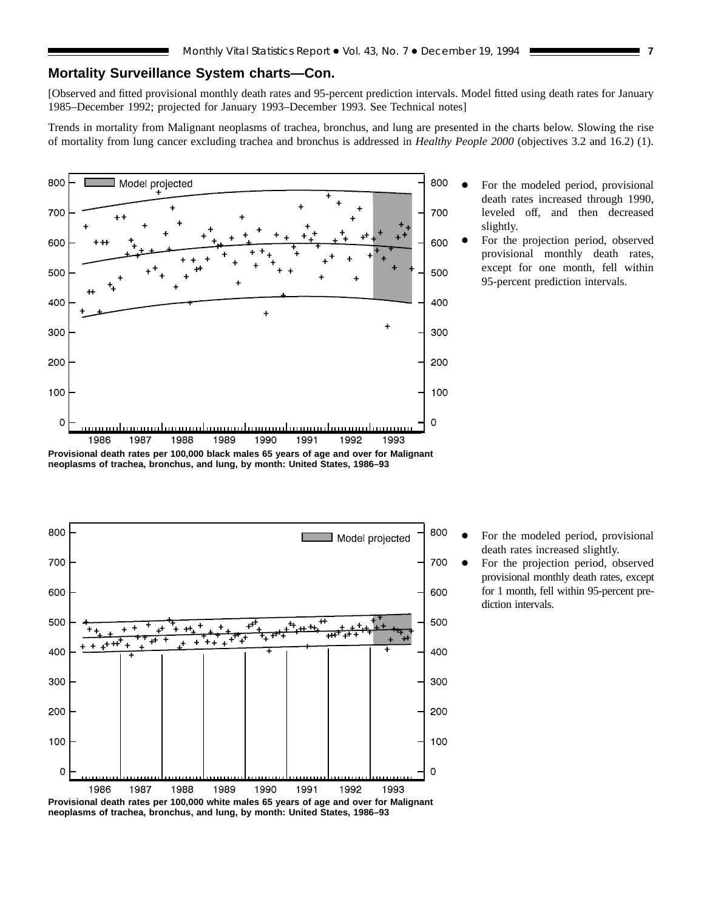# **Mortality Surveillance System charts—Con.**

[Observed and fitted provisional monthly death rates and 95-percent prediction intervals. Model fitted using death rates for January 1985–December 1992; projected for January 1993–December 1993. See Technical notes]

Trends in mortality from Malignant neoplasms of trachea, bronchus, and lung are presented in the charts below. Slowing the rise of mortality from lung cancer excluding trachea and bronchus is addressed in *Healthy People 2000* (objectives 3.2 and 16.2) (1).



- For the modeled period, provisional death rates increased through 1990, leveled off, and then decreased slightly.
- For the projection period, observed provisional monthly death rates, except for one month, fell within 95-percent prediction intervals.

**Provisional death rates per 100,000 black males 65 years of age and over for Malignant neoplasms of trachea, bronchus, and lung, by month: United States, 1986–93**



- For the modeled period, provisional death rates increased slightly.
- For the projection period, observed provisional monthly death rates, except for 1 month, fell within 95-percent prediction intervals.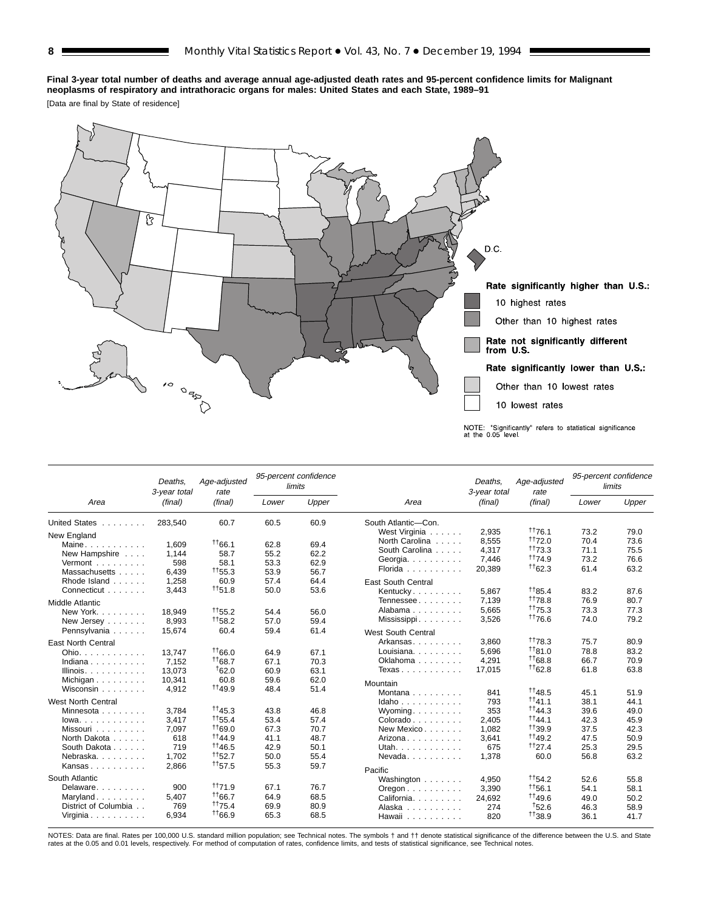#### **Final 3-year total number of deaths and average annual age-adjusted death rates and 95-percent confidence limits for Malignant neoplasms of respiratory and intrathoracic organs for males: United States and each State, 1989–91**

[Data are final by State of residence]



|                                  | Deaths.<br>3-year total | Age-adjusted<br>rate | limits | 95-percent confidence |                                        | Deaths.<br>3-year total | Age-adjusted<br>rate |       | 95-percent confidence<br>limits |
|----------------------------------|-------------------------|----------------------|--------|-----------------------|----------------------------------------|-------------------------|----------------------|-------|---------------------------------|
| Area                             | (final)                 | (final)              | Lower  | Upper                 | Area                                   | (final)                 | (final)              | Lower | Upper                           |
| United States                    | 283.540                 | 60.7                 | 60.5   | 60.9                  | South Atlantic-Con.                    |                         |                      |       |                                 |
| New England                      |                         |                      |        |                       | West Virginia                          | 2.935                   | 1176.1               | 73.2  | 79.0                            |
| Maine                            | 1,609                   | 1166.1               | 62.8   | 69.4                  | North Carolina                         | 8.555                   | 1172.0               | 70.4  | 73.6                            |
| New Hampshire                    | 1.144                   | 58.7                 | 55.2   | 62.2                  | South Carolina                         | 4,317                   | $+73.3$              | 71.1  | 75.5                            |
| Vermont                          | 598                     | 58.1                 | 53.3   | 62.9                  | Georgia.                               | 7,446                   | <sup>+</sup> 174.9   | 73.2  | 76.6                            |
| Massachusetts                    | 6,439                   | $+155.3$             | 53.9   | 56.7                  | Florida                                | 20,389                  | $+62.3$              | 61.4  | 63.2                            |
| Rhode Island                     | 1.258                   | 60.9                 | 57.4   | 64.4                  | <b>East South Central</b>              |                         |                      |       |                                 |
| Connecticut                      | 3,443                   | $+151.8$             | 50.0   | 53.6                  | Kentucky                               | 5,867                   | $+185.4$             | 83.2  | 87.6                            |
| <b>Middle Atlantic</b>           |                         |                      |        |                       | Tennessee                              | 7,139                   | <sup>++</sup> 78.8   | 76.9  | 80.7                            |
| New York.                        | 18.949                  | $^{+1}$ 55.2         | 54.4   | 56.0                  | Alabama                                | 5,665                   | $+175.3$             | 73.3  | 77.3                            |
| New Jersey                       | 8.993                   | $+58.2$              | 57.0   | 59.4                  | Mississippi                            | 3,526                   | <sup>++</sup> 76.6   | 74.0  | 79.2                            |
| Pennsylvania                     | 15.674                  | 60.4                 | 59.4   | 61.4                  |                                        |                         |                      |       |                                 |
|                                  |                         |                      |        |                       | <b>West South Central</b>              |                         |                      |       |                                 |
| <b>East North Central</b>        |                         |                      |        |                       | Arkansas                               | 3.860                   | 1178.3               | 75.7  | 80.9                            |
| Ohio.                            | 13.747                  | 1166.0               | 64.9   | 67.1                  | Louisiana.                             | 5.696                   | $+181.0$             | 78.8  | 83.2                            |
| Indiana                          | 7.152                   | $+168.7$             | 67.1   | 70.3                  | Oklahoma                               | 4,291                   | $+168.8$             | 66.7  | 70.9                            |
| Illinois. $\ldots$ .             | 13.073                  | 162.0                | 60.9   | 63.1                  | Texas                                  | 17,015                  | 1162.8               | 61.8  | 63.8                            |
| Michigan                         | 10,341                  | 60.8                 | 59.6   | 62.0                  | Mountain                               |                         |                      |       |                                 |
| Wisconsin                        | 4.912                   | 1149.9               | 48.4   | 51.4                  | Montana                                | 841                     | $+148.5$             | 45.1  | 51.9                            |
| <b>West North Central</b>        |                         |                      |        |                       | Idaho                                  | 793                     | 1141.1               | 38.1  | 44.1                            |
| Minnesota                        | 3.784                   | $+145.3$             | 43.8   | 46.8                  | Wyoming.                               | 353                     | $^{+144.3}$          | 39.6  | 49.0                            |
| $lowa. \ldots. \ldots.$          | 3.417                   | $+155.4$             | 53.4   | 57.4                  | Colorado                               | 2.405                   | $^{++44}$ 1          | 42.3  | 45.9                            |
| Missouri                         | 7.097                   | 1169.0               | 67.3   | 70.7                  | New Mexico                             | 1,082                   | 1139.9               | 37.5  | 42.3                            |
| North Dakota                     | 618                     | <sup>++</sup> 44.9   | 41.1   | 48.7                  | Arizona                                | 3,641                   | $^{++49.2}$          | 47.5  | 50.9                            |
| South Dakota                     | 719                     | $+146.5$             | 42.9   | 50.1                  | Utah.                                  | 675                     | $^{++27.4}$          | 25.3  | 29.5                            |
| Nebraska.                        | 1.702                   | $+152.7$             | 50.0   | 55.4                  | Nevada                                 | 1,378                   | 60.0                 | 56.8  | 63.2                            |
| Kansas                           | 2,866                   | $+157.5$             | 55.3   | 59.7                  |                                        |                         |                      |       |                                 |
| South Atlantic                   |                         |                      |        |                       | Pacific                                |                         | $+154.2$             |       |                                 |
| Delaware.                        | 900                     | 1171.9               | 67.1   | 76.7                  | Washington                             | 4.950                   | $+156.1$             | 52.6  | 55.8                            |
|                                  | 5.407                   | $+166.7$             | 64.9   | 68.5                  | $O$ regon $\ldots$ $\ldots$ $\ldots$ . | 3,390                   | 1149.6               | 54.1  | 58.1                            |
| Maryland<br>District of Columbia | 769                     | 1175.4               | 69.9   | 80.9                  | California.                            | 24.692                  |                      | 49.0  | 50.2                            |
| Virginia                         | 6.934                   | <sup>tt</sup> 66.9   | 65.3   | 68.5                  | Alaska                                 | 274                     | 152.6<br>$+138.9$    | 46.3  | 58.9                            |
|                                  |                         |                      |        |                       | Hawaii                                 | 820                     |                      | 36.1  | 41.7                            |

NOTES: Data are final. Rates per 100,000 U.S. standard million population; see Technical notes. The symbols † and †† denote statistical significance of the difference between the U.S. and State<br>rates at the 0.05 and 0.01 l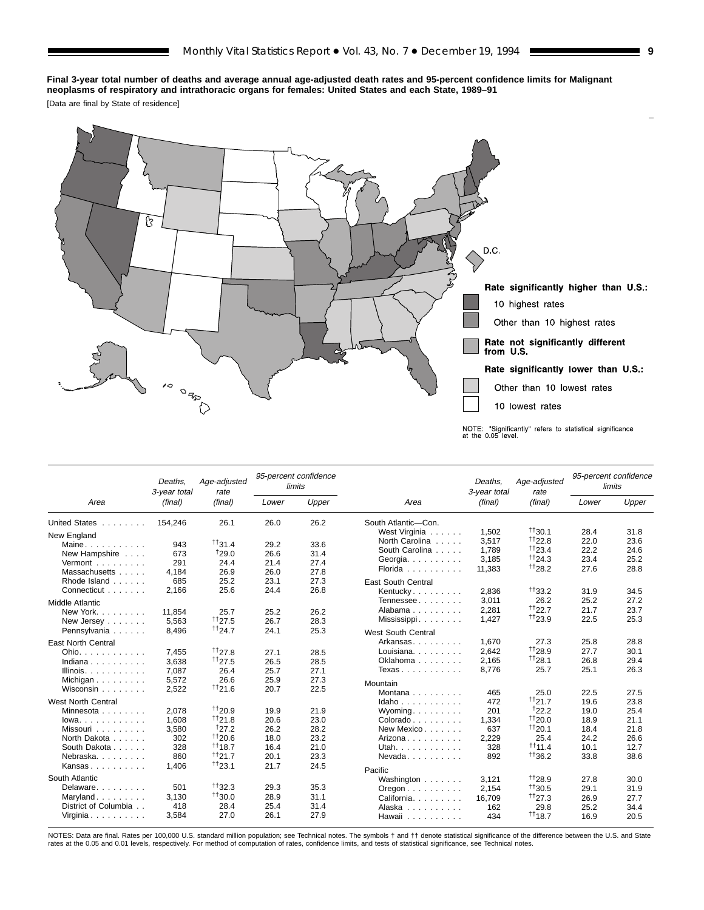#### **Final 3-year total number of deaths and average annual age-adjusted death rates and 95-percent confidence limits for Malignant neoplasms of respiratory and intrathoracic organs for females: United States and each State, 1989–91**

[Data are final by State of residence]



|                                | Deaths.<br>3-year total | Age-adjusted<br>rate |       | 95-percent confidence<br>limits |                           | Deaths.<br>3-year total | Age-adjusted<br>rate |              | 95-percent confidence<br>limits |
|--------------------------------|-------------------------|----------------------|-------|---------------------------------|---------------------------|-------------------------|----------------------|--------------|---------------------------------|
| Area                           | (final)                 | (final)              | Lower | Upper                           | Area                      | (final)                 | (final)              | Lower        | Upper                           |
| United States                  | 154.246                 | 26.1                 | 26.0  | 26.2                            | South Atlantic-Con.       |                         |                      |              |                                 |
| New England                    |                         |                      |       |                                 | West Virginia             | 1,502                   | $+130.1$             | 28.4         | 31.8                            |
| Maine                          | 943                     | $+131.4$             | 29.2  | 33.6                            | North Carolina            | 3,517                   | 1122R                | 22.0         | 23.6                            |
| New Hampshire                  | 673                     | 129.0                | 26.6  | 31.4                            | South Carolina            | 1.789                   | 1123.4               | 22.2         | 24.6                            |
| Vermont                        | 291                     | 24.4                 | 21.4  | 27.4                            | Georgia                   | 3.185                   | 1124.3               | 23.4         | 25.2                            |
| Massachusetts                  | 4,184                   | 26.9                 | 26.0  | 27.8                            | Florida                   | 11,383                  | 1128.2               | 27.6         | 28.8                            |
| Rhode Island                   | 685                     | 25.2                 | 23.1  | 27.3                            | <b>East South Central</b> |                         |                      |              |                                 |
| Connecticut                    | 2,166                   | 25.6                 | 24.4  | 26.8                            | Kentucky                  | 2,836                   | $^{+1}33.2$          | 31.9         | 34.5                            |
| <b>Middle Atlantic</b>         |                         |                      |       |                                 | Tennessee                 | 3.011                   | 26.2                 | 25.2         | 27.2                            |
| New York.                      | 11.854                  | 25.7                 | 25.2  | 26.2                            | Alabama                   | 2,281                   | $+122.7$             | 21.7         | 23.7                            |
| New Jersey                     | 5,563                   | $+127.5$             | 26.7  | 28.3                            | Mississippi               | 1,427                   | $+123.9$             | 22.5         | 25.3                            |
| Pennsylvania                   | 8,496                   | $+124.7$             | 24.1  | 25.3                            |                           |                         |                      |              |                                 |
|                                |                         |                      |       |                                 | <b>West South Central</b> |                         |                      |              |                                 |
| <b>East North Central</b>      |                         |                      |       |                                 | Arkansas                  | 1.670                   | 27.3<br>1128.9       | 25.8<br>27.7 | 28.8<br>30.1                    |
| Ohio.                          | 7,455                   | 1127.8               | 27.1  | 28.5                            | Louisiana.<br>Oklahoma    | 2,642                   | 1128.1               | 26.8         | 29.4                            |
| Indiana                        | 3.638                   | 1127.5               | 26.5  | 28.5                            |                           | 2,165                   | 25.7                 | 25.1         | 26.3                            |
| Illinois. $\ldots$ .           | 7.087                   | 26.4                 | 25.7  | 27.1                            | Texas                     | 8,776                   |                      |              |                                 |
| Michigan $\ldots$ , $\ldots$   | 5,572                   | 26.6                 | 25.9  | 27.3                            | Mountain                  |                         |                      |              |                                 |
| Wisconsin                      | 2,522                   | 1121.6               | 20.7  | 22.5                            | Montana                   | 465                     | 25.0                 | 22.5         | 27.5                            |
| West North Central             |                         |                      |       |                                 | Idaho                     | 472                     | 1121.7               | 19.6         | 23.8                            |
| Minnesota                      | 2,078                   | <sup>++</sup> 20.9   | 19.9  | 21.9                            | Wyoming.                  | 201                     | 122.2                | 19.0         | 25.4                            |
| $lowa. \ldots. \ldots. \ldots$ | 1.608                   | 1121.8               | 20.6  | 23.0                            | Colorado                  | 1,334                   | 1120.0               | 18.9         | 21.1                            |
| Missouri                       | 3.580                   | 127.2                | 26.2  | 28.2                            | New Mexico                | 637                     | 1120.1               | 18.4         | 21.8                            |
| North Dakota                   | 302                     | 1120.6               | 18.0  | 23.2                            | Arizona                   | 2,229                   | 25.4                 | 24.2         | 26.6                            |
| South Dakota                   | 328                     | $+118.7$             | 16.4  | 21.0                            | Utah.                     | 328                     | $+11.4$              | 10.1         | 12.7                            |
| Nebraska.                      | 860                     | $t_{121.7}$          | 20.1  | 23.3                            | $N$ evada. $\ldots$       | 892                     | $+136.2$             | 33.8         | 38.6                            |
| Kansas                         | 1.406                   | $+123.1$             | 21.7  | 24.5                            | Pacific                   |                         |                      |              |                                 |
| South Atlantic                 |                         |                      |       |                                 | Washington                | 3.121                   | 1128.9               | 27.8         | 30.0                            |
| Delaware                       | 501                     | $^{+1}32.3$          | 29.3  | 35.3                            | Oregon                    | 2,154                   | $+130.5$             | 29.1         | 31.9                            |
| Maryland                       | 3.130                   | $+130.0$             | 28.9  | 31.1                            | California.               | 16.709                  | $^{11}27.3$          | 26.9         | 27.7                            |
| District of Columbia           | 418                     | 28.4                 | 25.4  | 31.4                            | Alaska                    | 162                     | 29.8                 | 25.2         | 34.4                            |
| Virginia                       | 3.584                   | 27.0                 | 26.1  | 27.9                            | Hawaii                    | 434                     | $+118.7$             | 16.9         | 20.5                            |
|                                |                         |                      |       |                                 |                           |                         |                      |              |                                 |

NOTES: Data are final. Rates per 100,000 U.S. standard million population; see Technical notes. The symbols † and †† denote statistical significance of the difference between the U.S. and State<br>rates at the 0.05 and 0.01 l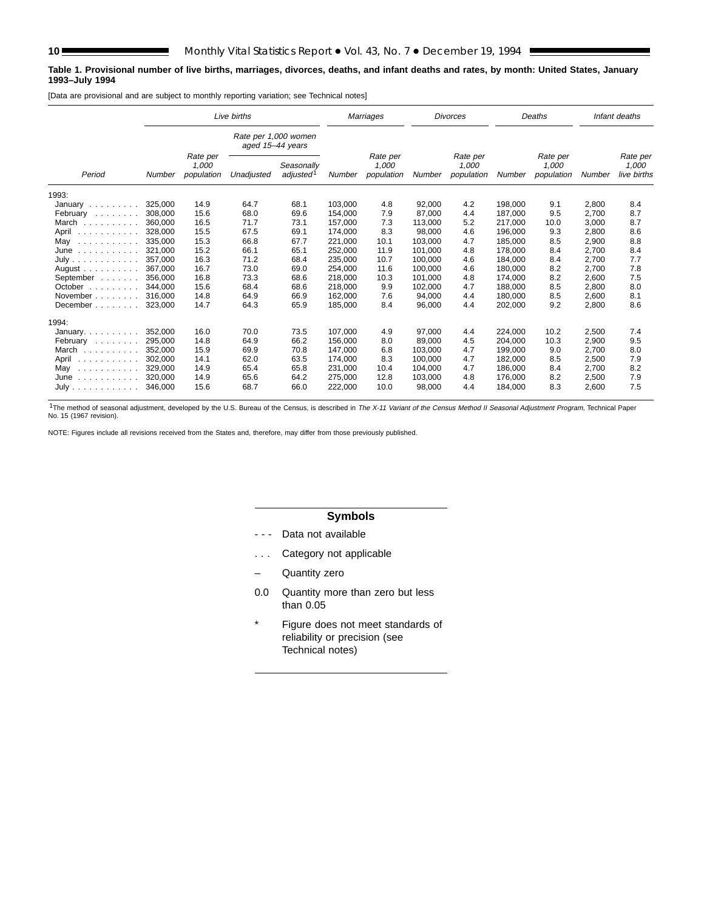#### **Table 1. Provisional number of live births, marriages, divorces, deaths, and infant deaths and rates, by month: United States, January 1993–July 1994**

[Data are provisional and are subject to monthly reporting variation; see Technical notes]

|                                                                                                    |         |                                 | Live births                              |                                     |         | <b>Marriages</b>                |         | <b>Divorces</b>                 |         | Deaths                          |        | Infant deaths                    |
|----------------------------------------------------------------------------------------------------|---------|---------------------------------|------------------------------------------|-------------------------------------|---------|---------------------------------|---------|---------------------------------|---------|---------------------------------|--------|----------------------------------|
|                                                                                                    |         |                                 | Rate per 1,000 women<br>aged 15-44 years |                                     |         |                                 |         |                                 |         |                                 |        |                                  |
| Period                                                                                             | Number  | Rate per<br>1,000<br>population | Unadjusted                               | Seasonally<br>adjusted <sup>1</sup> | Number  | Rate per<br>1,000<br>population | Number  | Rate per<br>1,000<br>population | Number  | Rate per<br>1.000<br>population | Number | Rate per<br>1,000<br>live births |
| 1993:                                                                                              |         |                                 |                                          |                                     |         |                                 |         |                                 |         |                                 |        |                                  |
| January                                                                                            | 325.000 | 14.9                            | 64.7                                     | 68.1                                | 103.000 | 4.8                             | 92,000  | 4.2                             | 198.000 | 9.1                             | 2,800  | 8.4                              |
| February                                                                                           | 308,000 | 15.6                            | 68.0                                     | 69.6                                | 154,000 | 7.9                             | 87,000  | 4.4                             | 187,000 | 9.5                             | 2,700  | 8.7                              |
| March                                                                                              | 360,000 | 16.5                            | 71.7                                     | 73.1                                | 157.000 | 7.3                             | 113.000 | 5.2                             | 217,000 | 10.0                            | 3.000  | 8.7                              |
| April<br>$\begin{array}{cccccccccccccc} . & . & . & . & . & . & . & . & . & . & . & . \end{array}$ | 328,000 | 15.5                            | 67.5                                     | 69.1                                | 174.000 | 8.3                             | 98,000  | 4.6                             | 196.000 | 9.3                             | 2.800  | 8.6                              |
| May<br>.                                                                                           | 335,000 | 15.3                            | 66.8                                     | 67.7                                | 221,000 | 10.1                            | 103,000 | 4.7                             | 185,000 | 8.5                             | 2,900  | 8.8                              |
| June<br>.                                                                                          | 321,000 | 15.2                            | 66.1                                     | 65.1                                | 252,000 | 11.9                            | 101,000 | 4.8                             | 178,000 | 8.4                             | 2,700  | 8.4                              |
| July                                                                                               | 357.000 | 16.3                            | 71.2                                     | 68.4                                | 235,000 | 10.7                            | 100,000 | 4.6                             | 184.000 | 8.4                             | 2,700  | 7.7                              |
| August $\ldots$ , $\ldots$ ,                                                                       | 367.000 | 16.7                            | 73.0                                     | 69.0                                | 254.000 | 11.6                            | 100.000 | 4.6                             | 180.000 | 8.2                             | 2,700  | 7.8                              |
| September                                                                                          | 356.000 | 16.8                            | 73.3                                     | 68.6                                | 218,000 | 10.3                            | 101,000 | 4.8                             | 174,000 | 8.2                             | 2.600  | 7.5                              |
| October                                                                                            | 344.000 | 15.6                            | 68.4                                     | 68.6                                | 218.000 | 9.9                             | 102,000 | 4.7                             | 188.000 | 8.5                             | 2,800  | 8.0                              |
| November                                                                                           | 316,000 | 14.8                            | 64.9                                     | 66.9                                | 162.000 | 7.6                             | 94,000  | 4.4                             | 180.000 | 8.5                             | 2,600  | 8.1                              |
| December $\ldots$ , $\ldots$                                                                       | 323.000 | 14.7                            | 64.3                                     | 65.9                                | 185,000 | 8.4                             | 96,000  | 4.4                             | 202,000 | 9.2                             | 2,800  | 8.6                              |
| 1994:                                                                                              |         |                                 |                                          |                                     |         |                                 |         |                                 |         |                                 |        |                                  |
| January. $\ldots$ .                                                                                | 352.000 | 16.0                            | 70.0                                     | 73.5                                | 107.000 | 4.9                             | 97.000  | 4.4                             | 224.000 | 10.2                            | 2,500  | 7.4                              |
| February                                                                                           | 295,000 | 14.8                            | 64.9                                     | 66.2                                | 156,000 | 8.0                             | 89.000  | 4.5                             | 204,000 | 10.3                            | 2,900  | 9.5                              |
| March                                                                                              | 352.000 | 15.9                            | 69.9                                     | 70.8                                | 147.000 | 6.8                             | 103.000 | 4.7                             | 199.000 | 9.0                             | 2.700  | 8.0                              |
| April<br>.                                                                                         | 302,000 | 14.1                            | 62.0                                     | 63.5                                | 174,000 | 8.3                             | 100,000 | 4.7                             | 182,000 | 8.5                             | 2,500  | 7.9                              |
| May<br>.                                                                                           | 329.000 | 14.9                            | 65.4                                     | 65.8                                | 231,000 | 10.4                            | 104,000 | 4.7                             | 186,000 | 8.4                             | 2,700  | 8.2                              |
| June<br>and and and and and a                                                                      | 320.000 | 14.9                            | 65.6                                     | 64.2                                | 275.000 | 12.8                            | 103.000 | 4.8                             | 176.000 | 8.2                             | 2,500  | 7.9                              |
| July                                                                                               | 346,000 | 15.6                            | 68.7                                     | 66.0                                | 222,000 | 10.0                            | 98,000  | 4.4                             | 184,000 | 8.3                             | 2,600  | 7.5                              |

<sup>1</sup>The method of seasonal adjustment, developed by the U.S. Bureau of the Census, is described in The X-11 Variant of the Census Method II Seasonal Adjustment Program, Technical Paper<br>No. 15 (1967 revision).

NOTE: Figures include all revisions received from the States and, therefore, may differ from those previously published.

## **Symbols**

- - Data not available
- . . . Category not applicable
- Quantity zero
- 0.0 Quantity more than zero but less than 0.05
- \* Figure does not meet standards of reliability or precision (see Technical notes)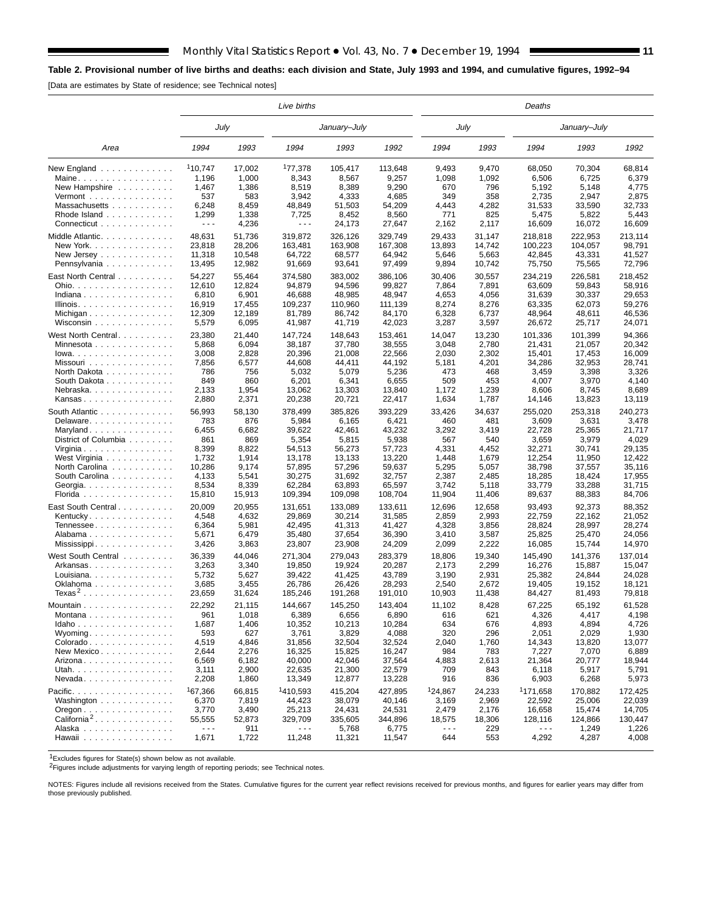# **Table 2. Provisional number of live births and deaths: each division and State, July 1993 and 1994, and cumulative figures, 1992–94**

[Data are estimates by State of residence; see Technical notes]

Ξ

|                                                          |                      |                | Live births          |              |         |                      |        | Deaths               |              |         |
|----------------------------------------------------------|----------------------|----------------|----------------------|--------------|---------|----------------------|--------|----------------------|--------------|---------|
|                                                          | July                 |                |                      | January-July |         | July                 |        |                      | January-July |         |
| Area                                                     | 1994                 | 1993           | 1994                 | 1993         | 1992    | 1994                 | 1993   | 1994                 | 1993         | 1992    |
| New England $\ldots$                                     | 110,747              | 17,002         | 177,378              | 105,417      | 113,648 | 9,493                | 9,470  | 68,050               | 70,304       | 68,814  |
| Maine                                                    | 1,196                | 1,000          | 8,343                | 8,567        | 9,257   | 1,098                | 1,092  | 6,506                | 6,725        | 6,379   |
| New Hampshire                                            | 1,467                | 1,386          | 8,519                | 8,389        | 9,290   | 670                  | 796    | 5,192                | 5,148        | 4,775   |
| $Vermont$                                                | 537                  | 583            | 3,942                | 4,333        | 4,685   | 349                  | 358    | 2,735                | 2,947        | 2,875   |
| Massachusetts                                            | 6,248                | 8,459          | 48,849               | 51,503       | 54,209  | 4,443                | 4,282  | 31,533               | 33,590       | 32,733  |
| Rhode Island                                             | 1,299                | 1,338          | 7,725                | 8,452        | 8,560   | 771                  | 825    | 5,475                | 5,822        | 5,443   |
| Connecticut                                              | $\sim$ $\sim$ $\sim$ | 4,236          | $\sim$ $\sim$ $\sim$ | 24,173       | 27,647  | 2,162                | 2,117  | 16,609               | 16,072       | 16,609  |
| Middle Atlantic                                          | 48,631               | 51,736         | 319,872              | 326,126      | 329,749 | 29,433               | 31,147 | 218,818              | 222,953      | 213,114 |
| New York                                                 | 23,818               | 28,206         | 163,481              | 163,908      | 167,308 | 13,893               | 14,742 | 100,223              | 104,057      | 98,791  |
| New Jersey $\ldots$ , $\ldots$ , $\ldots$ , $\ldots$     | 11,318               | 10,548         | 64,722               | 68,577       | 64,942  | 5,646                | 5,663  | 42,845               | 43,331       | 41,527  |
| Pennsylvania                                             | 13,495               | 12,982         | 91,669               | 93,641       | 97,499  | 9,894                | 10,742 | 75,750               | 75,565       | 72,796  |
|                                                          |                      |                |                      |              |         |                      |        |                      |              |         |
| East North Central                                       | 54,227               | 55,464         | 374,580              | 383,002      | 386,106 | 30,406               | 30,557 | 234,219              | 226,581      | 218,452 |
| Ohio.                                                    | 12,610               | 12,824         | 94,879               | 94,596       | 99,827  | 7,864                | 7,891  | 63,609               | 59,843       | 58,916  |
| Indiana                                                  | 6,810                | 6,901          | 46,688               | 48,985       | 48,947  | 4,653                | 4,056  | 31,639               | 30,337       | 29,653  |
| Illinois.                                                | 16,919               | 17,455         | 109,237              | 110,960      | 111,139 | 8,274                | 8,276  | 63,335               | 62,073       | 59,276  |
| Michigan                                                 | 12,309               | 12,189         | 81,789               | 86,742       | 84,170  | 6,328                | 6,737  | 48,964               | 48,611       | 46,536  |
| Wisconsin                                                | 5,579                | 6,095          | 41,987               | 41,719       | 42,023  | 3,287                | 3,597  | 26,672               | 25,717       | 24,071  |
| West North Central                                       | 23,380               | 21,440         | 147.724              | 148,643      | 153,461 | 14,047               | 13,230 | 101,336              | 101,399      | 94,366  |
| Minnesota                                                | 5,868                | 6,094          | 38,187               | 37,780       | 38,555  | 3,048                | 2,780  | 21,431               | 21,057       | 20,342  |
| $Iowa.$                                                  | 3,008                | 2,828          | 20,396               | 21,008       | 22,566  | 2,030                | 2,302  | 15,401               | 17,453       | 16,009  |
| Missouri                                                 | 7,856                | 6,577          | 44,608               | 44,411       | 44,192  | 5,181                | 4,201  | 34,286               | 32,953       | 28,741  |
| North Dakota                                             | 786                  | 756            | 5,032                | 5,079        | 5,236   | 473                  | 468    | 3,459                | 3,398        | 3,326   |
| South Dakota                                             | 849                  | 860            | 6,201                | 6,341        | 6,655   | 509                  | 453    | 4,007                | 3,970        | 4,140   |
| Nebraska                                                 | 2,133                | 1,954          | 13,062               | 13,303       | 13,840  | 1,172                | 1,239  | 8,606                | 8,745        | 8,689   |
| Kansas                                                   | 2,880                | 2,371          | 20,238               | 20,721       | 22,417  | 1,634                | 1,787  | 14,146               | 13,823       | 13,119  |
|                                                          |                      |                |                      |              |         |                      |        |                      |              |         |
| South Atlantic                                           | 56,993               | 58,130         | 378,499              | 385,826      | 393,229 | 33.426               | 34,637 | 255,020              | 253,318      | 240,273 |
| Delaware                                                 | 783                  | 876            | 5,984                | 6,165        | 6,421   | 460                  | 481    | 3,609                | 3,631        | 3,478   |
| Maryland                                                 | 6,455                | 6,682          | 39,622               | 42,461       | 43,232  | 3,292                | 3,419  | 22,728               | 25,365       | 21,717  |
| District of Columbia                                     | 861                  | 869            | 5,354                | 5,815        | 5,938   | 567                  | 540    | 3,659                | 3,979        | 4,029   |
| Virginia                                                 | 8,399                | 8,822          | 54,513               | 56,273       | 57,723  | 4,331                | 4,452  | 32,271               | 30,741       | 29,135  |
| West Virginia                                            | 1,732                | 1,914          | 13,178               | 13,133       | 13,220  | 1,448                | 1,679  | 12,254               | 11,950       | 12,422  |
| North Carolina                                           | 10,286               | 9,174          | 57,895               | 57,296       | 59,637  | 5,295                | 5,057  | 38,798               | 37,557       | 35,116  |
| South Carolina                                           | 4,133                | 5,541          | 30,275               | 31,692       | 32,757  | 2,387                | 2,485  | 18,285               | 18,424       | 17,955  |
| Georgia.                                                 | 8,534                | 8,339          | 62,284               | 63,893       | 65,597  | 3,742                | 5,118  | 33,779               | 33,288       | 31,715  |
| Florida                                                  | 15,810               | 15,913         | 109,394              | 109,098      | 108,704 | 11,904               | 11,406 | 89,637               | 88,383       | 84,706  |
| East South Central                                       | 20,009               | 20,955         | 131,651              | 133,089      | 133,611 |                      | 12,658 | 93,493               | 92,373       | 88,352  |
|                                                          |                      |                |                      |              |         | 12,696               |        |                      |              |         |
| Kentucky                                                 | 4,548                | 4,632          | 29,869               | 30,214       | 31,585  | 2,859                | 2,993  | 22,759               | 22,162       | 21,052  |
| Tennessee                                                | 6,364                | 5,981<br>6,479 | 42,495               | 41,313       | 41,427  | 4,328                | 3,856  | 28,824               | 28,997       | 28,274  |
| Alabama                                                  | 5,671                |                | 35,480               | 37,654       | 36,390  | 3,410                | 3,587  | 25,825               | 25,470       | 24,056  |
| Mississippi                                              | 3,426                | 3,863          | 23,807               | 23,908       | 24,209  | 2,099                | 2,222  | 16,085               | 15,744       | 14,970  |
| West South Central                                       | 36,339               | 44,046         | 271,304              | 279,043      | 283,379 | 18,806               | 19,340 | 145,490              | 141,376      | 137.014 |
| Arkansas                                                 | 3,263                | 3,340          | 19,850               | 19,924       | 20,287  | 2,173                | 2,299  | 16,276               | 15,887       | 15.047  |
| Louisiana.                                               | 5,732                | 5,627          | 39,422               | 41,425       | 43,789  | 3,190                | 2,931  | 25,382               | 24,844       | 24,028  |
| Oklahoma                                                 | 3,685                | 3,455          | 26,786               | 26,426       | 28,293  | 2,540                | 2,672  | 19,405               | 19,152       | 18,121  |
| ${\sf Texas^2}$                                          | 23,659               | 31,624         | 185,246              | 191,268      | 191,010 | 10,903               | 11,438 | 84,427               | 81,493       | 79,818  |
| Mountain                                                 | 22,292               | 21,115         | 144,667              | 145,250      | 143,404 | 11,102               | 8,428  | 67,225               | 65,192       | 61,528  |
| Montana                                                  | 961                  | 1,018          | 6,389                | 6,656        | 6,890   | 616                  | 621    | 4,326                | 4,417        | 4,198   |
| Idaho                                                    | 1,687                | 1,406          | 10,352               | 10,213       | 10,284  | 634                  | 676    | 4,893                | 4,894        | 4,726   |
| Wyoming                                                  | 593                  | 627            | 3,761                | 3,829        | 4,088   | 320                  | 296    | 2,051                | 2,029        | 1,930   |
| Colorado                                                 | 4,519                | 4,846          | 31,856               | 32,504       | 32,524  | 2,040                | 1,760  | 14,343               | 13,820       | 13,077  |
| New Mexico                                               |                      |                |                      |              |         |                      |        |                      |              |         |
| Arizona                                                  | 2,644                | 2,276          | 16,325               | 15,825       | 16,247  | 984                  | 783    | 7,227                | 7,070        | 6,889   |
|                                                          | 6,569                | 6,182          | 40,000               | 42,046       | 37,564  | 4,883                | 2,613  | 21,364               | 20,777       | 18,944  |
| Utah.                                                    | 3,111                | 2,900          | 22,635               | 21,300       | 22,579  | 709                  | 843    | 6,118                | 5,917        | 5,791   |
| $N$ evada                                                | 2,208                | 1,860          | 13,349               | 12,877       | 13,228  | 916                  | 836    | 6,903                | 6,268        | 5,973   |
| Pacific.                                                 | 167,366              | 66,815         | 1410,593             | 415,204      | 427,895 | 124.867              | 24,233 | <sup>1</sup> 171,658 | 170,882      | 172,425 |
| Washington                                               | 6,370                | 7,819          | 44,423               | 38,079       | 40,146  | 3,169                | 2,969  | 22,592               | 25,006       | 22,039  |
| $O$ regon $\ldots$ $\ldots$ $\ldots$ $\ldots$ $\ldots$ . | 3,770                | 3,490          | 25,213               | 24,431       | 24,531  | 2,479                | 2,176  | 16,658               | 15,474       | 14,705  |
| California <sup>2</sup> .                                | 55,555               | 52,873         | 329,709              | 335,605      | 344,896 | 18,575               | 18,306 | 128,116              | 124,866      | 130,447 |
| Alaska                                                   | $\sim$ $\sim$ $\sim$ | 911            | $- - -$              | 5,768        | 6,775   | $\sim$ $\sim$ $\sim$ | 229    | $\sim$ $\sim$ $\sim$ | 1,249        | 1,226   |
| Hawaii                                                   | 1,671                | 1,722          | 11,248               | 11,321       | 11,547  | 644                  | 553    | 4,292                | 4,287        | 4,008   |
|                                                          |                      |                |                      |              |         |                      |        |                      |              |         |

1Excludes figures for State(s) shown below as not available.

2Figures include adjustments for varying length of reporting periods; see Technical notes.

NOTES: Figures include all revisions received from the States. Cumulative figures for the current year reflect revisions received for previous months, and figures for earlier years may differ from those previously published.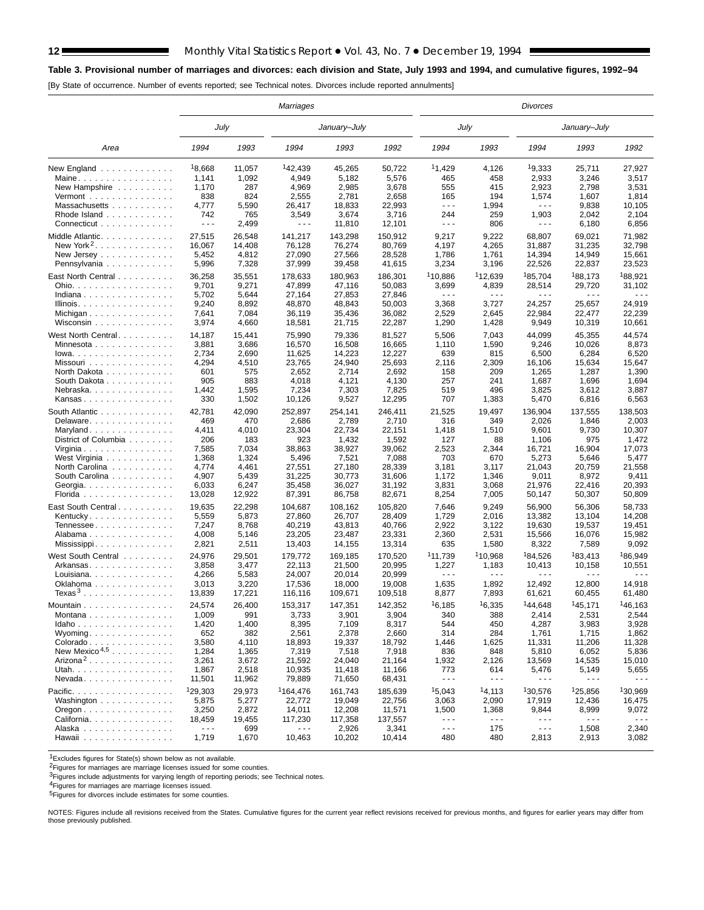#### **Table 3. Provisional number of marriages and divorces: each division and State, July 1993 and 1994, and cumulative figures, 1992–94**

[By State of occurrence. Number of events reported; see Technical notes. Divorces include reported annulments]

|                                                                 |                      |        | <b>Marriages</b>                                                                                                                                                                                                                                                                                                                                                                                                                      |              |                                                                                                                                                                                                                                                                                                                                                                                                                                                                                                                                                                                                                                                                                                                                                                                                                                                                                                                                                                                                                                                                                                                                                                                                                                                                                                                                                                                                                                                                                                                                                                                                                                                                                                                                                                                                                                                                                                                                                                                                                                                                                                                                                                                                                                                                                                                                                                                                                                                                                                                                                                                                                                                                                                                                                                                                                                                                                                                                                                                                                                                                                                                                                                                                                                                                                                                                      |                      |                      | <b>Divorces</b>      |              |                                |
|-----------------------------------------------------------------|----------------------|--------|---------------------------------------------------------------------------------------------------------------------------------------------------------------------------------------------------------------------------------------------------------------------------------------------------------------------------------------------------------------------------------------------------------------------------------------|--------------|--------------------------------------------------------------------------------------------------------------------------------------------------------------------------------------------------------------------------------------------------------------------------------------------------------------------------------------------------------------------------------------------------------------------------------------------------------------------------------------------------------------------------------------------------------------------------------------------------------------------------------------------------------------------------------------------------------------------------------------------------------------------------------------------------------------------------------------------------------------------------------------------------------------------------------------------------------------------------------------------------------------------------------------------------------------------------------------------------------------------------------------------------------------------------------------------------------------------------------------------------------------------------------------------------------------------------------------------------------------------------------------------------------------------------------------------------------------------------------------------------------------------------------------------------------------------------------------------------------------------------------------------------------------------------------------------------------------------------------------------------------------------------------------------------------------------------------------------------------------------------------------------------------------------------------------------------------------------------------------------------------------------------------------------------------------------------------------------------------------------------------------------------------------------------------------------------------------------------------------------------------------------------------------------------------------------------------------------------------------------------------------------------------------------------------------------------------------------------------------------------------------------------------------------------------------------------------------------------------------------------------------------------------------------------------------------------------------------------------------------------------------------------------------------------------------------------------------------------------------------------------------------------------------------------------------------------------------------------------------------------------------------------------------------------------------------------------------------------------------------------------------------------------------------------------------------------------------------------------------------------------------------------------------------------------------------------------------|----------------------|----------------------|----------------------|--------------|--------------------------------|
|                                                                 | July                 |        |                                                                                                                                                                                                                                                                                                                                                                                                                                       | January-July |                                                                                                                                                                                                                                                                                                                                                                                                                                                                                                                                                                                                                                                                                                                                                                                                                                                                                                                                                                                                                                                                                                                                                                                                                                                                                                                                                                                                                                                                                                                                                                                                                                                                                                                                                                                                                                                                                                                                                                                                                                                                                                                                                                                                                                                                                                                                                                                                                                                                                                                                                                                                                                                                                                                                                                                                                                                                                                                                                                                                                                                                                                                                                                                                                                                                                                                                      |                      | July                 |                      | January-July |                                |
| Area                                                            | 1994                 | 1993   | 1994                                                                                                                                                                                                                                                                                                                                                                                                                                  | 1993         | 1992                                                                                                                                                                                                                                                                                                                                                                                                                                                                                                                                                                                                                                                                                                                                                                                                                                                                                                                                                                                                                                                                                                                                                                                                                                                                                                                                                                                                                                                                                                                                                                                                                                                                                                                                                                                                                                                                                                                                                                                                                                                                                                                                                                                                                                                                                                                                                                                                                                                                                                                                                                                                                                                                                                                                                                                                                                                                                                                                                                                                                                                                                                                                                                                                                                                                                                                                 | 1994                 | 1993                 | 1994                 | 1993         | 1992                           |
| New England                                                     | 18,668               | 11,057 | 142,439                                                                                                                                                                                                                                                                                                                                                                                                                               | 45,265       | 50,722                                                                                                                                                                                                                                                                                                                                                                                                                                                                                                                                                                                                                                                                                                                                                                                                                                                                                                                                                                                                                                                                                                                                                                                                                                                                                                                                                                                                                                                                                                                                                                                                                                                                                                                                                                                                                                                                                                                                                                                                                                                                                                                                                                                                                                                                                                                                                                                                                                                                                                                                                                                                                                                                                                                                                                                                                                                                                                                                                                                                                                                                                                                                                                                                                                                                                                                               | 11.429               | 4,126                | 19,333               | 25,711       | 27,927                         |
| Maine                                                           | 1,141                | 1,092  | 4,949                                                                                                                                                                                                                                                                                                                                                                                                                                 | 5,182        | 5,576                                                                                                                                                                                                                                                                                                                                                                                                                                                                                                                                                                                                                                                                                                                                                                                                                                                                                                                                                                                                                                                                                                                                                                                                                                                                                                                                                                                                                                                                                                                                                                                                                                                                                                                                                                                                                                                                                                                                                                                                                                                                                                                                                                                                                                                                                                                                                                                                                                                                                                                                                                                                                                                                                                                                                                                                                                                                                                                                                                                                                                                                                                                                                                                                                                                                                                                                | 465                  | 458                  | 2,933                | 3,246        | 3,517                          |
| New Hampshire                                                   | 1,170                | 287    | 4,969                                                                                                                                                                                                                                                                                                                                                                                                                                 | 2,985        | 3,678                                                                                                                                                                                                                                                                                                                                                                                                                                                                                                                                                                                                                                                                                                                                                                                                                                                                                                                                                                                                                                                                                                                                                                                                                                                                                                                                                                                                                                                                                                                                                                                                                                                                                                                                                                                                                                                                                                                                                                                                                                                                                                                                                                                                                                                                                                                                                                                                                                                                                                                                                                                                                                                                                                                                                                                                                                                                                                                                                                                                                                                                                                                                                                                                                                                                                                                                | 555                  | 415                  | 2,923                | 2,798        | 3,531                          |
| Vermont $\ldots$ , $\ldots$ , $\ldots$ , $\ldots$               | 838                  | 824    | 2,555                                                                                                                                                                                                                                                                                                                                                                                                                                 | 2,781        | 2,658                                                                                                                                                                                                                                                                                                                                                                                                                                                                                                                                                                                                                                                                                                                                                                                                                                                                                                                                                                                                                                                                                                                                                                                                                                                                                                                                                                                                                                                                                                                                                                                                                                                                                                                                                                                                                                                                                                                                                                                                                                                                                                                                                                                                                                                                                                                                                                                                                                                                                                                                                                                                                                                                                                                                                                                                                                                                                                                                                                                                                                                                                                                                                                                                                                                                                                                                | 165                  | 194                  | 1,574                | 1,607        | 1,814                          |
| Massachusetts                                                   | 4,777                | 5,590  | 26,417                                                                                                                                                                                                                                                                                                                                                                                                                                | 18,833       | 22,993                                                                                                                                                                                                                                                                                                                                                                                                                                                                                                                                                                                                                                                                                                                                                                                                                                                                                                                                                                                                                                                                                                                                                                                                                                                                                                                                                                                                                                                                                                                                                                                                                                                                                                                                                                                                                                                                                                                                                                                                                                                                                                                                                                                                                                                                                                                                                                                                                                                                                                                                                                                                                                                                                                                                                                                                                                                                                                                                                                                                                                                                                                                                                                                                                                                                                                                               | $\sim$ $\sim$ $\sim$ | 1,994                | $\sim$ $\sim$ $\sim$ | 9,838        | 10,105                         |
| Rhode Island                                                    | 742                  | 765    | 3,549                                                                                                                                                                                                                                                                                                                                                                                                                                 | 3,674        | 3,716                                                                                                                                                                                                                                                                                                                                                                                                                                                                                                                                                                                                                                                                                                                                                                                                                                                                                                                                                                                                                                                                                                                                                                                                                                                                                                                                                                                                                                                                                                                                                                                                                                                                                                                                                                                                                                                                                                                                                                                                                                                                                                                                                                                                                                                                                                                                                                                                                                                                                                                                                                                                                                                                                                                                                                                                                                                                                                                                                                                                                                                                                                                                                                                                                                                                                                                                | 244                  | 259                  | 1,903                | 2,042        | 2,104                          |
| Connecticut                                                     | $\sim$ $\sim$ $\sim$ | 2,499  | $\sim$ $\sim$ $\sim$                                                                                                                                                                                                                                                                                                                                                                                                                  | 11,810       | 12,101                                                                                                                                                                                                                                                                                                                                                                                                                                                                                                                                                                                                                                                                                                                                                                                                                                                                                                                                                                                                                                                                                                                                                                                                                                                                                                                                                                                                                                                                                                                                                                                                                                                                                                                                                                                                                                                                                                                                                                                                                                                                                                                                                                                                                                                                                                                                                                                                                                                                                                                                                                                                                                                                                                                                                                                                                                                                                                                                                                                                                                                                                                                                                                                                                                                                                                                               | $\sim$ $\sim$ $\sim$ | 806                  | - - -                | 6,180        | 6,856                          |
| Middle Atlantic.                                                | 27,515               | 26,548 |                                                                                                                                                                                                                                                                                                                                                                                                                                       |              |                                                                                                                                                                                                                                                                                                                                                                                                                                                                                                                                                                                                                                                                                                                                                                                                                                                                                                                                                                                                                                                                                                                                                                                                                                                                                                                                                                                                                                                                                                                                                                                                                                                                                                                                                                                                                                                                                                                                                                                                                                                                                                                                                                                                                                                                                                                                                                                                                                                                                                                                                                                                                                                                                                                                                                                                                                                                                                                                                                                                                                                                                                                                                                                                                                                                                                                                      |                      |                      |                      |              | 71,982                         |
| New York <sup>2</sup> .                                         | 16,067               | 14,408 |                                                                                                                                                                                                                                                                                                                                                                                                                                       |              |                                                                                                                                                                                                                                                                                                                                                                                                                                                                                                                                                                                                                                                                                                                                                                                                                                                                                                                                                                                                                                                                                                                                                                                                                                                                                                                                                                                                                                                                                                                                                                                                                                                                                                                                                                                                                                                                                                                                                                                                                                                                                                                                                                                                                                                                                                                                                                                                                                                                                                                                                                                                                                                                                                                                                                                                                                                                                                                                                                                                                                                                                                                                                                                                                                                                                                                                      |                      |                      |                      |              | 32,798                         |
|                                                                 | 5,452                | 4,812  |                                                                                                                                                                                                                                                                                                                                                                                                                                       |              |                                                                                                                                                                                                                                                                                                                                                                                                                                                                                                                                                                                                                                                                                                                                                                                                                                                                                                                                                                                                                                                                                                                                                                                                                                                                                                                                                                                                                                                                                                                                                                                                                                                                                                                                                                                                                                                                                                                                                                                                                                                                                                                                                                                                                                                                                                                                                                                                                                                                                                                                                                                                                                                                                                                                                                                                                                                                                                                                                                                                                                                                                                                                                                                                                                                                                                                                      |                      |                      |                      |              | 15,661                         |
| Pennsylvania                                                    | 5,996                | 7,328  |                                                                                                                                                                                                                                                                                                                                                                                                                                       |              |                                                                                                                                                                                                                                                                                                                                                                                                                                                                                                                                                                                                                                                                                                                                                                                                                                                                                                                                                                                                                                                                                                                                                                                                                                                                                                                                                                                                                                                                                                                                                                                                                                                                                                                                                                                                                                                                                                                                                                                                                                                                                                                                                                                                                                                                                                                                                                                                                                                                                                                                                                                                                                                                                                                                                                                                                                                                                                                                                                                                                                                                                                                                                                                                                                                                                                                                      |                      |                      |                      |              | 23,523                         |
|                                                                 |                      |        |                                                                                                                                                                                                                                                                                                                                                                                                                                       |              | 150,912<br>9,217<br>9,222<br>68,807<br>69,021<br>76,274<br>80,769<br>4,265<br>4,197<br>31,887<br>31,235<br>1,786<br>27,566<br>28,528<br>1,761<br>14,394<br>14,949<br>39,458<br>41,615<br>3,234<br>3,196<br>22,526<br>22,837<br><sup>1</sup> 10.886<br>112,639<br><sup>1</sup> 85.704<br><sup>1</sup> 88.173<br>186,301<br>47,116<br>28,514<br>29,720<br>50,083<br>3,699<br>4,839<br>27,853<br>27,846<br>$\sim$ $\sim$ $\sim$<br>$\sim$ $\sim$ $\sim$<br>$\sim$ $\sim$ $\sim$<br>$\sim$ $\sim$ $\sim$<br>48,843<br>50,003<br>3,368<br>3,727<br>24,257<br>25,657<br>35,436<br>36,082<br>2,529<br>2,645<br>22,984<br>22,477<br>1,290<br>21,715<br>22,287<br>1,428<br>9,949<br>10,319<br>79,336<br>81,527<br>5,506<br>7,043<br>44,099<br>45,355<br>16,508<br>16,665<br>1,110<br>1,590<br>9,246<br>10,026<br>14,223<br>12,227<br>639<br>815<br>6,500<br>6,284<br>24,940<br>25,693<br>2,116<br>2,309<br>16.106<br>15.634<br>2,714<br>2,692<br>158<br>209<br>1,265<br>1,287<br>4,130<br>257<br>4,121<br>241<br>1,687<br>1,696<br>7,303<br>7,825<br>519<br>496<br>3,825<br>3,612<br>707<br>5,470<br>9,527<br>12,295<br>1,383<br>6,816<br>246,411<br>21,525<br>19,497<br>136,904<br>137,555<br>2,789<br>316<br>349<br>2,026<br>2,710<br>1,846<br>22,734<br>22,151<br>1,418<br>1,510<br>9,601<br>9,730<br>1,432<br>1,592<br>127<br>88<br>1,106<br>975<br>38,927<br>39,062<br>2,523<br>2,344<br>16,721<br>16,904<br>7,521<br>7,088<br>703<br>670<br>5,273<br>5,646<br>27,180<br>28,339<br>3,181<br>3,117<br>21,043<br>20,759<br>30,773<br>31,606<br>1,172<br>1,346<br>9,011<br>8,972<br>36,027<br>31,192<br>3,831<br>3,068<br>21,976<br>22,416<br>86,758<br>82,671<br>8,254<br>7,005<br>50,147<br>50,307<br>105,820<br>7,646<br>9,249<br>56,900<br>56,306<br>1,729<br>26,707<br>28,409<br>2,016<br>13,382<br>13,104<br>43,813<br>40,766<br>2,922<br>3,122<br>19,630<br>19,537<br>23,331<br>2,360<br>23,487<br>2,531<br>15,566<br>16,076<br>13,314<br>635<br>1,580<br>8,322<br>7,589<br>14,155<br>111,739<br><sup>1</sup> 10.968<br>184,526<br>183,413<br>170,520<br>1,227<br>10,413<br>21,500<br>20.995<br>1,183<br>10,158<br>20,014<br>20,999<br>$\sim$ $\sim$ $\sim$<br>$\sim$ $\sim$ $\sim$<br>.<br>$\sim$ $\sim$ $\sim$<br>1,635<br>1,892<br>18,000<br>19,008<br>12,492<br>12,800<br>8,877<br>7,893<br>109,518<br>61,621<br>60,455<br>142,352<br>16,185<br>16,335<br><sup>1</sup> 44,648<br><sup>1</sup> 45,171<br>3,901<br>3,904<br>340<br>388<br>2,414<br>2,531<br>7,109<br>544<br>4,287<br>3,983<br>8,317<br>450<br>2,378<br>2,660<br>314<br>284<br>1,761<br>1,715<br>19,337<br>18,792<br>1,446<br>1,625<br>11,331<br>11,206<br>7,518<br>7,918<br>836<br>848<br>5,810<br>6,052<br>24,040<br>21,164<br>1,932<br>2,126<br>13,569<br>14,535<br>11,418<br>11,166<br>773<br>614<br>5,476<br>5,149<br>71,650<br>68,431<br>$\sim$ $\sim$ $\sim$<br>$\sim$ $\sim$ $\sim$<br>$\sim$ $\sim$ $\sim$<br>$\sim$ $\sim$ $\sim$<br>15,043<br>14,113<br>130,576<br>185,639<br>125,856<br>3,063<br>2,090<br>17,919<br>19,049<br>22,756<br>12,436<br>12,208<br>11,571<br>1,500<br>1,368<br>9,844<br>8,999<br>137,557<br>$\sim$ $\sim$ $\sim$<br>$\sim$ $\sim$ $\sim$<br>$\sim$ $\sim$ $\sim$<br>$\sim$ $\sim$ $\sim$<br>2,926<br>3,341<br>$\sim$ $\sim$ $\sim$<br>175<br>$\sim$ $\sim$ $\sim$<br>1,508<br>480<br>10,202<br>10,414<br>480<br>2,813<br>2,913 |                      |                      |                      |              |                                |
| East North Central                                              | 36,258               | 35,551 |                                                                                                                                                                                                                                                                                                                                                                                                                                       |              |                                                                                                                                                                                                                                                                                                                                                                                                                                                                                                                                                                                                                                                                                                                                                                                                                                                                                                                                                                                                                                                                                                                                                                                                                                                                                                                                                                                                                                                                                                                                                                                                                                                                                                                                                                                                                                                                                                                                                                                                                                                                                                                                                                                                                                                                                                                                                                                                                                                                                                                                                                                                                                                                                                                                                                                                                                                                                                                                                                                                                                                                                                                                                                                                                                                                                                                                      |                      |                      |                      |              | <sup>1</sup> 88,921            |
| Ohio.                                                           | 9,701                | 9,271  |                                                                                                                                                                                                                                                                                                                                                                                                                                       |              |                                                                                                                                                                                                                                                                                                                                                                                                                                                                                                                                                                                                                                                                                                                                                                                                                                                                                                                                                                                                                                                                                                                                                                                                                                                                                                                                                                                                                                                                                                                                                                                                                                                                                                                                                                                                                                                                                                                                                                                                                                                                                                                                                                                                                                                                                                                                                                                                                                                                                                                                                                                                                                                                                                                                                                                                                                                                                                                                                                                                                                                                                                                                                                                                                                                                                                                                      |                      |                      |                      |              | 31,102<br>$\sim$ $\sim$ $\sim$ |
| Indiana                                                         | 5,702                | 5,644  |                                                                                                                                                                                                                                                                                                                                                                                                                                       |              |                                                                                                                                                                                                                                                                                                                                                                                                                                                                                                                                                                                                                                                                                                                                                                                                                                                                                                                                                                                                                                                                                                                                                                                                                                                                                                                                                                                                                                                                                                                                                                                                                                                                                                                                                                                                                                                                                                                                                                                                                                                                                                                                                                                                                                                                                                                                                                                                                                                                                                                                                                                                                                                                                                                                                                                                                                                                                                                                                                                                                                                                                                                                                                                                                                                                                                                                      |                      |                      |                      |              |                                |
| Illinois.                                                       | 9,240                | 8,892  |                                                                                                                                                                                                                                                                                                                                                                                                                                       |              |                                                                                                                                                                                                                                                                                                                                                                                                                                                                                                                                                                                                                                                                                                                                                                                                                                                                                                                                                                                                                                                                                                                                                                                                                                                                                                                                                                                                                                                                                                                                                                                                                                                                                                                                                                                                                                                                                                                                                                                                                                                                                                                                                                                                                                                                                                                                                                                                                                                                                                                                                                                                                                                                                                                                                                                                                                                                                                                                                                                                                                                                                                                                                                                                                                                                                                                                      |                      |                      |                      |              | 24,919                         |
| Michigan                                                        | 7,641                | 7,084  |                                                                                                                                                                                                                                                                                                                                                                                                                                       |              |                                                                                                                                                                                                                                                                                                                                                                                                                                                                                                                                                                                                                                                                                                                                                                                                                                                                                                                                                                                                                                                                                                                                                                                                                                                                                                                                                                                                                                                                                                                                                                                                                                                                                                                                                                                                                                                                                                                                                                                                                                                                                                                                                                                                                                                                                                                                                                                                                                                                                                                                                                                                                                                                                                                                                                                                                                                                                                                                                                                                                                                                                                                                                                                                                                                                                                                                      |                      |                      |                      |              | 22,239                         |
| Wisconsin                                                       | 3,974                | 4,660  |                                                                                                                                                                                                                                                                                                                                                                                                                                       |              |                                                                                                                                                                                                                                                                                                                                                                                                                                                                                                                                                                                                                                                                                                                                                                                                                                                                                                                                                                                                                                                                                                                                                                                                                                                                                                                                                                                                                                                                                                                                                                                                                                                                                                                                                                                                                                                                                                                                                                                                                                                                                                                                                                                                                                                                                                                                                                                                                                                                                                                                                                                                                                                                                                                                                                                                                                                                                                                                                                                                                                                                                                                                                                                                                                                                                                                                      |                      |                      |                      |              | 10,661                         |
| West North Central                                              | 14,187               | 15,441 | 75,990                                                                                                                                                                                                                                                                                                                                                                                                                                |              |                                                                                                                                                                                                                                                                                                                                                                                                                                                                                                                                                                                                                                                                                                                                                                                                                                                                                                                                                                                                                                                                                                                                                                                                                                                                                                                                                                                                                                                                                                                                                                                                                                                                                                                                                                                                                                                                                                                                                                                                                                                                                                                                                                                                                                                                                                                                                                                                                                                                                                                                                                                                                                                                                                                                                                                                                                                                                                                                                                                                                                                                                                                                                                                                                                                                                                                                      |                      |                      |                      |              | 44,574                         |
| Minnesota                                                       | 3,881                | 3,686  | 16,570                                                                                                                                                                                                                                                                                                                                                                                                                                |              |                                                                                                                                                                                                                                                                                                                                                                                                                                                                                                                                                                                                                                                                                                                                                                                                                                                                                                                                                                                                                                                                                                                                                                                                                                                                                                                                                                                                                                                                                                                                                                                                                                                                                                                                                                                                                                                                                                                                                                                                                                                                                                                                                                                                                                                                                                                                                                                                                                                                                                                                                                                                                                                                                                                                                                                                                                                                                                                                                                                                                                                                                                                                                                                                                                                                                                                                      |                      |                      |                      |              | 8,873                          |
| $Iowa.$                                                         | 2,734                | 2,690  | 11,625                                                                                                                                                                                                                                                                                                                                                                                                                                |              |                                                                                                                                                                                                                                                                                                                                                                                                                                                                                                                                                                                                                                                                                                                                                                                                                                                                                                                                                                                                                                                                                                                                                                                                                                                                                                                                                                                                                                                                                                                                                                                                                                                                                                                                                                                                                                                                                                                                                                                                                                                                                                                                                                                                                                                                                                                                                                                                                                                                                                                                                                                                                                                                                                                                                                                                                                                                                                                                                                                                                                                                                                                                                                                                                                                                                                                                      |                      |                      |                      |              | 6,520                          |
| Missouri                                                        | 4,294                | 4,510  | 23,765                                                                                                                                                                                                                                                                                                                                                                                                                                |              |                                                                                                                                                                                                                                                                                                                                                                                                                                                                                                                                                                                                                                                                                                                                                                                                                                                                                                                                                                                                                                                                                                                                                                                                                                                                                                                                                                                                                                                                                                                                                                                                                                                                                                                                                                                                                                                                                                                                                                                                                                                                                                                                                                                                                                                                                                                                                                                                                                                                                                                                                                                                                                                                                                                                                                                                                                                                                                                                                                                                                                                                                                                                                                                                                                                                                                                                      |                      |                      |                      |              | 15,647                         |
| North Dakota                                                    | 601                  | 575    | 2,652                                                                                                                                                                                                                                                                                                                                                                                                                                 |              |                                                                                                                                                                                                                                                                                                                                                                                                                                                                                                                                                                                                                                                                                                                                                                                                                                                                                                                                                                                                                                                                                                                                                                                                                                                                                                                                                                                                                                                                                                                                                                                                                                                                                                                                                                                                                                                                                                                                                                                                                                                                                                                                                                                                                                                                                                                                                                                                                                                                                                                                                                                                                                                                                                                                                                                                                                                                                                                                                                                                                                                                                                                                                                                                                                                                                                                                      |                      |                      |                      |              | 1,390                          |
| South Dakota                                                    | 905                  | 883    | 4,018                                                                                                                                                                                                                                                                                                                                                                                                                                 |              |                                                                                                                                                                                                                                                                                                                                                                                                                                                                                                                                                                                                                                                                                                                                                                                                                                                                                                                                                                                                                                                                                                                                                                                                                                                                                                                                                                                                                                                                                                                                                                                                                                                                                                                                                                                                                                                                                                                                                                                                                                                                                                                                                                                                                                                                                                                                                                                                                                                                                                                                                                                                                                                                                                                                                                                                                                                                                                                                                                                                                                                                                                                                                                                                                                                                                                                                      |                      |                      |                      |              | 1,694                          |
| Nebraska                                                        | 1,442                | 1,595  |                                                                                                                                                                                                                                                                                                                                                                                                                                       |              |                                                                                                                                                                                                                                                                                                                                                                                                                                                                                                                                                                                                                                                                                                                                                                                                                                                                                                                                                                                                                                                                                                                                                                                                                                                                                                                                                                                                                                                                                                                                                                                                                                                                                                                                                                                                                                                                                                                                                                                                                                                                                                                                                                                                                                                                                                                                                                                                                                                                                                                                                                                                                                                                                                                                                                                                                                                                                                                                                                                                                                                                                                                                                                                                                                                                                                                                      |                      |                      |                      |              | 3,887                          |
| Kansas                                                          | 330                  | 1,502  | 10,126                                                                                                                                                                                                                                                                                                                                                                                                                                |              |                                                                                                                                                                                                                                                                                                                                                                                                                                                                                                                                                                                                                                                                                                                                                                                                                                                                                                                                                                                                                                                                                                                                                                                                                                                                                                                                                                                                                                                                                                                                                                                                                                                                                                                                                                                                                                                                                                                                                                                                                                                                                                                                                                                                                                                                                                                                                                                                                                                                                                                                                                                                                                                                                                                                                                                                                                                                                                                                                                                                                                                                                                                                                                                                                                                                                                                                      |                      |                      |                      |              | 6,563                          |
| South Atlantic                                                  | 42,781               | 42,090 |                                                                                                                                                                                                                                                                                                                                                                                                                                       |              |                                                                                                                                                                                                                                                                                                                                                                                                                                                                                                                                                                                                                                                                                                                                                                                                                                                                                                                                                                                                                                                                                                                                                                                                                                                                                                                                                                                                                                                                                                                                                                                                                                                                                                                                                                                                                                                                                                                                                                                                                                                                                                                                                                                                                                                                                                                                                                                                                                                                                                                                                                                                                                                                                                                                                                                                                                                                                                                                                                                                                                                                                                                                                                                                                                                                                                                                      |                      |                      |                      |              | 138,503                        |
| Delaware                                                        | 469                  | 470    |                                                                                                                                                                                                                                                                                                                                                                                                                                       |              |                                                                                                                                                                                                                                                                                                                                                                                                                                                                                                                                                                                                                                                                                                                                                                                                                                                                                                                                                                                                                                                                                                                                                                                                                                                                                                                                                                                                                                                                                                                                                                                                                                                                                                                                                                                                                                                                                                                                                                                                                                                                                                                                                                                                                                                                                                                                                                                                                                                                                                                                                                                                                                                                                                                                                                                                                                                                                                                                                                                                                                                                                                                                                                                                                                                                                                                                      |                      |                      |                      |              | 2,003                          |
| Maryland                                                        | 4,411                | 4,010  |                                                                                                                                                                                                                                                                                                                                                                                                                                       |              |                                                                                                                                                                                                                                                                                                                                                                                                                                                                                                                                                                                                                                                                                                                                                                                                                                                                                                                                                                                                                                                                                                                                                                                                                                                                                                                                                                                                                                                                                                                                                                                                                                                                                                                                                                                                                                                                                                                                                                                                                                                                                                                                                                                                                                                                                                                                                                                                                                                                                                                                                                                                                                                                                                                                                                                                                                                                                                                                                                                                                                                                                                                                                                                                                                                                                                                                      |                      |                      |                      |              | 10,307                         |
| District of Columbia                                            | 206                  | 183    |                                                                                                                                                                                                                                                                                                                                                                                                                                       |              |                                                                                                                                                                                                                                                                                                                                                                                                                                                                                                                                                                                                                                                                                                                                                                                                                                                                                                                                                                                                                                                                                                                                                                                                                                                                                                                                                                                                                                                                                                                                                                                                                                                                                                                                                                                                                                                                                                                                                                                                                                                                                                                                                                                                                                                                                                                                                                                                                                                                                                                                                                                                                                                                                                                                                                                                                                                                                                                                                                                                                                                                                                                                                                                                                                                                                                                                      |                      |                      |                      |              | 1,472                          |
| Virginia                                                        | 7,585                | 7,034  | 38,863                                                                                                                                                                                                                                                                                                                                                                                                                                |              |                                                                                                                                                                                                                                                                                                                                                                                                                                                                                                                                                                                                                                                                                                                                                                                                                                                                                                                                                                                                                                                                                                                                                                                                                                                                                                                                                                                                                                                                                                                                                                                                                                                                                                                                                                                                                                                                                                                                                                                                                                                                                                                                                                                                                                                                                                                                                                                                                                                                                                                                                                                                                                                                                                                                                                                                                                                                                                                                                                                                                                                                                                                                                                                                                                                                                                                                      |                      |                      |                      |              | 17,073                         |
| West Virginia                                                   | 1,368                | 1,324  |                                                                                                                                                                                                                                                                                                                                                                                                                                       |              |                                                                                                                                                                                                                                                                                                                                                                                                                                                                                                                                                                                                                                                                                                                                                                                                                                                                                                                                                                                                                                                                                                                                                                                                                                                                                                                                                                                                                                                                                                                                                                                                                                                                                                                                                                                                                                                                                                                                                                                                                                                                                                                                                                                                                                                                                                                                                                                                                                                                                                                                                                                                                                                                                                                                                                                                                                                                                                                                                                                                                                                                                                                                                                                                                                                                                                                                      |                      |                      |                      |              | 5,477                          |
| North Carolina                                                  | 4,774                | 4,461  | 27,551                                                                                                                                                                                                                                                                                                                                                                                                                                |              |                                                                                                                                                                                                                                                                                                                                                                                                                                                                                                                                                                                                                                                                                                                                                                                                                                                                                                                                                                                                                                                                                                                                                                                                                                                                                                                                                                                                                                                                                                                                                                                                                                                                                                                                                                                                                                                                                                                                                                                                                                                                                                                                                                                                                                                                                                                                                                                                                                                                                                                                                                                                                                                                                                                                                                                                                                                                                                                                                                                                                                                                                                                                                                                                                                                                                                                                      |                      |                      |                      |              | 21,558                         |
| South Carolina                                                  | 4,907                | 5,439  | 31,225                                                                                                                                                                                                                                                                                                                                                                                                                                |              |                                                                                                                                                                                                                                                                                                                                                                                                                                                                                                                                                                                                                                                                                                                                                                                                                                                                                                                                                                                                                                                                                                                                                                                                                                                                                                                                                                                                                                                                                                                                                                                                                                                                                                                                                                                                                                                                                                                                                                                                                                                                                                                                                                                                                                                                                                                                                                                                                                                                                                                                                                                                                                                                                                                                                                                                                                                                                                                                                                                                                                                                                                                                                                                                                                                                                                                                      |                      |                      |                      |              | 9,411                          |
| Georgia.                                                        | 6,033                | 6,247  | 35,458                                                                                                                                                                                                                                                                                                                                                                                                                                |              |                                                                                                                                                                                                                                                                                                                                                                                                                                                                                                                                                                                                                                                                                                                                                                                                                                                                                                                                                                                                                                                                                                                                                                                                                                                                                                                                                                                                                                                                                                                                                                                                                                                                                                                                                                                                                                                                                                                                                                                                                                                                                                                                                                                                                                                                                                                                                                                                                                                                                                                                                                                                                                                                                                                                                                                                                                                                                                                                                                                                                                                                                                                                                                                                                                                                                                                                      |                      |                      |                      |              | 20,393                         |
| Florida                                                         | 13,028               | 12,922 | 87,391                                                                                                                                                                                                                                                                                                                                                                                                                                |              |                                                                                                                                                                                                                                                                                                                                                                                                                                                                                                                                                                                                                                                                                                                                                                                                                                                                                                                                                                                                                                                                                                                                                                                                                                                                                                                                                                                                                                                                                                                                                                                                                                                                                                                                                                                                                                                                                                                                                                                                                                                                                                                                                                                                                                                                                                                                                                                                                                                                                                                                                                                                                                                                                                                                                                                                                                                                                                                                                                                                                                                                                                                                                                                                                                                                                                                                      |                      |                      |                      |              | 50,809                         |
| East South Central.                                             | 19,635               | 22,298 |                                                                                                                                                                                                                                                                                                                                                                                                                                       |              |                                                                                                                                                                                                                                                                                                                                                                                                                                                                                                                                                                                                                                                                                                                                                                                                                                                                                                                                                                                                                                                                                                                                                                                                                                                                                                                                                                                                                                                                                                                                                                                                                                                                                                                                                                                                                                                                                                                                                                                                                                                                                                                                                                                                                                                                                                                                                                                                                                                                                                                                                                                                                                                                                                                                                                                                                                                                                                                                                                                                                                                                                                                                                                                                                                                                                                                                      |                      |                      |                      |              | 58,733                         |
| Kentucky                                                        | 5,559                | 5,873  |                                                                                                                                                                                                                                                                                                                                                                                                                                       |              |                                                                                                                                                                                                                                                                                                                                                                                                                                                                                                                                                                                                                                                                                                                                                                                                                                                                                                                                                                                                                                                                                                                                                                                                                                                                                                                                                                                                                                                                                                                                                                                                                                                                                                                                                                                                                                                                                                                                                                                                                                                                                                                                                                                                                                                                                                                                                                                                                                                                                                                                                                                                                                                                                                                                                                                                                                                                                                                                                                                                                                                                                                                                                                                                                                                                                                                                      |                      |                      |                      |              | 14,208                         |
| Tennessee                                                       | 7,247                | 8,768  |                                                                                                                                                                                                                                                                                                                                                                                                                                       |              |                                                                                                                                                                                                                                                                                                                                                                                                                                                                                                                                                                                                                                                                                                                                                                                                                                                                                                                                                                                                                                                                                                                                                                                                                                                                                                                                                                                                                                                                                                                                                                                                                                                                                                                                                                                                                                                                                                                                                                                                                                                                                                                                                                                                                                                                                                                                                                                                                                                                                                                                                                                                                                                                                                                                                                                                                                                                                                                                                                                                                                                                                                                                                                                                                                                                                                                                      |                      |                      |                      |              | 19,451                         |
| Alabama                                                         | 4,008                | 5,146  |                                                                                                                                                                                                                                                                                                                                                                                                                                       |              |                                                                                                                                                                                                                                                                                                                                                                                                                                                                                                                                                                                                                                                                                                                                                                                                                                                                                                                                                                                                                                                                                                                                                                                                                                                                                                                                                                                                                                                                                                                                                                                                                                                                                                                                                                                                                                                                                                                                                                                                                                                                                                                                                                                                                                                                                                                                                                                                                                                                                                                                                                                                                                                                                                                                                                                                                                                                                                                                                                                                                                                                                                                                                                                                                                                                                                                                      |                      |                      |                      |              | 15,982                         |
| Mississippi                                                     | 2,821                | 2,511  |                                                                                                                                                                                                                                                                                                                                                                                                                                       |              |                                                                                                                                                                                                                                                                                                                                                                                                                                                                                                                                                                                                                                                                                                                                                                                                                                                                                                                                                                                                                                                                                                                                                                                                                                                                                                                                                                                                                                                                                                                                                                                                                                                                                                                                                                                                                                                                                                                                                                                                                                                                                                                                                                                                                                                                                                                                                                                                                                                                                                                                                                                                                                                                                                                                                                                                                                                                                                                                                                                                                                                                                                                                                                                                                                                                                                                                      |                      |                      |                      |              | 9,092                          |
|                                                                 |                      |        |                                                                                                                                                                                                                                                                                                                                                                                                                                       |              |                                                                                                                                                                                                                                                                                                                                                                                                                                                                                                                                                                                                                                                                                                                                                                                                                                                                                                                                                                                                                                                                                                                                                                                                                                                                                                                                                                                                                                                                                                                                                                                                                                                                                                                                                                                                                                                                                                                                                                                                                                                                                                                                                                                                                                                                                                                                                                                                                                                                                                                                                                                                                                                                                                                                                                                                                                                                                                                                                                                                                                                                                                                                                                                                                                                                                                                                      |                      |                      |                      |              |                                |
| West South Central                                              | 24,976               | 29,501 |                                                                                                                                                                                                                                                                                                                                                                                                                                       |              |                                                                                                                                                                                                                                                                                                                                                                                                                                                                                                                                                                                                                                                                                                                                                                                                                                                                                                                                                                                                                                                                                                                                                                                                                                                                                                                                                                                                                                                                                                                                                                                                                                                                                                                                                                                                                                                                                                                                                                                                                                                                                                                                                                                                                                                                                                                                                                                                                                                                                                                                                                                                                                                                                                                                                                                                                                                                                                                                                                                                                                                                                                                                                                                                                                                                                                                                      |                      |                      |                      |              | 186,949                        |
| Arkansas                                                        | 3,858                | 3,477  |                                                                                                                                                                                                                                                                                                                                                                                                                                       |              |                                                                                                                                                                                                                                                                                                                                                                                                                                                                                                                                                                                                                                                                                                                                                                                                                                                                                                                                                                                                                                                                                                                                                                                                                                                                                                                                                                                                                                                                                                                                                                                                                                                                                                                                                                                                                                                                                                                                                                                                                                                                                                                                                                                                                                                                                                                                                                                                                                                                                                                                                                                                                                                                                                                                                                                                                                                                                                                                                                                                                                                                                                                                                                                                                                                                                                                                      |                      |                      |                      |              | 10,551                         |
| Louisiana                                                       | 4,266                | 5,583  |                                                                                                                                                                                                                                                                                                                                                                                                                                       |              |                                                                                                                                                                                                                                                                                                                                                                                                                                                                                                                                                                                                                                                                                                                                                                                                                                                                                                                                                                                                                                                                                                                                                                                                                                                                                                                                                                                                                                                                                                                                                                                                                                                                                                                                                                                                                                                                                                                                                                                                                                                                                                                                                                                                                                                                                                                                                                                                                                                                                                                                                                                                                                                                                                                                                                                                                                                                                                                                                                                                                                                                                                                                                                                                                                                                                                                                      |                      |                      |                      |              | $\sim$ $\sim$ $\sim$           |
| Oklahoma                                                        | 3,013                | 3,220  |                                                                                                                                                                                                                                                                                                                                                                                                                                       |              |                                                                                                                                                                                                                                                                                                                                                                                                                                                                                                                                                                                                                                                                                                                                                                                                                                                                                                                                                                                                                                                                                                                                                                                                                                                                                                                                                                                                                                                                                                                                                                                                                                                                                                                                                                                                                                                                                                                                                                                                                                                                                                                                                                                                                                                                                                                                                                                                                                                                                                                                                                                                                                                                                                                                                                                                                                                                                                                                                                                                                                                                                                                                                                                                                                                                                                                                      |                      |                      |                      |              | 14,918                         |
| $T$ exas $^3$                                                   | 13,839               | 17,221 |                                                                                                                                                                                                                                                                                                                                                                                                                                       |              |                                                                                                                                                                                                                                                                                                                                                                                                                                                                                                                                                                                                                                                                                                                                                                                                                                                                                                                                                                                                                                                                                                                                                                                                                                                                                                                                                                                                                                                                                                                                                                                                                                                                                                                                                                                                                                                                                                                                                                                                                                                                                                                                                                                                                                                                                                                                                                                                                                                                                                                                                                                                                                                                                                                                                                                                                                                                                                                                                                                                                                                                                                                                                                                                                                                                                                                                      |                      |                      |                      |              | 61,480                         |
| Mountain                                                        | 24,574               | 26,400 | 153.317                                                                                                                                                                                                                                                                                                                                                                                                                               | 147,351      |                                                                                                                                                                                                                                                                                                                                                                                                                                                                                                                                                                                                                                                                                                                                                                                                                                                                                                                                                                                                                                                                                                                                                                                                                                                                                                                                                                                                                                                                                                                                                                                                                                                                                                                                                                                                                                                                                                                                                                                                                                                                                                                                                                                                                                                                                                                                                                                                                                                                                                                                                                                                                                                                                                                                                                                                                                                                                                                                                                                                                                                                                                                                                                                                                                                                                                                                      |                      |                      |                      |              | 146,163                        |
| Montana                                                         | 1,009                | 991    | 3,733                                                                                                                                                                                                                                                                                                                                                                                                                                 |              |                                                                                                                                                                                                                                                                                                                                                                                                                                                                                                                                                                                                                                                                                                                                                                                                                                                                                                                                                                                                                                                                                                                                                                                                                                                                                                                                                                                                                                                                                                                                                                                                                                                                                                                                                                                                                                                                                                                                                                                                                                                                                                                                                                                                                                                                                                                                                                                                                                                                                                                                                                                                                                                                                                                                                                                                                                                                                                                                                                                                                                                                                                                                                                                                                                                                                                                                      |                      |                      |                      |              | 2,544                          |
| Idaho                                                           | 1,420                | 1,400  | 8,395                                                                                                                                                                                                                                                                                                                                                                                                                                 |              |                                                                                                                                                                                                                                                                                                                                                                                                                                                                                                                                                                                                                                                                                                                                                                                                                                                                                                                                                                                                                                                                                                                                                                                                                                                                                                                                                                                                                                                                                                                                                                                                                                                                                                                                                                                                                                                                                                                                                                                                                                                                                                                                                                                                                                                                                                                                                                                                                                                                                                                                                                                                                                                                                                                                                                                                                                                                                                                                                                                                                                                                                                                                                                                                                                                                                                                                      |                      |                      |                      |              | 3,928                          |
| Wyoming                                                         | 652                  | 382    | 2,561                                                                                                                                                                                                                                                                                                                                                                                                                                 |              |                                                                                                                                                                                                                                                                                                                                                                                                                                                                                                                                                                                                                                                                                                                                                                                                                                                                                                                                                                                                                                                                                                                                                                                                                                                                                                                                                                                                                                                                                                                                                                                                                                                                                                                                                                                                                                                                                                                                                                                                                                                                                                                                                                                                                                                                                                                                                                                                                                                                                                                                                                                                                                                                                                                                                                                                                                                                                                                                                                                                                                                                                                                                                                                                                                                                                                                                      |                      |                      |                      |              | 1,862                          |
| Colorado                                                        | 3,580                | 4,110  | 18,893                                                                                                                                                                                                                                                                                                                                                                                                                                |              |                                                                                                                                                                                                                                                                                                                                                                                                                                                                                                                                                                                                                                                                                                                                                                                                                                                                                                                                                                                                                                                                                                                                                                                                                                                                                                                                                                                                                                                                                                                                                                                                                                                                                                                                                                                                                                                                                                                                                                                                                                                                                                                                                                                                                                                                                                                                                                                                                                                                                                                                                                                                                                                                                                                                                                                                                                                                                                                                                                                                                                                                                                                                                                                                                                                                                                                                      |                      |                      |                      |              | 11,328                         |
| New Mexico <sup><math>4,5</math></sup>                          | 1,284                | 1,365  | 7,319                                                                                                                                                                                                                                                                                                                                                                                                                                 |              |                                                                                                                                                                                                                                                                                                                                                                                                                                                                                                                                                                                                                                                                                                                                                                                                                                                                                                                                                                                                                                                                                                                                                                                                                                                                                                                                                                                                                                                                                                                                                                                                                                                                                                                                                                                                                                                                                                                                                                                                                                                                                                                                                                                                                                                                                                                                                                                                                                                                                                                                                                                                                                                                                                                                                                                                                                                                                                                                                                                                                                                                                                                                                                                                                                                                                                                                      |                      |                      |                      |              | 5,836                          |
| Arizona <sup>2</sup>                                            | 3,261                | 3,672  | 21,592                                                                                                                                                                                                                                                                                                                                                                                                                                |              |                                                                                                                                                                                                                                                                                                                                                                                                                                                                                                                                                                                                                                                                                                                                                                                                                                                                                                                                                                                                                                                                                                                                                                                                                                                                                                                                                                                                                                                                                                                                                                                                                                                                                                                                                                                                                                                                                                                                                                                                                                                                                                                                                                                                                                                                                                                                                                                                                                                                                                                                                                                                                                                                                                                                                                                                                                                                                                                                                                                                                                                                                                                                                                                                                                                                                                                                      |                      |                      |                      |              | 15,010                         |
| Utah.                                                           | 1,867                | 2,518  | 10,935                                                                                                                                                                                                                                                                                                                                                                                                                                |              |                                                                                                                                                                                                                                                                                                                                                                                                                                                                                                                                                                                                                                                                                                                                                                                                                                                                                                                                                                                                                                                                                                                                                                                                                                                                                                                                                                                                                                                                                                                                                                                                                                                                                                                                                                                                                                                                                                                                                                                                                                                                                                                                                                                                                                                                                                                                                                                                                                                                                                                                                                                                                                                                                                                                                                                                                                                                                                                                                                                                                                                                                                                                                                                                                                                                                                                                      |                      |                      |                      |              | 5,655                          |
| $N$ evada                                                       | 11,501               | 11,962 | 79,889                                                                                                                                                                                                                                                                                                                                                                                                                                |              |                                                                                                                                                                                                                                                                                                                                                                                                                                                                                                                                                                                                                                                                                                                                                                                                                                                                                                                                                                                                                                                                                                                                                                                                                                                                                                                                                                                                                                                                                                                                                                                                                                                                                                                                                                                                                                                                                                                                                                                                                                                                                                                                                                                                                                                                                                                                                                                                                                                                                                                                                                                                                                                                                                                                                                                                                                                                                                                                                                                                                                                                                                                                                                                                                                                                                                                                      |                      | $\sim$ $\sim$ $\sim$ |                      |              |                                |
| Pacific.                                                        | 129,303              | 29,973 | 141,217<br>143,298<br>76,128<br>27,090<br>37,999<br>178,633<br>180,963<br>47,899<br>27,164<br>48,870<br>36,119<br>18,581<br>7,234<br>252,897<br>254,141<br>2,686<br>23,304<br>923<br>5,496<br>104,687<br>108,162<br>27,860<br>40,219<br>23,205<br>13,403<br>179,772<br>169,185<br>22,113<br>24,007<br>17,536<br>116,116<br>109,671<br>1164,476<br>161,743<br>22,772<br>14,011<br>117,230<br>117,358<br>$\sim$ $\sim$ $\sim$<br>10,463 |              | 130.969                                                                                                                                                                                                                                                                                                                                                                                                                                                                                                                                                                                                                                                                                                                                                                                                                                                                                                                                                                                                                                                                                                                                                                                                                                                                                                                                                                                                                                                                                                                                                                                                                                                                                                                                                                                                                                                                                                                                                                                                                                                                                                                                                                                                                                                                                                                                                                                                                                                                                                                                                                                                                                                                                                                                                                                                                                                                                                                                                                                                                                                                                                                                                                                                                                                                                                                              |                      |                      |                      |              |                                |
| Washington                                                      | 5,875                | 5,277  |                                                                                                                                                                                                                                                                                                                                                                                                                                       |              |                                                                                                                                                                                                                                                                                                                                                                                                                                                                                                                                                                                                                                                                                                                                                                                                                                                                                                                                                                                                                                                                                                                                                                                                                                                                                                                                                                                                                                                                                                                                                                                                                                                                                                                                                                                                                                                                                                                                                                                                                                                                                                                                                                                                                                                                                                                                                                                                                                                                                                                                                                                                                                                                                                                                                                                                                                                                                                                                                                                                                                                                                                                                                                                                                                                                                                                                      |                      |                      |                      |              | 16,475                         |
| $O$ regon $\ldots$ $\ldots$ $\ldots$ $\ldots$ $\ldots$ $\ldots$ | 3,250                | 2,872  |                                                                                                                                                                                                                                                                                                                                                                                                                                       |              |                                                                                                                                                                                                                                                                                                                                                                                                                                                                                                                                                                                                                                                                                                                                                                                                                                                                                                                                                                                                                                                                                                                                                                                                                                                                                                                                                                                                                                                                                                                                                                                                                                                                                                                                                                                                                                                                                                                                                                                                                                                                                                                                                                                                                                                                                                                                                                                                                                                                                                                                                                                                                                                                                                                                                                                                                                                                                                                                                                                                                                                                                                                                                                                                                                                                                                                                      |                      |                      |                      |              | 9,072                          |
| California                                                      | 18,459               | 19,455 |                                                                                                                                                                                                                                                                                                                                                                                                                                       |              |                                                                                                                                                                                                                                                                                                                                                                                                                                                                                                                                                                                                                                                                                                                                                                                                                                                                                                                                                                                                                                                                                                                                                                                                                                                                                                                                                                                                                                                                                                                                                                                                                                                                                                                                                                                                                                                                                                                                                                                                                                                                                                                                                                                                                                                                                                                                                                                                                                                                                                                                                                                                                                                                                                                                                                                                                                                                                                                                                                                                                                                                                                                                                                                                                                                                                                                                      |                      |                      |                      |              | $\sim$ $\sim$ $\sim$           |
| Alaska                                                          | $\sim$ $\sim$ $\sim$ | 699    |                                                                                                                                                                                                                                                                                                                                                                                                                                       |              |                                                                                                                                                                                                                                                                                                                                                                                                                                                                                                                                                                                                                                                                                                                                                                                                                                                                                                                                                                                                                                                                                                                                                                                                                                                                                                                                                                                                                                                                                                                                                                                                                                                                                                                                                                                                                                                                                                                                                                                                                                                                                                                                                                                                                                                                                                                                                                                                                                                                                                                                                                                                                                                                                                                                                                                                                                                                                                                                                                                                                                                                                                                                                                                                                                                                                                                                      |                      |                      |                      |              | 2,340                          |
| Hawaii                                                          | 1,719                | 1,670  |                                                                                                                                                                                                                                                                                                                                                                                                                                       |              |                                                                                                                                                                                                                                                                                                                                                                                                                                                                                                                                                                                                                                                                                                                                                                                                                                                                                                                                                                                                                                                                                                                                                                                                                                                                                                                                                                                                                                                                                                                                                                                                                                                                                                                                                                                                                                                                                                                                                                                                                                                                                                                                                                                                                                                                                                                                                                                                                                                                                                                                                                                                                                                                                                                                                                                                                                                                                                                                                                                                                                                                                                                                                                                                                                                                                                                                      |                      |                      |                      |              | 3,082                          |
|                                                                 |                      |        |                                                                                                                                                                                                                                                                                                                                                                                                                                       |              |                                                                                                                                                                                                                                                                                                                                                                                                                                                                                                                                                                                                                                                                                                                                                                                                                                                                                                                                                                                                                                                                                                                                                                                                                                                                                                                                                                                                                                                                                                                                                                                                                                                                                                                                                                                                                                                                                                                                                                                                                                                                                                                                                                                                                                                                                                                                                                                                                                                                                                                                                                                                                                                                                                                                                                                                                                                                                                                                                                                                                                                                                                                                                                                                                                                                                                                                      |                      |                      |                      |              |                                |

1Excludes figures for State(s) shown below as not available.

2Figures for marriages are marriage licenses issued for some counties.

<sup>3</sup>Figures include adjustments for varying length of reporting periods; see Technical notes.

4Figures for marriages are marriage licenses issued.

5Figures for divorces include estimates for some counties.

NOTES: Figures include all revisions received from the States. Cumulative figures for the current year reflect revisions received for previous months, and figures for earlier years may differ from those previously published.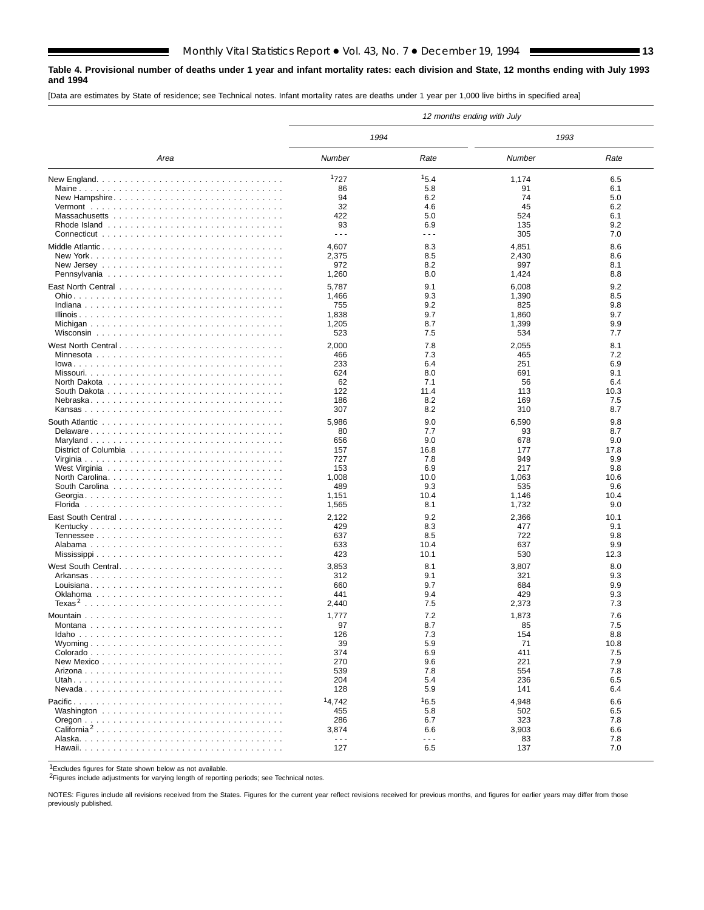#### **Table 4. Provisional number of deaths under 1 year and infant mortality rates: each division and State, 12 months ending with July 1993 and 1994**

[Data are estimates by State of residence; see Technical notes. Infant mortality rates are deaths under 1 year per 1,000 live births in specified area]

|                         |                      |                      | 12 months ending with July |             |
|-------------------------|----------------------|----------------------|----------------------------|-------------|
|                         | 1994                 |                      | 1993                       |             |
| Area                    | Number               | Rate                 | Number                     | Rate        |
|                         | 1727                 | 15.4                 | 1,174                      | 6.5         |
|                         | 86                   | 5.8                  | 91                         | 6.1         |
| New Hampshire           | 94                   | 6.2                  | 74                         | 5.0         |
|                         | 32                   | 4.6                  | 45                         | 6.2         |
|                         | 422                  | 5.0                  | 524                        | 6.1         |
|                         | 93                   | 6.9                  | 135                        | 9.2         |
|                         | $- - -$              | $- - -$              | 305                        | 7.0         |
|                         | 4,607                | 8.3                  | 4,851                      | 8.6         |
|                         | 2,375                | 8.5                  | 2,430                      | 8.6         |
|                         | 972                  | 8.2                  | 997                        | 8.1         |
|                         | 1,260                | 8.0                  | 1,424                      | 8.8         |
|                         | 5,787                | 9.1                  | 6,008                      | 9.2         |
|                         | 1,466                | 9.3                  | 1,390                      | 8.5         |
|                         | 755                  | 9.2                  | 825                        | 9.8         |
|                         | 1,838                | 9.7                  | 1,860                      | 9.7         |
|                         | 1,205                | 8.7                  | 1,399                      | 9.9         |
|                         | 523                  | 7.5                  | 534                        | 7.7         |
| West North Central      | 2,000                | 7.8                  | 2,055                      | 8.1         |
|                         | 466                  | 7.3                  | 465                        | 7.2         |
|                         | 233                  | 6.4                  | 251                        | 6.9         |
|                         | 624                  | 8.0                  | 691                        | 9.1         |
|                         | 62<br>122            | 7.1<br>11.4          | 56<br>113                  | 6.4<br>10.3 |
|                         | 186                  | 8.2                  | 169                        | 7.5         |
|                         | 307                  | 8.2                  | 310                        | 8.7         |
|                         |                      |                      |                            |             |
| Delaware                | 5,986<br>80          | 9.0<br>7.7           | 6,590<br>93                | 9.8<br>8.7  |
| Maryland                | 656                  | 9.0                  | 678                        | 9.0         |
|                         | 157                  | 16.8                 | 177                        | 17.8        |
|                         | 727                  | 7.8                  | 949                        | 9.9         |
|                         | 153                  | 6.9                  | 217                        | 9.8         |
|                         | 1,008                | 10.0                 | 1,063                      | 10.6        |
|                         | 489                  | 9.3                  | 535                        | 9.6         |
|                         | 1,151                | 10.4                 | 1,146                      | 10.4        |
|                         | 1,565                | 8.1                  | 1,732                      | 9.0         |
|                         | 2,122                | 9.2                  | 2,366                      | 10.1        |
|                         | 429                  | 8.3                  | 477                        | 9.1         |
|                         | 637                  | 8.5                  | 722                        | 9.8         |
|                         | 633                  | 10.4                 | 637                        | 9.9         |
|                         | 423                  | 10.1                 | 530                        | 12.3        |
|                         | 3,853                | 8.1                  | 3,807                      | 8.0         |
|                         | 312                  | 9.1                  | 321                        | 9.3         |
|                         | 660                  | 9.7                  | 684                        | 9.9         |
|                         | 441                  | 9.4                  | 429                        | 9.3         |
|                         | 2,440                | 7.5                  | 2,373                      | 7.3         |
|                         | 1,777                | 7.2                  | 1,873                      | 7.6         |
|                         | 97                   | 8.7                  | 85                         | 7.5         |
|                         | 126                  | 7.3                  | 154                        | 8.8         |
|                         | 39                   | 5.9                  | 71                         | 10.8        |
|                         | 374                  | 6.9                  | 411                        | 7.5         |
|                         | 270<br>539           | 9.6<br>7.8           | 221<br>554                 | 7.9<br>7.8  |
|                         | 204                  | 5.4                  | 236                        | 6.5         |
|                         | 128                  | 5.9                  | 141                        | 6.4         |
|                         | 14,742               |                      |                            |             |
|                         | 455                  | 16.5<br>5.8          | 4,948<br>502               | 6.6<br>6.5  |
|                         | 286                  | 6.7                  | 323                        | 7.8         |
| California <sup>2</sup> | 3,874                | 6.6                  | 3,903                      | 6.6         |
|                         | $\sim$ $\sim$ $\sim$ | $\sim$ $\sim$ $\sim$ | 83                         | 7.8         |
|                         | 127                  | 6.5                  | 137                        | 7.0         |
|                         |                      |                      |                            |             |

1Excludes figures for State shown below as not available.

2Figures include adjustments for varying length of reporting periods; see Technical notes.

NOTES: Figures include all revisions received from the States. Figures for the current year reflect revisions received for previous months, and figures for earlier years may differ from those previously published.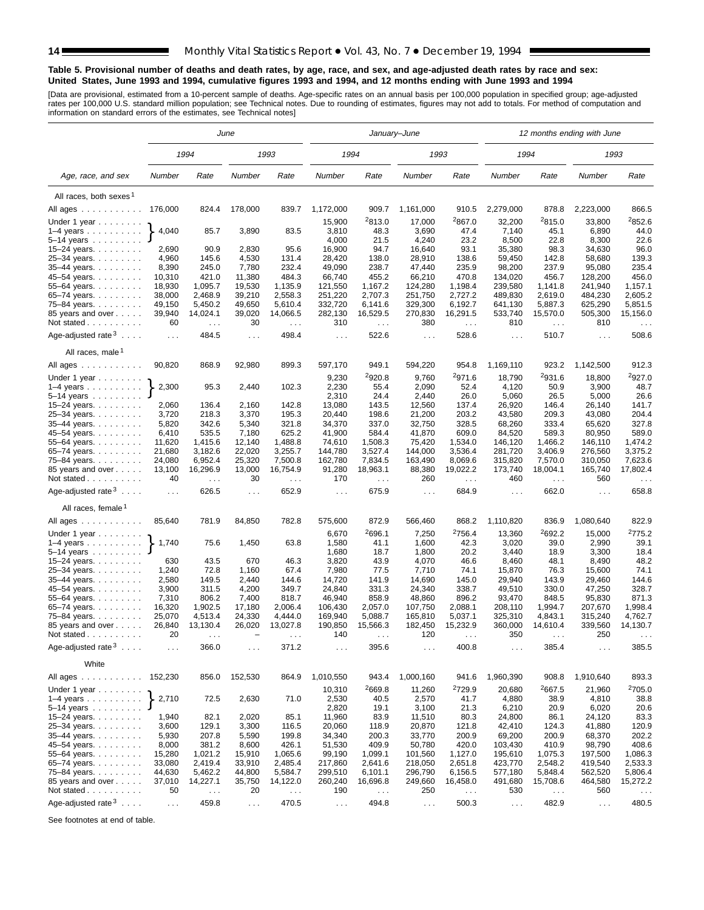#### **Table 5. Provisional number of deaths and death rates, by age, race, and sex, and age-adjusted death rates by race and sex: United States, June 1993 and 1994, cumulative figures 1993 and 1994, and 12 months ending with June 1993 and 1994**

[Data are provisional, estimated from a 10-percent sample of deaths. Age-specific rates on an annual basis per 100,000 population in specified group; age-adjusted<br>rates per 100,000 U.S. standard million population; see Tec

|                                    |                  |                               | June                 |                      |                    |                      | January–June         |                      |                      |                      | 12 months ending with June |                      |
|------------------------------------|------------------|-------------------------------|----------------------|----------------------|--------------------|----------------------|----------------------|----------------------|----------------------|----------------------|----------------------------|----------------------|
|                                    |                  | 1994                          |                      | 1993                 | 1994               |                      | 1993                 |                      | 1994                 |                      | 1993                       |                      |
| Age, race, and sex                 | Number           | Rate                          | Number               | Rate                 | Number             | Rate                 | Number               | Rate                 | Number               | Rate                 | Number                     | Rate                 |
| All races, both sexes <sup>1</sup> |                  |                               |                      |                      |                    |                      |                      |                      |                      |                      |                            |                      |
| All ages                           | 176,000          | 824.4                         | 178,000              | 839.7                | 1,172,000          | 909.7                | 1,161,000            | 910.5                | 2,279,000            | 878.8                | 2,223,000                  | 866.5                |
| Under 1 year                       |                  |                               |                      |                      | 15,900             | <sup>2</sup> 813.0   | 17,000               | 2867.0               | 32,200               | 2815.0               | 33,800                     | 2852.6               |
| $1-4$ years $\ldots$               | 4,040            | 85.7                          | 3,890                | 83.5                 | 3,810              | 48.3                 | 3,690                | 47.4                 | 7,140                | 45.1                 | 6,890                      | 44.0                 |
| 5–14 years                         |                  |                               |                      |                      | 4,000              | 21.5                 | 4,240                | 23.2                 | 8,500                | 22.8                 | 8,300                      | 22.6                 |
| 15-24 years.                       | 2,690            | 90.9                          | 2,830                | 95.6                 | 16,900             | 94.7                 | 16,640               | 93.1                 | 35,380               | 98.3                 | 34,630                     | 96.0                 |
| 25-34 years.                       | 4,960            | 145.6                         | 4,530                | 131.4                | 28,420             | 138.0                | 28,910               | 138.6                | 59,450               | 142.8                | 58,680                     | 139.3                |
| 35-44 years.                       | 8,390            | 245.0                         | 7,780                | 232.4                | 49,090             | 238.7                | 47,440               | 235.9                | 98,200               | 237.9                | 95,080                     | 235.4                |
| 45–54 years.                       | 10,310           | 421.0                         | 11,380               | 484.3                | 66,740             | 455.2                | 66,210               | 470.8                | 134,020              | 456.7                | 128,200                    | 456.0                |
| 55-64 years.                       | 18,930           | 1,095.7                       | 19,530               | 1,135.9              | 121,550            | 1,167.2              | 124,280              | 1,198.4              | 239,580              | 1,141.8              | 241,940                    | 1,157.1              |
| 65-74 years.                       | 38,000           | 2,468.9                       | 39,210               | 2,558.3              | 251,220            | 2,707.3              | 251,750              | 2,727.2              | 489,830              | 2,619.0              | 484,230                    | 2,605.2              |
| 75–84 years                        | 49,150           | 5,450.2                       | 49,650               | 5,610.4              | 332,720            | 6,141.6              | 329,300              | 6,192.7              | 641,130              | 5,887.3              | 625,290                    | 5,851.5              |
| 85 years and over                  | 39,940           | 14,024.1                      | 39,020               | 14,066.5             | 282,130            | 16,529.5             | 270,830              | 16,291.5             | 533,740              | 15,570.0             | 505,300                    | 15,156.0             |
| Not stated                         | 60               | $\sim$ $\sim$                 | 30                   | $\sim$ $\sim$        | 310                | $\sim$ $\sim$        | 380                  | $\sim$ $\sim$        | 810                  | $\sim$ $\sim$        | 810                        | $\sim$ $\sim$ $\sim$ |
| Age-adjusted rate $3 \ldots$ .     | $\ldots$         | 484.5                         | $\ldots$             | 498.4                | $\sim 100$         | 522.6                | $\sim$ $\sim$ $\sim$ | 528.6                | $\sim 100$           | 510.7                | $\sim 100$                 | 508.6                |
| All races, male <sup>1</sup>       |                  |                               |                      |                      |                    |                      |                      |                      |                      |                      |                            |                      |
| All ages ...........               | 90,820           | 868.9                         | 92,980               | 899.3                | 597,170            | 949.1                | 594,220              | 954.8                | 1,169,110            | 923.2                | 1,142,500                  | 912.3                |
| Under 1 year $\ldots \ldots$       |                  |                               |                      |                      | 9,230              | 2920.8               | 9,760                | 2971.6               | 18,790               | 2931.6               | 18,800                     | <sup>2</sup> 927.0   |
| $1-4$ years                        | 2,300            | 95.3                          | 2,440                | 102.3                | 2,230              | 55.4                 | 2,090                | 52.4                 | 4,120                | 50.9                 | 3,900                      | 48.7                 |
| 5-14 years                         |                  |                               |                      |                      | 2,310              | 24.4                 | 2,440                | 26.0                 | 5,060                | 26.5                 | 5,000                      | 26.6                 |
| 15–24 years. $\ldots$              | 2,060            | 136.4                         | 2,160                | 142.8                | 13,080             | 143.5                | 12,560               | 137.4                | 26,920               | 146.4                | 26,140                     | 141.7                |
| 25–34 years.                       | 3,720            | 218.3                         | 3,370                | 195.3                | 20,440             | 198.6                | 21,200               | 203.2                | 43,580               | 209.3                | 43,080                     | 204.4                |
| 35–44 years.                       | 5,820            | 342.6                         | 5,340                | 321.8                | 34,370             | 337.0                | 32,750               | 328.5                | 68,260               | 333.4                | 65,620                     | 327.8                |
| 45–54 years.                       | 6,410            | 535.5                         | 7,180                | 625.2                | 41,900             | 584.4                | 41,870               | 609.0<br>1,534.0     | 84,520               | 589.3                | 80,950                     | 589.0                |
| 55–64 years.                       | 11,620           | 1,415.6                       | 12,140               | 1,488.8              | 74,610             | 1,508.3<br>3,527.4   | 75,420               |                      | 146,120              | 1,466.2              | 146,110<br>276.560         | 1,474.2<br>3,375.2   |
| 65–74 years.                       | 21,680<br>24,080 | 3,182.6<br>6,952.4            | 22,020<br>25,320     | 3,255.7<br>7,500.8   | 144,780<br>162,780 | 7,834.5              | 144,000<br>163,490   | 3,536.4<br>8,069.6   | 281,720<br>315,820   | 3,406.9<br>7,570.0   | 310,050                    | 7,623.6              |
| 75–84 years.<br>85 years and over  | 13,100           | 16,296.9                      | 13,000               | 16,754.9             | 91,280             | 18,963.1             | 88,380               | 19,022.2             | 173,740              | 18,004.1             | 165,740                    | 17,802.4             |
| Not stated                         | 40               | $\sim$ .                      | 30                   | $\sim$ $\sim$ $\sim$ | 170                | $\sim$ $\sim$ $\sim$ | 260                  | $\sim$ $\sim$ $\sim$ | 460                  | $\sim$ $\sim$ $\sim$ | 560                        | $\sim$ $\sim$ $\sim$ |
| Age-adjusted rate $3 \ldots$ .     | $\ldots$         | 626.5                         | $\ldots$             | 652.9                | $\mathbf{1}$       | 675.9                | $\cdots$             | 684.9                | $\ldots$             | 662.0                | $\sim 100$                 | 658.8                |
| All races, female <sup>1</sup>     |                  |                               |                      |                      |                    |                      |                      |                      |                      |                      |                            |                      |
| All ages                           | 85,640           | 781.9                         | 84,850               | 782.8                | 575,600            | 872.9                | 566,460              | 868.2                | 1,110,820            | 836.9                | 1,080,640                  | 822.9                |
| Under 1 year                       |                  |                               |                      |                      | 6,670              | <sup>2</sup> 696.1   | 7,250                | <sup>2</sup> 756.4   | 13,360               | 2692.2               | 15,000                     | <sup>2</sup> 775.2   |
| 1–4 years $\ldots$                 | 1,740            | 75.6                          | 1,450                | 63.8                 | 1,580              | 41.1                 | 1,600                | 42.3                 | 3,020                | 39.0                 | 2,990                      | 39.1                 |
| 5–14 years                         |                  |                               |                      |                      | 1,680              | 18.7                 | 1,800                | 20.2                 | 3,440                | 18.9                 | 3,300                      | 18.4                 |
| 15–24 years.                       | 630              | 43.5                          | 670                  | 46.3                 | 3,820              | 43.9                 | 4,070                | 46.6                 | 8,460                | 48.1                 | 8,490                      | 48.2                 |
| 25–34 years.                       | 1,240            | 72.8                          | 1,160                | 67.4                 | 7,980              | 77.5                 | 7,710                | 74.1                 | 15,870               | 76.3                 | 15,600                     | 74.1                 |
| 35-44 years.                       | 2,580            | 149.5                         | 2,440                | 144.6                | 14,720             | 141.9                | 14,690               | 145.0                | 29,940               | 143.9                | 29,460                     | 144.6                |
| 45–54 years.                       | 3,900            | 311.5                         | 4,200                | 349.7                | 24,840             | 331.3                | 24,340               | 338.7                | 49,510               | 330.0                | 47,250                     | 328.7                |
| 55–64 years.                       | 7,310            | 806.2                         | 7,400                | 818.7                | 46,940             | 858.9                | 48,860               | 896.2                | 93,470               | 848.5                | 95,830                     | 871.3                |
| 65-74 years.                       | 16,320           | 1,902.5                       | 17,180               | 2,006.4              | 106,430            | 2,057.0              | 107,750              | 2,088.1              | 208,110              | 1,994.7              | 207,670                    | 1,998.4              |
| 75-84 years.                       | 25,070           | 4,513.4                       | 24,330               | 4,444.0<br>13,027.8  | 169,940            | 5,088.7              | 165,810              | 5,037.1              | 325,310              | 4,843.1              | 315,240<br>339,560         | 4,762.7<br>14,130.7  |
| 85 years and over<br>Not stated    | 26,840<br>20     | 13,130.4                      | 26,020               |                      | 190,850<br>140     | 15,566.3             | 182,450<br>120       | 15,232.9             | 360,000<br>350       | 14,610.4             | 250                        |                      |
| Age-adjusted rate $3 \ldots$ .     | $\sim 100$       | 366.0                         | $\sim$ $\sim$ $\sim$ | 371.2                | .                  | 395.6                | $\cdots$             | 400.8                | $\sim$ $\sim$ $\sim$ | 385.4                | $\sim$ $\sim$ $\sim$       | 385.5                |
| White                              |                  |                               |                      |                      |                    |                      |                      |                      |                      |                      |                            |                      |
| All ages ...........               | 152,230          | 856.0                         | 152,530              | 864.9                | 1,010,550          | 943.4                | 1,000,160            | 941.6                | 1,960,390            | 908.8                | 1,910,640                  | 893.3                |
| Under 1 year                       |                  |                               |                      |                      | 10,310             | 2669.8               | 11,260               | 2729.9               | 20,680               | 2667.5               | 21,960                     | 2705.0               |
| 1-4 years $\dots \dots \dots$      | 2,710            | 72.5                          | 2,630                | 71.0                 | 2,530              | 40.5                 | 2,570                | 41.7                 | 4,880                | 38.9                 | 4,810                      | 38.8                 |
| 5–14 years                         |                  |                               |                      |                      | 2,820              | 19.1                 | 3,100                | 21.3                 | 6,210                | 20.9                 | 6,020                      | 20.6                 |
| 15–24 years. $\ldots$              | 1,940            | 82.1                          | 2,020                | 85.1                 | 11,960             | 83.9                 | 11,510               | 80.3                 | 24,800               | 86.1                 | 24,120                     | 83.3                 |
| 25–34 years.                       | 3,600            | 129.1                         | 3,300                | 116.5                | 20,060             | 118.9                | 20,870               | 121.8                | 42,410               | 124.3                | 41,880                     | 120.9                |
| 35–44 years<br>45–54 years.        | 5,930<br>8,000   | 207.8<br>381.2                | 5,590<br>8,600       | 199.8<br>426.1       | 34,340<br>51,530   | 200.3<br>409.9       | 33,770<br>50,780     | 200.9<br>420.0       | 69,200<br>103,430    | 200.9<br>410.9       | 68,370<br>98,790           | 202.2<br>408.6       |
| 55–64 years.                       | 15,280           | 1,021.2                       | 15,910               | 1,065.6              | 99,190             | 1,099.1              | 101,560              | 1,127.0              | 195,610              | 1,075.3              | 197,500                    | 1,086.3              |
| 65–74 years.                       | 33,080           | 2,419.4                       | 33,910               | 2,485.4              | 217,860            | 2,641.6              | 218,050              | 2,651.8              | 423,770              | 2,548.2              | 419,540                    | 2,533.3              |
| 75-84 years.                       | 44,630           | 5,462.2                       | 44,800               | 5,584.7              | 299,510            | 6,101.1              | 296,790              | 6,156.5              | 577,180              | 5,848.4              | 562,520                    | 5,806.4              |
| 85 years and over                  | 37,010           | 14,227.1                      | 35,750               | 14,122.0             | 260,240            | 16,696.8             | 249,660              | 16,458.0             | 491,680              | 15,708.6             | 464,580                    | 15,272.2             |
| Not stated                         | 50               | $\epsilon \rightarrow \infty$ | 20                   | $\epsilon \sim 1$    | 190                | $\sim$ $\sim$        | 250                  | $\sim$ $\sim$        | 530                  | $\ldots$             | 560                        | $\sim$ $\sim$        |
|                                    |                  |                               |                      |                      |                    |                      |                      |                      |                      |                      |                            |                      |
| Age-adjusted rate $3 \ldots$       | $\sim$ $\sim$    | 459.8                         | $\sim$ $\sim$        | 470.5                | $\sim$ $\sim$      | 494.8                | $\sim$               | 500.3                | $\sim 100$           | 482.9                | $\sim$ $\sim$              | 480.5                |

See footnotes at end of table.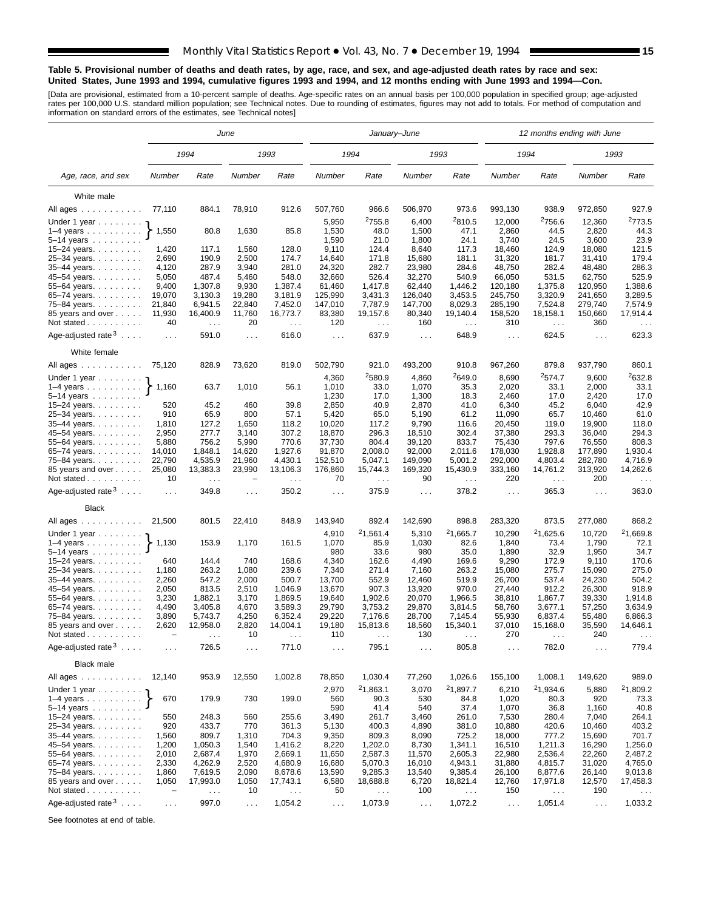#### **Table 5. Provisional number of deaths and death rates, by age, race, and sex, and age-adjusted death rates by race and sex: United States, June 1993 and 1994, cumulative figures 1993 and 1994, and 12 months ending with June 1993 and 1994—Con.**

[Data are provisional, estimated from a 10-percent sample of deaths. Age-specific rates on an annual basis per 100,000 population in specified group; age-adjusted<br>rates per 100,000 U.S. standard million population; see Tec

|                                                                                                                             |                      |                                  | June           |                                  |                      | January-June               |                      |                            |                  | 12 months ending with June    |                  |                                  |
|-----------------------------------------------------------------------------------------------------------------------------|----------------------|----------------------------------|----------------|----------------------------------|----------------------|----------------------------|----------------------|----------------------------|------------------|-------------------------------|------------------|----------------------------------|
|                                                                                                                             |                      | 1994                             |                | 1993                             |                      | 1994                       |                      | 1993                       |                  | 1994                          |                  | 1993                             |
| Age, race, and sex                                                                                                          | Number               | Rate                             | Number         | Rate                             | Number               | Rate                       | Number               | Rate                       | Number           | Rate                          | Number           | Rate                             |
| White male                                                                                                                  |                      |                                  |                |                                  |                      |                            |                      |                            |                  |                               |                  |                                  |
| All ages                                                                                                                    | 77,110               | 884.1                            | 78,910         | 912.6                            | 507,760              | 966.6                      | 506,970              | 973.6                      | 993,130          | 938.9                         | 972,850          | 927.9                            |
|                                                                                                                             |                      |                                  |                |                                  |                      |                            |                      |                            |                  |                               |                  | <sup>2</sup> 773.5               |
| $\left\{\n \begin{array}{ccc}\n \text{Under 1 year} & \text{} \\  \text{Under 2 year} & \text{} \\  \end{array}\n \right\}$ | 1,550                | 80.8                             | 1,630          | 85.8                             | 5,950<br>1,530       | <sup>2</sup> 755.8<br>48.0 | 6,400<br>1,500       | <sup>2</sup> 810.5<br>47.1 | 12,000<br>2,860  | <sup>2</sup> 756.6<br>44.5    | 12,360<br>2,820  | 44.3                             |
| $5 - 14$ years $\ldots$                                                                                                     |                      |                                  |                |                                  | 1,590                | 21.0                       | 1,800                | 24.1                       | 3,740            | 24.5                          | 3,600            | 23.9                             |
| 15-24 years.                                                                                                                | 1,420                | 117.1                            | 1,560          | 128.0                            | 9,110                | 124.4                      | 8,640                | 117.3                      | 18,460           | 124.9                         | 18,080           | 121.5                            |
| 25-34 years.                                                                                                                | 2,690                | 190.9                            | 2,500          | 174.7                            | 14,640               | 171.8                      | 15,680               | 181.1                      | 31,320           | 181.7                         | 31,410           | 179.4                            |
| 35-44 years.                                                                                                                | 4,120                | 287.9                            | 3,940          | 281.0                            | 24,320               | 282.7                      | 23,980               | 284.6                      | 48,750           | 282.4                         | 48,480           | 286.3                            |
| 45-54 years.                                                                                                                | 5,050                | 487.4                            | 5,460          | 548.0                            | 32,660               | 526.4                      | 32,270               | 540.9                      | 66,050           | 531.5                         | 62,750           | 525.9                            |
| 55-64 years.                                                                                                                | 9,400                | 1,307.8                          | 9,930          | 1,387.4                          | 61,460               | 1,417.8                    | 62,440               | 1,446.2                    | 120.180          | 1,375.8                       | 120,950          | 1,388.6                          |
| 65–74 years. $\ldots$                                                                                                       | 19,070               | 3,130.3                          | 19,280         | 3,181.9                          | 125,990              | 3,431.3                    | 126,040              | 3,453.5                    | 245,750          | 3,320.9                       | 241,650          | 3,289.5                          |
| 75-84 years.                                                                                                                | 21,840               | 6,941.5                          | 22,840         | 7,452.0                          | 147,010              | 7,787.9                    | 147,700              | 8,029.3                    | 285,190          | 7,524.8                       | 279,740          | 7,574.9                          |
| 85 years and over                                                                                                           | 11,930               | 16,400.9                         | 11,760         | 16,773.7                         | 83,380               | 19,157.6                   | 80,340               | 19,140.4                   | 158,520          | 18,158.1                      | 150,660          | 17,914.4                         |
| Not stated                                                                                                                  | 40                   | $\sim$ $\sim$                    | 20             | $\mathcal{L}^{\mathcal{L}}$      | 120                  | $\sim$ $\sim$              | 160                  | $\cdots$                   | 310              | $\sim$ $\sim$                 | 360              |                                  |
| Age-adjusted rate $3 \ldots$ .                                                                                              | $\sim$ $\sim$ $\sim$ | 591.0                            | .              | 616.0                            | $\sim 100$           | 637.9                      | $\sim$ $\sim$ $\sim$ | 648.9                      | $\sim 100$       | 624.5                         | $\sim 10$        | 623.3                            |
| White female                                                                                                                |                      |                                  |                |                                  |                      |                            |                      |                            |                  |                               |                  |                                  |
| All ages                                                                                                                    | 75,120               | 828.9                            | 73,620         | 819.0                            | 502,790              | 921.0                      | 493,200              | 910.8                      | 967,260          | 879.8                         | 937,790          | 860.1                            |
| Under 1 year                                                                                                                |                      |                                  |                |                                  | 4,360                | 2580.9                     | 4,860                | 2649.0                     | 8,690            | 2574.7                        | 9,600            | <sup>2</sup> 632.8               |
| 1-4 years $\uparrow$                                                                                                        | 1,160                | 63.7                             | 1,010          | 56.1                             | 1,010                | 33.0                       | 1,070                | 35.3                       | 2,020            | 33.1                          | 2,000            | 33.1                             |
| 5-14 years                                                                                                                  |                      |                                  |                |                                  | 1,230                | 17.0                       | 1,300                | 18.3                       | 2,460            | 17.0                          | 2,420            | 17.0                             |
| 15–24 years. $\ldots$                                                                                                       | 520                  | 45.2                             | 460            | 39.8                             | 2,850                | 40.9                       | 2,870                | 41.0                       | 6,340            | 45.2                          | 6,040            | 42.9                             |
| 25-34 years.                                                                                                                | 910                  | 65.9                             | 800            | 57.1                             | 5,420                | 65.0                       | 5,190                | 61.2                       | 11,090           | 65.7                          | 10,460           | 61.0                             |
| 35-44 years.                                                                                                                | 1,810                | 127.2                            | 1,650          | 118.2                            | 10,020               | 117.2                      | 9,790                | 116.6                      | 20.450           | 119.0                         | 19,900           | 118.0<br>294.3                   |
| 45-54 years.<br>55–64 years. $\ldots$                                                                                       | 2,950<br>5,880       | 277.7<br>756.2                   | 3,140<br>5,990 | 307.2<br>770.6                   | 18,870<br>37,730     | 296.3<br>804.4             | 18,510<br>39,120     | 302.4<br>833.7             | 37,380<br>75,430 | 293.3<br>797.6                | 36,040<br>76,550 | 808.3                            |
| 65-74 years.                                                                                                                | 14,010               | 1.848.1                          | 14,620         | 1,927.6                          | 91,870               | 2.008.0                    | 92,000               | 2,011.6                    | 178,030          | 1,928.8                       | 177,890          | 1.930.4                          |
| 75–84 years.                                                                                                                | 22,790               | 4,535.9                          | 21,960         | 4,430.1                          | 152,510              | 5,047.1                    | 149,090              | 5,001.2                    | 292,000          | 4,803.4                       | 282,780          | 4,716.9                          |
| 85 years and over<br>Not stated                                                                                             | 25,080<br>10         | 13,383.3<br>$\sim$ $\sim$ $\sim$ | 23,990         | 13,106.3<br>$\sim$ $\sim$ $\sim$ | 176,860<br>70        | 15,744.3<br>$\sim$ $\sim$  | 169,320<br>90        | 15,430.9<br>$\sim 100$     | 333,160<br>220   | 14,761.2<br>$\sim 100$        | 313,920<br>200   | 14,262.6<br>$\sim$ $\sim$ $\sim$ |
| Age-adjusted rate $3 \ldots$ .                                                                                              | $\ldots$             | 349.8                            | $\cdots$       | 350.2                            | $\sim$ $\sim$        | 375.9                      | $\sim$ $\sim$        | 378.2                      | $\sim$ $\sim$    | 365.3                         | $\cdots$         | 363.0                            |
| <b>Black</b>                                                                                                                |                      |                                  |                |                                  |                      |                            |                      |                            |                  |                               |                  |                                  |
| All ages                                                                                                                    | 21,500               | 801.5                            | 22,410         | 848.9                            | 143,940              | 892.4                      | 142,690              | 898.8                      | 283,320          | 873.5                         | 277,080          | 868.2                            |
| Under 1 year $\gamma$                                                                                                       |                      |                                  |                |                                  | 4,910                | 21,561.4                   | 5,310                | <sup>2</sup> 1,665.7       | 10,290           | 21,625.6                      | 10,720           | 21,669.8                         |
| $1-4$ years $\ldots$ $\ldots$ $\ldots$                                                                                      | 1,130                | 153.9                            | 1,170          | 161.5                            | 1,070                | 85.9                       | 1,030                | 82.6                       | 1,840            | 73.4                          | 1,790            | 72.1                             |
| $5-14$ years                                                                                                                |                      |                                  |                |                                  | 980                  | 33.6                       | 980                  | 35.0                       | 1,890            | 32.9                          | 1,950            | 34.7                             |
| 15-24 years.                                                                                                                | 640                  | 144.4                            | 740            | 168.6                            | 4,340                | 162.6                      | 4,490                | 169.6                      | 9,290            | 172.9                         | 9,110            | 170.6                            |
| 25-34 years.                                                                                                                | 1,180                | 263.2                            | 1,080          | 239.6                            | 7,340                | 271.4                      | 7,160                | 263.2                      | 15,080           | 275.7                         | 15,090           | 275.0                            |
| 35-44 years.                                                                                                                | 2,260                | 547.2                            | 2,000          | 500.7                            | 13,700               | 552.9                      | 12,460               | 519.9                      | 26,700           | 537.4                         | 24,230           | 504.2                            |
| 45–54 years.                                                                                                                | 2,050                | 813.5                            | 2,510          | 1,046.9                          | 13,670               | 907.3                      | 13,920               | 970.0                      | 27,440           | 912.2                         | 26,300           | 918.9                            |
| 55-64 years.                                                                                                                | 3,230                | 1,882.1                          | 3,170          | 1,869.5                          | 19,640               | 1,902.6                    | 20,070               | 1,966.5                    | 38,810           | 1,867.7                       | 39,330           | 1,914.8<br>3,634.9               |
| 65-74 years.<br>75–84 years.                                                                                                | 4,490<br>3,890       | 3,405.8<br>5,743.7               | 4,670<br>4,250 | 3,589.3<br>6,352.4               | 29,790<br>29,220     | 3,753.2<br>7,176.6         | 29,870<br>28,700     | 3,814.5<br>7,145.4         | 58,760<br>55,930 | 3,677.1<br>6,837.4            | 57,250<br>55,480 | 6,866.3                          |
| 85 years and over                                                                                                           | 2,620                | 12,958.0                         | 2,820          | 14,004.1                         | 19,180               | 15,813.6                   | 18,560               | 15,340.1                   | 37,010           | 15,168.0                      | 35,590           | 14,646.1                         |
| Not stated.<br>and a series and a                                                                                           | $\qquad \qquad -$    |                                  | 10             |                                  | 110                  |                            | 130                  |                            | 270              |                               | 240              |                                  |
| Age-adjusted rate $3 \ldots$ .                                                                                              | $\sim$ $\sim$ $\sim$ | 726.5                            | .              | 771.0                            | $\sim$ $\sim$ $\sim$ | 795.1                      | $\sim$ $\sim$        | 805.8                      | .                | 782.0                         | .                | 779.4                            |
| <b>Black male</b>                                                                                                           |                      |                                  |                |                                  |                      |                            |                      |                            |                  |                               |                  |                                  |
| All ages                                                                                                                    | 12,140               | 953.9                            | 12,550         | 1,002.8                          | 78,850               | 1,030.4                    | 77,260               | 1,026.6                    | 155,100          | 1,008.1                       | 149,620          | 989.0                            |
| Under 1 year                                                                                                                |                      |                                  |                |                                  | 2,970                | <sup>2</sup> 1,863.1       | 3,070                | 21,897.7                   | 6,210            | <sup>2</sup> 1,934.6          | 5,880            | 21,809.2                         |
| $1-4 \text{ years} \dots \dots \dots \}$                                                                                    | 670                  | 179.9                            | 730            | 199.0                            | 560                  | 90.3                       | 530                  | 84.8                       | 1,020            | 80.3                          | 920              | 73.3                             |
| 5–14 years $\ldots$                                                                                                         |                      |                                  |                |                                  | 590                  | 41.4                       | 540                  | 37.4                       | 1,070            | 36.8                          | 1,160            | 40.8                             |
| 15-24 years.                                                                                                                | 550                  | 248.3                            | 560            | 255.6                            | 3,490                | 261.7                      | 3,460                | 261.0                      | 7,530            | 280.4                         | 7,040            | 264.1                            |
| 25-34 years                                                                                                                 | 920                  | 433.7                            | 770            | 361.3                            | 5,130                | 400.3                      | 4,890                | 381.0                      | 10,880           | 420.6                         | 10,460           | 403.2                            |
| 35-44 years.                                                                                                                | 1,560                | 809.7                            | 1,310          | 704.3                            | 9,350                | 809.3                      | 8,090                | 725.2                      | 18,000<br>16,510 | 777.2                         | 15,690<br>16,290 | 701.7<br>1,256.0                 |
| 45-54 years.<br>55-64 years.                                                                                                | 1,200<br>2,010       | 1,050.3<br>2,687.4               | 1,540<br>1,970 | 1,416.2<br>2,669.1               | 8,220<br>11,650      | 1,202.0<br>2,587.3         | 8,730<br>11,570      | 1,341.1<br>2,605.3         | 22,980           | 1,211.3<br>2,536.4            | 22,260           | 2,487.2                          |
| 65-74 years.                                                                                                                | 2,330                | 4,262.9                          | 2,520          | 4,680.9                          | 16,680               | 5,070.3                    | 16,010               | 4,943.1                    | 31,880           | 4,815.7                       | 31,020           | 4,765.0                          |
| 75-84 years.                                                                                                                | 1,860                | 7,619.5                          | 2,090          | 8,678.6                          | 13,590               | 9,285.3                    | 13,540               | 9,385.4                    | 26,100           | 8,877.6                       | 26,140           | 9,013.8                          |
| 85 years and over                                                                                                           | 1,050                | 17,993.0                         | 1,050          | 17,743.1                         | 6,580                | 18,688.8                   | 6,720                | 18,821.4                   | 12,760           | 17,971.8                      | 12,570           | 17,458.3                         |
| Not stated                                                                                                                  | $\qquad \qquad -$    | $\epsilon$ .<br>.                | 10             | $\sim$ $\sim$ $\sim$             | 50                   | $\sim$ $\sim$              | 100                  | $\sim$ $\sim$              | 150              | $\epsilon \rightarrow \infty$ | 190              | $\sim$ $\sim$ $\sim$             |
| Age-adjusted rate $3 \ldots$ .                                                                                              | $\sim$ $\sim$        | 997.0                            | $\sim$ $\sim$  | 1,054.2                          | $\ldots$             | 1,073.9                    | $\sim 10$            | 1,072.2                    | $\sim 10$        | 1,051.4                       | $\sim$ $\sim$    | 1,033.2                          |

See footnotes at end of table.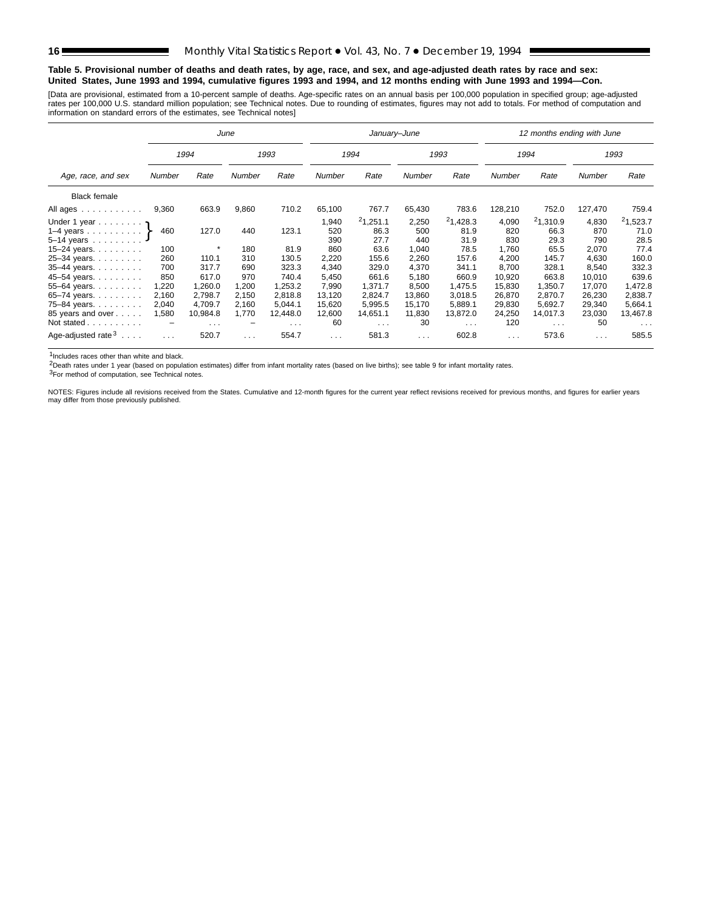#### **Table 5. Provisional number of deaths and death rates, by age, race, and sex, and age-adjusted death rates by race and sex: United States, June 1993 and 1994, cumulative figures 1993 and 1994, and 12 months ending with June 1993 and 1994—Con.**

[Data are provisional, estimated from a 10-percent sample of deaths. Age-specific rates on an annual basis per 100,000 population in specified group; age-adjusted<br>rates per 100,000 U.S. standard million population; see Tec

|                                |          |                  | June          |                         |               | January-June         |          |                      |                      | 12 months ending with June |                      |                      |
|--------------------------------|----------|------------------|---------------|-------------------------|---------------|----------------------|----------|----------------------|----------------------|----------------------------|----------------------|----------------------|
|                                |          | 1994             |               | 1993                    |               | 1994                 |          | 1993                 |                      | 1994                       |                      | 1993                 |
| Age, race, and sex             | Number   | Rate             | <b>Number</b> | Rate                    | Number        | Rate                 | Number   | Rate                 | <b>Number</b>        | Rate                       | Number               | Rate                 |
| <b>Black female</b>            |          |                  |               |                         |               |                      |          |                      |                      |                            |                      |                      |
| All ages                       | 9,360    | 663.9            | 9,860         | 710.2                   | 65,100        | 767.7                | 65,430   | 783.6                | 128,210              | 752.0                      | 127,470              | 759.4                |
| Under 1 year $\eta$            |          |                  |               |                         | 1,940         | 21,251.1             | 2,250    | 21,428.3             | 4,090                | 21,310.9                   | 4,830                | 21,523.7             |
| 1–4 years $\uparrow$           | 460      | 127.0            | 440           | 123.1                   | 520           | 86.3                 | 500      | 81.9                 | 820                  | 66.3                       | 870                  | 71.0                 |
| $5 - 14$ years                 |          |                  |               |                         | 390           | 27.7                 | 440      | 31.9                 | 830                  | 29.3                       | 790                  | 28.5                 |
| $15 - 24$ years.               | 100      | $\star$          | 180           | 81.9                    | 860           | 63.6                 | 1,040    | 78.5                 | 1,760                | 65.5                       | 2,070                | 77.4                 |
| 25-34 years.                   | 260      | 110.1            | 310           | 130.5                   | 2,220         | 155.6                | 2,260    | 157.6                | 4,200                | 145.7                      | 4,630                | 160.0                |
| 35-44 years.                   | 700      | 317.7            | 690           | 323.3                   | 4,340         | 329.0                | 4,370    | 341.1                | 8,700                | 328.1                      | 8,540                | 332.3                |
| 45-54 years.                   | 850      | 617.0            | 970           | 740.4                   | 5,450         | 661.6                | 5,180    | 660.9                | 10,920               | 663.8                      | 10,010               | 639.6                |
| 55-64 years.                   | 1,220    | 1.260.0          | 1,200         | 1.253.2                 | 7.990         | 1.371.7              | 8,500    | 1,475.5              | 15.830               | 1.350.7                    | 17.070               | 1,472.8              |
| 65-74 years.                   | 2,160    | 2,798.7          | 2,150         | 2,818.8                 | 13,120        | 2,824.7              | 13,860   | 3,018.5              | 26,870               | 2.870.7                    | 26,230               | 2,838.7              |
| 75-84 years.                   | 2,040    | 4,709.7          | 2,160         | 5,044.1                 | 15,620        | 5,995.5              | 15,170   | 5,889.1              | 29,830               | 5,692.7                    | 29,340               | 5,664.1              |
| 85 years and over              | 1,580    | 10,984.8         | 1,770         | 12,448.0                | 12,600        | 14,651.1             | 11,830   | 13,872.0             | 24,250               | 14,017.3                   | 23,030               | 13,467.8             |
| Not stated                     |          | $\sim 100$ $\mu$ |               | $\sim 100$ km s $^{-1}$ | 60            | $\sim$ $\sim$ $\sim$ | 30       | $\sim$ $\sim$ $\sim$ | 120                  | $\sim 100$ km s $^{-1}$    | 50                   | $\sim$ $\sim$ $\sim$ |
| Age-adjusted rate $3 \ldots$ . | $\cdots$ | 520.7            | $\cdots$      | 554.7                   | $\sim$ $\sim$ | 581.3                | $\cdots$ | 602.8                | $\sim$ $\sim$ $\sim$ | 573.6                      | $\sim$ $\sim$ $\sim$ | 585.5                |

1Includes races other than white and black.

2Death rates under 1 year (based on population estimates) differ from infant mortality rates (based on live births); see table 9 for infant mortality rates.

3For method of computation, see Technical notes.

NOTES: Figures include all revisions received from the States. Cumulative and 12-month figures for the current year reflect revisions received for previous months, and figures for earlier years may differ from those previously published.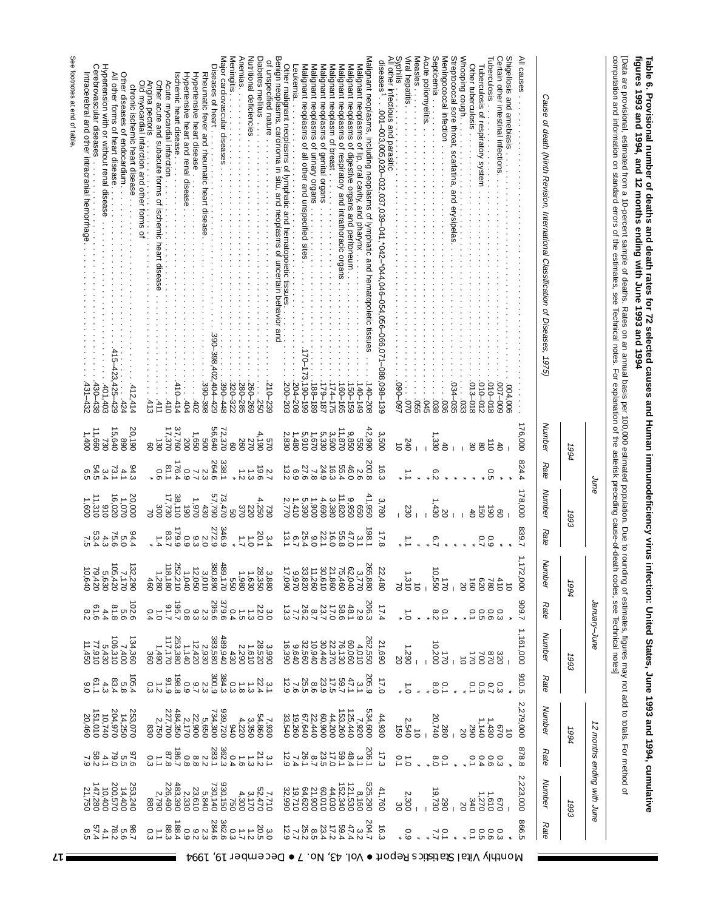|                                                                                                                                                                                                                               |                                                        | June                                                         |                             |                                                                                                                                                |                                                                                                                                                                                                                                                                                                                           | January-June                                                   |                                                                                                                                                                                                                                                                                                                                                                                         |             |                                        |                                                                                         | 12 months ending with June                           |                                       |
|-------------------------------------------------------------------------------------------------------------------------------------------------------------------------------------------------------------------------------|--------------------------------------------------------|--------------------------------------------------------------|-----------------------------|------------------------------------------------------------------------------------------------------------------------------------------------|---------------------------------------------------------------------------------------------------------------------------------------------------------------------------------------------------------------------------------------------------------------------------------------------------------------------------|----------------------------------------------------------------|-----------------------------------------------------------------------------------------------------------------------------------------------------------------------------------------------------------------------------------------------------------------------------------------------------------------------------------------------------------------------------------------|-------------|----------------------------------------|-----------------------------------------------------------------------------------------|------------------------------------------------------|---------------------------------------|
|                                                                                                                                                                                                                               | 1994                                                   |                                                              | 1993                        |                                                                                                                                                | 1994                                                                                                                                                                                                                                                                                                                      |                                                                | 1993                                                                                                                                                                                                                                                                                                                                                                                    |             | 1994                                   |                                                                                         | 1993                                                 |                                       |
| Cause of death (Ninth Revision, International Classification of Diseases, 1975)                                                                                                                                               | Number                                                 | Rate                                                         | Number                      | Rate                                                                                                                                           | Number                                                                                                                                                                                                                                                                                                                    | Rate                                                           | Number                                                                                                                                                                                                                                                                                                                                                                                  | Rate        | Number                                 | Rate                                                                                    | Number                                               | Rate                                  |
| All causes                                                                                                                                                                                                                    | 176,000                                                | 824.4                                                        | 78,000                      | 839.7                                                                                                                                          | 1,172,000                                                                                                                                                                                                                                                                                                                 | 209.7                                                          | 1,161,000                                                                                                                                                                                                                                                                                                                                                                               | ဖ<br>10.5   | Ņ<br>279,000                           | 878.8                                                                                   | 2,223,000                                            | <b>866.5</b>                          |
| Shigellosis and amebiasis<br>.004,006                                                                                                                                                                                         |                                                        |                                                              |                             |                                                                                                                                                |                                                                                                                                                                                                                                                                                                                           |                                                                |                                                                                                                                                                                                                                                                                                                                                                                         |             | $\frac{10}{670}$                       |                                                                                         |                                                      |                                       |
| Certain other intestinal infections.<br>Tuberculosis<br>810-010<br>007-009                                                                                                                                                    | $\overline{0}$<br>$\overline{d}$                       | 0.                                                           | 8                           | 0.9                                                                                                                                            | 780<br>620<br>410                                                                                                                                                                                                                                                                                                         | 00000<br>3651                                                  | 320<br>870                                                                                                                                                                                                                                                                                                                                                                              | 3000<br>375 | $1,440$<br>$1,440$                     | 0.000                                                                                   | 826<br>826<br>826                                    | 00000<br>3651                         |
| Tuberculosis of respiratory system<br>010-012                                                                                                                                                                                 | ဗွ<br>$\infty$                                         |                                                              | $\frac{1}{6}$ $\frac{1}{6}$ |                                                                                                                                                |                                                                                                                                                                                                                                                                                                                           |                                                                |                                                                                                                                                                                                                                                                                                                                                                                         |             |                                        |                                                                                         |                                                      |                                       |
| Whooping cough. .<br>Other tuberculosis .<br>013-018<br>0.033                                                                                                                                                                 |                                                        |                                                              |                             |                                                                                                                                                | 8<br>20                                                                                                                                                                                                                                                                                                                   |                                                                | 021<br>$\vec{o}$                                                                                                                                                                                                                                                                                                                                                                        |             | <b>290</b>                             | $\overline{C}$                                                                          | 340<br><b>SO</b>                                     |                                       |
| Streptococcal sore throat, scarlatina, and erysipelas.<br>-034-035                                                                                                                                                            |                                                        |                                                              |                             |                                                                                                                                                |                                                                                                                                                                                                                                                                                                                           |                                                                |                                                                                                                                                                                                                                                                                                                                                                                         |             |                                        |                                                                                         |                                                      |                                       |
| Septicemia .<br>Meningococcal infection<br>$\ddot{\phantom{a}}$<br>036<br>.038                                                                                                                                                | 330<br>$rac{4}{5}$                                     | بة<br>د                                                      | $1,430$<br>$20$             |                                                                                                                                                | 10,550<br>$\overline{2}$                                                                                                                                                                                                                                                                                                  | 8.28                                                           | 10,200<br>021                                                                                                                                                                                                                                                                                                                                                                           | 0.06        | 20,740<br>20,740                       | $0.9$<br>8.0                                                                            | 19,730<br>067                                        | 7.7                                   |
| Measles.<br>Acute poliomyelitis.<br>$-045$<br><b>GSC.</b>                                                                                                                                                                     |                                                        |                                                              |                             |                                                                                                                                                | $\vec{o}$                                                                                                                                                                                                                                                                                                                 |                                                                |                                                                                                                                                                                                                                                                                                                                                                                         |             |                                        |                                                                                         |                                                      |                                       |
| ∕iral hepatitis<br>.60-060<br>020                                                                                                                                                                                             | 240<br>$\vec{0}$                                       |                                                              | 230                         |                                                                                                                                                | 1.310                                                                                                                                                                                                                                                                                                                     | $\vec{c}$                                                      | 1,290                                                                                                                                                                                                                                                                                                                                                                                   |             | 2,540<br>$\overline{150}$              | $\overline{0}$<br>$\vec{C}$                                                             | $\frac{2,300}{30}$                                   | 6.9                                   |
| Syphilis<br>All other infectious and parasitic<br>diseases <sup>1</sup><br>$(1.001 - 003, 005, 020 - 032, 037, 039 - 041, 042 - 044, 046 - 054, 056 - 066, 071 - 088, 098 - 138$                                              | 3,500                                                  | 16.3                                                         | 3,780                       | 17.8                                                                                                                                           | 22,480                                                                                                                                                                                                                                                                                                                    | 17.4                                                           | 21,690                                                                                                                                                                                                                                                                                                                                                                                  | 17.0        | 44,930                                 | 17.3                                                                                    | 41,760                                               | 16.3                                  |
| Malignant neoplasms, including neoplasms of lymphatic and hematopoietic tissues<br>140-208                                                                                                                                    | 42,990                                                 | 200.8                                                        | 41,950                      | 198.1                                                                                                                                          | 265,880                                                                                                                                                                                                                                                                                                                   |                                                                |                                                                                                                                                                                                                                                                                                                                                                                         | 205.9       |                                        |                                                                                         |                                                      | 204.7                                 |
| Malignant neoplasms of digestive organs and peritoneum<br>Malignant neoplasms of lip, oral cavity, and pharynx<br>150-159<br>$140 - 149$                                                                                      | 9,850<br>099                                           |                                                              | 9,950<br>099                | $3.1$<br>$47.0$<br>$55.8$                                                                                                                      |                                                                                                                                                                                                                                                                                                                           |                                                                |                                                                                                                                                                                                                                                                                                                                                                                         |             |                                        |                                                                                         |                                                      |                                       |
| Valignant neoplasms of respiratory and intrathoracic organs .<br>$160 - 165$                                                                                                                                                  | 11,870                                                 |                                                              | 11,820                      |                                                                                                                                                |                                                                                                                                                                                                                                                                                                                           |                                                                |                                                                                                                                                                                                                                                                                                                                                                                         |             |                                        |                                                                                         |                                                      |                                       |
| Malignant neoplasm of breast .<br>$\cdot$<br>-174-175                                                                                                                                                                         | 3,500                                                  |                                                              | 3,380                       |                                                                                                                                                |                                                                                                                                                                                                                                                                                                                           |                                                                |                                                                                                                                                                                                                                                                                                                                                                                         |             |                                        |                                                                                         |                                                      |                                       |
| Malignant neoplasms of urinary organs .<br>Valignant neoplasms of genital organs<br>Vlalignant neoplasms of urinary organs .........<br>Vlalignant neoplasms of all other and unspecified sites ...<br>$188 - 186$<br>179-187 | 1,670<br>5,330                                         | α 4 6 6 4 7 7 7<br>α 6 6 6 4 7 7 7<br>α 0 4 3 9 8 6          | 0061<br>4,690               | 1 2 2 3 4 5 7<br>6 7 9 10 6 13<br>0 1 9 1 7 1                                                                                                  | $\begin{array}{l} 3.67 \\ 7.88 \\ 7.89 \\ 7.89 \\ 8.89 \\ 1.79 \\ 9.89 \\ 1.79 \\ 1.79 \\ 1.79 \\ 1.79 \\ 1.79 \\ 1.79 \\ 1.79 \\ 1.79 \\ 1.79 \\ 1.79 \\ 1.79 \\ 1.79 \\ 1.79 \\ 1.79 \\ 1.79 \\ 1.79 \\ 1.79 \\ 1.79 \\ 1.79 \\ 1.79 \\ 1.79 \\ 1.79 \\ 1.79 \\ 1.79 \\ 1.79 \\ 1.79 \\ 1.79 \\ 1.79 \\ 1.$             |                                                                |                                                                                                                                                                                                                                                                                                                                                                                         |             |                                        |                                                                                         |                                                      | 3イの113857123<br>2123857123<br>2144252 |
| 3,190-199                                                                                                                                                                                                                     |                                                        |                                                              | 5,390                       |                                                                                                                                                |                                                                                                                                                                                                                                                                                                                           |                                                                |                                                                                                                                                                                                                                                                                                                                                                                         |             |                                        |                                                                                         |                                                      |                                       |
| Other malignant neoplasms of lymphatic and hematopoietic tissues.<br>Benign neoplasms, carcinoma in situ, and neoplasms of uncertain behavior and<br>-eukemia.<br>204-208<br>200-202                                          | $\begin{array}{c} 5,910 \\ 7,480 \\ 2,830 \end{array}$ | က် ၈<br>ەن                                                   | $1,410$<br>2,770            |                                                                                                                                                |                                                                                                                                                                                                                                                                                                                           | 20<br>06 21 22 22 24 25<br>06 22 22 22 22 23<br>29 22 22 22 23 | $\begin{array}{l} 262740 \\ 262740 \\ 262940 \\ 262940 \\ 262950 \\ 262950 \\ 262950 \\ 262950 \\ 262950 \\ 262950 \\ 262950 \\ 262950 \\ 262950 \\ 262950 \\ 262950 \\ 262950 \\ 262950 \\ 262950 \\ 262950 \\ 262950 \\ 262950 \\ 262950 \\ 262950 \\ 262950 \\ 262950 \\ 262950 \\ 2629$                                                                                             |             |                                        | 20<br>6 3 8 9 0 1 2 3 9 6 1 2 1<br>6 3 9 9 1 3 9 0 1 1 2 9<br>1 - 1 4 1 0 1 0 1 1 1 4 9 |                                                      |                                       |
| of unspecified nature .<br>210-239                                                                                                                                                                                            | 0 <sub>2</sub>                                         |                                                              | 730                         |                                                                                                                                                |                                                                                                                                                                                                                                                                                                                           | $\frac{3.0}{22.0}$                                             |                                                                                                                                                                                                                                                                                                                                                                                         |             |                                        |                                                                                         |                                                      |                                       |
| Vutritonal deficiencies.<br>Jiabetes mellitus.<br>260-269<br>092                                                                                                                                                              | 4,190<br>270                                           | $\frac{21}{10}$ $\frac{1}{10}$ $\frac{1}{10}$ $\frac{1}{10}$ | 4,250<br>220<br>370         | $\begin{array}{c} \omega \stackrel{\text{O}}{\circ} - \\ \omega \stackrel{\text{O}}{\circ} - \\ \omega \stackrel{\text{O}}{\circ} \end{array}$ |                                                                                                                                                                                                                                                                                                                           |                                                                |                                                                                                                                                                                                                                                                                                                                                                                         |             |                                        | ω <sup>12</sup> – –<br>– α ω σ΄                                                         |                                                      | a 8 4 4<br>a roi ai ri                |
| <b>Anemias.</b><br>280-285                                                                                                                                                                                                    | 260                                                    |                                                              |                             |                                                                                                                                                | $\begin{array}{l} 3.83 \\ 2.83 \\ 3.83 \\ 4.98 \\ 5.83 \\ 6.83 \\ 7.83 \\ 8.83 \\ 1.7 \\ 8.9 \\ 1.8 \\ 1.8 \\ 2.9 \\ 1.9 \\ 3.8 \\ 4.9 \\ 5.9 \\ 1.8 \\ 2.8 \\ 1.8 \\ 3.8 \\ 4.8 \\ 4.8 \\ 5.8 \\ 5.8 \\ 6.8 \\ 7.8 \\ 8.8 \\ 1.8 \\ 1.8 \\ 1.8 \\ 1.8 \\ 1.8 \\ 2.8 \\ 3.8 \\ 4.8 \\ 4.8 \\ 5.8 \\ 5.8 \\ 5.8 \\ 5.8 \\$ | ່ມີ ພິ                                                         |                                                                                                                                                                                                                                                                                                                                                                                         |             |                                        |                                                                                         |                                                      |                                       |
| Vieningitis.<br>Vajor cardiovascular diseases .<br>390-448<br>320-322                                                                                                                                                         | 72,370<br>80                                           |                                                              | 73,470<br>g                 |                                                                                                                                                |                                                                                                                                                                                                                                                                                                                           |                                                                |                                                                                                                                                                                                                                                                                                                                                                                         |             |                                        |                                                                                         |                                                      |                                       |
| Diseases of heart<br>1390-398,402,404-429                                                                                                                                                                                     | 56,640                                                 | 338.1<br>264.6                                               | 57,790                      | 347<br>6574990<br>990999                                                                                                                       |                                                                                                                                                                                                                                                                                                                           | 372<br>05520000<br>0552000000                                  |                                                                                                                                                                                                                                                                                                                                                                                         |             |                                        | 3 28<br>0 28 28 26 26<br>4 3 2 3 2 3 2 3<br>4 3 4 3 3 4 3                               |                                                      |                                       |
| Hypertensive heart disease<br>Reumatic fever and rheumatic heart disease.<br>390-398<br>$-402$                                                                                                                                | 099'L<br>009                                           | $\sim$ $\sim$                                                | 1,970<br>084                |                                                                                                                                                | $380,890$<br>$3,010$<br>$1,040$<br>$1,040$                                                                                                                                                                                                                                                                                |                                                                |                                                                                                                                                                                                                                                                                                                                                                                         |             |                                        |                                                                                         |                                                      |                                       |
| lypertensive heart and renal disease<br>$-404$                                                                                                                                                                                | 200                                                    | 0.9                                                          | <b>O61</b>                  |                                                                                                                                                |                                                                                                                                                                                                                                                                                                                           |                                                                |                                                                                                                                                                                                                                                                                                                                                                                         |             |                                        |                                                                                         |                                                      |                                       |
| schemic heart disease<br>Acute myocardial infarction<br>410-414<br>$-410$                                                                                                                                                     | 37,760<br>17,370                                       | 176.4<br>91.                                                 | 38,110<br>17,730            | 179.9                                                                                                                                          |                                                                                                                                                                                                                                                                                                                           | 2.76                                                           |                                                                                                                                                                                                                                                                                                                                                                                         |             |                                        |                                                                                         |                                                      |                                       |
| Other acute and subacute forms of ischemic heart disease<br>$-411$                                                                                                                                                            | <b>USD</b>                                             | 0.6                                                          | 380                         | $83.7$<br>1.4                                                                                                                                  | 252,210<br>118,180<br>1,280                                                                                                                                                                                                                                                                                               | $1.0 \times 10$                                                | $\begin{array}{ll} & \frac{38}{30} & \frac{22}{30} & \frac{1}{30} & \frac{1}{30} & \frac{1}{30} & \frac{1}{30} & \frac{1}{30} & \frac{1}{30} & \frac{1}{30} & \frac{1}{30} & \frac{1}{30} & \frac{1}{30} & \frac{1}{30} & \frac{1}{30} & \frac{1}{30} & \frac{1}{30} & \frac{1}{30} & \frac{1}{30} & \frac{1}{30} & \frac{1}{30} & \frac{1}{30} & \frac{1}{30} & \frac{1}{30} & \frac{$ |             |                                        | $\frac{1}{2}.3$                                                                         |                                                      | 88 – 0<br>3 – 0<br>3 – 0              |
| Old myocardial infarction and other forms of<br>Angina pectoris<br>t<br>$\begin{bmatrix} 1 \\ 1 \\ 1 \end{bmatrix}$<br>$-413$                                                                                                 | g                                                      |                                                              |                             |                                                                                                                                                | 460                                                                                                                                                                                                                                                                                                                       |                                                                |                                                                                                                                                                                                                                                                                                                                                                                         |             |                                        |                                                                                         | 088                                                  |                                       |
| Other diseases of endocardium.<br>chronic ischemic heart disease<br>.412,414<br>. 424                                                                                                                                         | 20,190<br>081,02                                       | $\frac{94.4}{4.1}$                                           | 20,000<br>1,070             | 94 10 10 4<br>4 10 10 4<br>4 10 10 11                                                                                                          |                                                                                                                                                                                                                                                                                                                           | $102.6$<br>$8.6$<br>$81.8$                                     |                                                                                                                                                                                                                                                                                                                                                                                         |             | 253,070<br>14,250<br>204,970<br>10,740 | 97.6<br>1950<br>1950                                                                    |                                                      | 86<br>56<br>56<br>34<br>4             |
| Hypertension with or without renal disease<br>All other forms of heart disease<br>$-415 - 423, 425 - 429$<br>104,104                                                                                                          | 15,640<br>730                                          | ړج<br>∡ م                                                    | 016<br>020'91               |                                                                                                                                                |                                                                                                                                                                                                                                                                                                                           | 4.4                                                            |                                                                                                                                                                                                                                                                                                                                                                                         |             |                                        |                                                                                         |                                                      |                                       |
| Cerebrovascular diseases<br>Intracerebral and other intracranial hemorrhage<br>$431 - 432$<br>430-438                                                                                                                         | 11,660<br>1,400                                        | 54.5<br>6                                                    | 11,310<br>1,800             | 53.4<br>7.5                                                                                                                                    |                                                                                                                                                                                                                                                                                                                           | $61.6$<br>$8.2$                                                | 134,360<br>174,430<br>196,319<br>17,950<br>17,450                                                                                                                                                                                                                                                                                                                                       |             | 151,010<br>20,460                      | 28.2                                                                                    | 253,240<br>14,400,570<br>200,570<br>117,280<br>1,750 | 57.4<br>8.5                           |
|                                                                                                                                                                                                                               |                                                        |                                                              |                             |                                                                                                                                                |                                                                                                                                                                                                                                                                                                                           |                                                                |                                                                                                                                                                                                                                                                                                                                                                                         |             |                                        |                                                                                         |                                                      |                                       |

**figures 1993 and 1994, and 12 months**

**Table 6.** 

**Provisional**

 **ending**

 **number of deaths and death rates**

 **with**

 **June 1993 and 1994**

 **for 72** 

**selected**

**causes**

 **and Human** 

**immunodeficiency**

 **virus** 

**infection:**

 **United States,**

 **June 1993 and 1994,** 

**cumulative**

**17** December 19, 1994 **1994 1994 1994 1994** And 1994 **1994** 1994 **1994 1994** 1994

Seefootnotes

at end of table.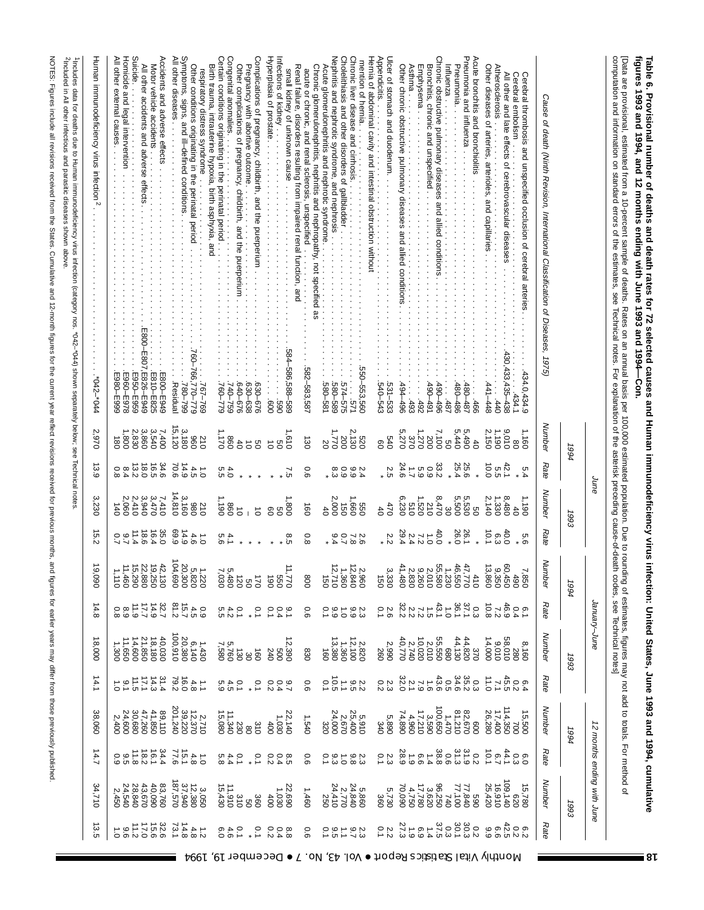|                                                                                                                                                                                                                                                                                                                                                                                                  |                                                  | June                                                           |                                                |                                      |                                                                                           | January-June                           |                                                                                                                                                                                                                                         |                                                   |                                                                                           |                                    | 12 months ending with June                                    |                                              |
|--------------------------------------------------------------------------------------------------------------------------------------------------------------------------------------------------------------------------------------------------------------------------------------------------------------------------------------------------------------------------------------------------|--------------------------------------------------|----------------------------------------------------------------|------------------------------------------------|--------------------------------------|-------------------------------------------------------------------------------------------|----------------------------------------|-----------------------------------------------------------------------------------------------------------------------------------------------------------------------------------------------------------------------------------------|---------------------------------------------------|-------------------------------------------------------------------------------------------|------------------------------------|---------------------------------------------------------------|----------------------------------------------|
|                                                                                                                                                                                                                                                                                                                                                                                                  | 1994                                             |                                                                | 1993                                           |                                      | 1994                                                                                      |                                        | 1993                                                                                                                                                                                                                                    |                                                   | 1994                                                                                      |                                    | 1993                                                          |                                              |
| Cause of death (Nitth Revision, International Classification of Diseases,<br>1975                                                                                                                                                                                                                                                                                                                | Number                                           | Rate                                                           | Number                                         | Rate                                 | lumber                                                                                    | Rate                                   | Number                                                                                                                                                                                                                                  | Rate                                              | Number                                                                                    | Rate                               | Number                                                        | Rate                                         |
| Other diseases of arteries, arterioles,<br>Atherosclerosis<br>All other and late effects of cerebrovascular diseases<br>Cerebral embolism<br>Cerebral thrombosis and unspecified occlusion of cerebral arteries<br>and capillaries<br>430,433,435-438<br>.434.0,434.9<br>441-448<br>434.1<br>$-440$                                                                                              | 010'6<br>2,150<br>$-1.190$<br>11800              | $\frac{47}{50}$<br>$\frac{1}{10}$<br>$\frac{1}{10}$<br>5.4     | 2,140<br>$8,480$<br>1,330<br>1,190             | 40.0<br>10.1<br>თ<br>c<br>စ          | $\begin{array}{r} 7.868 \\ 8.9446 \\ 1.8686 \\ 1.9686 \\ 1.9860 \\ 1.9860 \\ \end{array}$ | $10.8\,$<br>600 40<br>600 51<br>440 31 | $8,160$<br>$58,010$<br>$9,010$<br>14,000                                                                                                                                                                                                | $0.00771$<br>4 0 10 1 1 1 1                       | 114,350<br>17,400<br>26,280<br>$\vec{p}$<br>002<br>005'                                   | 10.1<br>4.76<br>0.9                | $109,140$<br>$16,910$<br>$25,420$<br>15,780<br>620            | ောင်း ပုံ စ<br>Ö٥<br>0.0000                  |
| Pneumonia and influenza<br><b>Acute bronchitis</b><br>Pneumonia.<br>ntluenza<br>and bronchiolitis<br>480-486<br>480-487<br>$-48'$<br>$99+$                                                                                                                                                                                                                                                       | 5,490<br>5,440<br>Ω<br>$\sigma$                  | 25.6<br>25.4                                                   | 5,530<br>5,500<br>မ္ထ<br>g                     | 26.0<br>26.1                         | 410                                                                                       |                                        | 44,820<br>44,130<br>370                                                                                                                                                                                                                 |                                                   | 009                                                                                       |                                    | 590<br>77,840                                                 |                                              |
| hronic obstructive pulmonary diseases and allied conditions<br>Other chronic obstructive pulmonary diseases and allied conditions.<br>Asthma<br>Bronchitis, chronic and unspecified<br>Emphysema<br>$\cdot$<br>$\vdots$<br>$\frac{1}{2}$<br>967-796<br>$16t - 06t$<br>$-06f$<br>-492<br>$-493$<br>$-496$                                                                                         | 5,270<br>7,100<br>300<br>270<br>370              | 24.6<br>33.2<br>0 0 0<br>2 0 0<br>2 D                          | 6,230<br>8,470<br>1,520<br>210<br>ת            | 29.4<br>40.0<br>2.4<br>7.2           | 41,480<br>44 - 52<br>1767 - 520<br>1767 - 620<br>1762 - 620                               |                                        | 0<br>00:00 0<br>00:00<br>00:00<br>00:00<br>40,770                                                                                                                                                                                       |                                                   | 88<br>821 100 31 4<br>00 31 4 4 5 6 7 4 4<br>6 5 6 8 9 6 6 9<br>6 5 6 8 9 6 6 9<br>74,890 | 28.9                               | $17,780$<br>4,750<br>$77,100$<br>$3,620$<br>$3,620$<br>70,090 | 0 30 30 4 4 6 4<br>0 4 5 6 7 4 6 9 6<br>27.3 |
| Jicer of stomach and duodenum.<br>ernia of abdominal cavity and intestinal obstruction without<br>ppendicitis.<br>$\cdot$<br>.531-533<br>540-543                                                                                                                                                                                                                                                 | $0+5$<br>g                                       | 2.5                                                            | 470                                            | 22 *                                 | 3,330<br><b>150</b>                                                                       | 2.61                                   | 2,990<br>260                                                                                                                                                                                                                            | 2300                                              | 5,890<br>088,5                                                                            | 2.301                              | 5,730<br>360                                                  | 2.200                                        |
| Nephritis and nephrotic syndrome, and nephrosis .<br>Cholelithiasis and other disorders of gallbladder<br>Chronic liver disease and cirrhosis<br>mention of hernia<br>Acute glomerulonephritis and nephrotic syndrome<br>$\vdots$<br>$\cdot$<br>.550-553,560<br>580-581<br>586-589<br>574-575<br>571                                                                                             | 2,130<br>200<br>079<br>20                        | $\begin{array}{c} 0.9 \\ 8.9 \end{array}$<br>$\frac{2.4}{9.9}$ | 2,000<br>1,660<br>055<br>150<br>$\overline{6}$ | $\overline{C}$<br>64<br>$2.8$<br>2.8 | $\begin{array}{r} 2,960 \\ 12,840 \\ 1,360 \\ 12,710 \end{array}$<br>$\overline{150}$     | $29 - 9 - 9 - 0$<br>$39 - 9 - 0 - 0$   | $\begin{array}{c} 2.820 \\ 12.10 \\ 1.380 \\ 1.380 \end{array}$<br>$\overline{160}$                                                                                                                                                     | 5<br>0.5<br>$\frac{2.2}{9.5}$<br>$\ddot{ }$       | $\begin{array}{c} 5,910 \\ 25,400 \\ 2,670 \\ 24,000 \end{array}$<br>320                  | 201000<br>2010101                  | $\frac{2,770}{24,410}$<br>5,860<br>24,840<br>250              | 2011021<br>2011                              |
| Chronic glomerulonephritis, nephritis and nephropathy, not specified<br>Renal failure, disorders resulting from impaired renal function, and<br>acute or chronic, and renal sclerosis,<br>unspecified<br>$\ddot{\cdot}$<br>$\frac{1}{2}$<br>as<br>.582-583,587                                                                                                                                   | 130                                              | 0.6                                                            | $\overline{091}$                               | 0.8                                  | 008                                                                                       | 0.6                                    | 830                                                                                                                                                                                                                                     | 0.6                                               | 1,540                                                                                     | 0.6                                | 1,460                                                         | 0.6                                          |
| yperplasia of prostate<br>fections of kidney<br>small kidney of unknown cause<br>584-586,588-589<br>009<br>390                                                                                                                                                                                                                                                                                   | 019 <sup>1</sup><br>$\overrightarrow{0}$         | ر<br>5                                                         | 1,800<br>ഋ<br>ပ္ပ                              | œ<br>òл                              | 022'11<br>099<br>190                                                                      | $0.000$<br>$-4.1$                      | Ĭη,<br>$3800$<br>$300$                                                                                                                                                                                                                  | 000<br>242                                        | 22,140<br>1,030<br>400                                                                    | 8.9000000                          | 22,690<br>$1,030$<br>400                                      | 8.9000000                                    |
| Certain conditions originating in the perinatal period<br>Birth trauma, intrauterine hypoxia, birth asphyxia, and<br>Complications of pregnancy, childbirth, and the puerperium.<br>ongenital anomalies.<br>Pregnancy with abortive outcome<br>$\cdot$<br>$\cdot$<br>$\vdots$<br>$\begin{bmatrix} 1 \\ 1 \\ 1 \end{bmatrix}$<br>760-779<br>640-676<br>630-638<br>GS <sub>4</sub> 0-759<br>30-676 | 1,170<br>098<br>$\overrightarrow{c}$<br>40       | $4.5$<br>$6.5$                                                 | 1,190<br>098<br>ਨੇ                             | 9.9<br>4                             | 179<br>1848<br>2000<br>2000                                                               | $0.40$<br>$-2.70$<br>$\frac{0.7}{1}$   | 3 9<br>8 9 9 9 9<br>9 9 9 9 9                                                                                                                                                                                                           | 0 4 5<br>1<br>5<br>9<br>3<br>$\frac{0}{1}$        | $\begin{array}{r} 230 \\ 11,340 \\ 15,080 \end{array}$<br>310<br>$_{\rm g}$               | $0.460$<br>$4.48$<br>$\frac{0}{1}$ | 32<br>23<br>332<br>333<br>332                                 | $\frac{0}{1}$<br>$0.400$<br>$-6.00$          |
| Il other diseases<br>ymptoms,<br>Other conditions originating in the perinatal period<br>respiratory distress syndrome<br>, signs, and ill-defined conditions.<br>$\begin{bmatrix} 1 & 1 & 1 \\ 1 & 1 & 1 \\ 1 & 1 & 1 \end{bmatrix}$<br>627-0779<br>Residual.<br>267-769<br>662-082                                                                                                             | 15,120<br>3,180<br>210<br>960                    | 70.6<br>14.9<br>4.5<br>ြ                                       | 14,810<br>3,160<br>210                         | 669<br>14.9<br>4.6<br>$\overline{C}$ | 104,690<br>1,220<br>5,820<br>20,300                                                       | 0 4 10 4<br>0 4 10 4<br>0 10 1 1       | $1,430$<br>$6,140$<br>$20,380$<br>$100,910$                                                                                                                                                                                             | 79.2<br>$\frac{1}{4}$ $\frac{4}{6}$ $\frac{6}{6}$ | 201,240<br>$\begin{array}{c}\n 2770 \\  2920 \\  3920\n \end{array}$                      | $14.67$<br>$26.46$<br>$75.6$       | 187,570<br>$3,050$<br>$12,380$<br>$37,940$                    | $-445$<br>$-435$<br>$-435$                   |
| Accidents and adverse effects<br>Motor vehicle accidents<br>All other accidents and adverse effects. .<br>$\cdot$<br>E800-E807,E826-E949<br>'n<br>E800-E949<br>810-E825                                                                                                                                                                                                                          | 3,860<br>3,540<br>7,400                          | 34 të pë<br>6 të pë                                            | 133314<br>449440<br>564400                     | $35.0$<br>16.4<br>8.6                |                                                                                           |                                        |                                                                                                                                                                                                                                         |                                                   | 89,110<br>41,850<br>47,260                                                                |                                    | 83,760                                                        |                                              |
| uicide.<br>$\cdot$<br>6663-0863<br>8263-0963<br>E960-E958                                                                                                                                                                                                                                                                                                                                        | $\frac{2,830}{1,800}$<br>008<br>$\overline{180}$ | $\frac{5}{3}$ $\frac{8}{3}$ $\frac{6}{3}$ $\frac{6}{3}$        | $\overline{40}$                                | I1.4<br>$\frac{5}{7.9}$              | $4.573$<br>$5.88$<br>$5.88$<br>$5.88$<br>$5.88$<br>$5.42$<br>$5.4$                        | 321118<br>21118<br>29                  | $\begin{array}{l} 4\,5\,2\,4\,5\,4\,1\,4\,1\,4\,1\,4\,1\,4\,1\,4\,1\,4\,1\,4\,1\,4\,1\,4\,1\,4\,1\,4\,1\,4\,1\,4\,1\,4\,1\,4\,1\,4\,1\,4\,1\,4\,1\,4\,1\,4\,1\,4\,1\,4\,1\,4\,1\,4\,1\,4\,1\,4\,1\,4\,1\,4\,1\,4\,1\,4\,1\,4\,1\,4\,1\$ |                                                   | $30,680$<br>$24,600$<br>$2,400$                                                           |                                    |                                                               |                                              |
| All other external causes.<br>omicide and legal intervention<br>$\vdots$                                                                                                                                                                                                                                                                                                                         |                                                  |                                                                |                                                |                                      |                                                                                           |                                        |                                                                                                                                                                                                                                         |                                                   |                                                                                           |                                    |                                                               |                                              |

NOTES: Figures include all fromthose previously published.

revisions received from the States. Cumulative and 12-month figures for the current year reflect revisions received for previous months, and figures for earlieryears may differ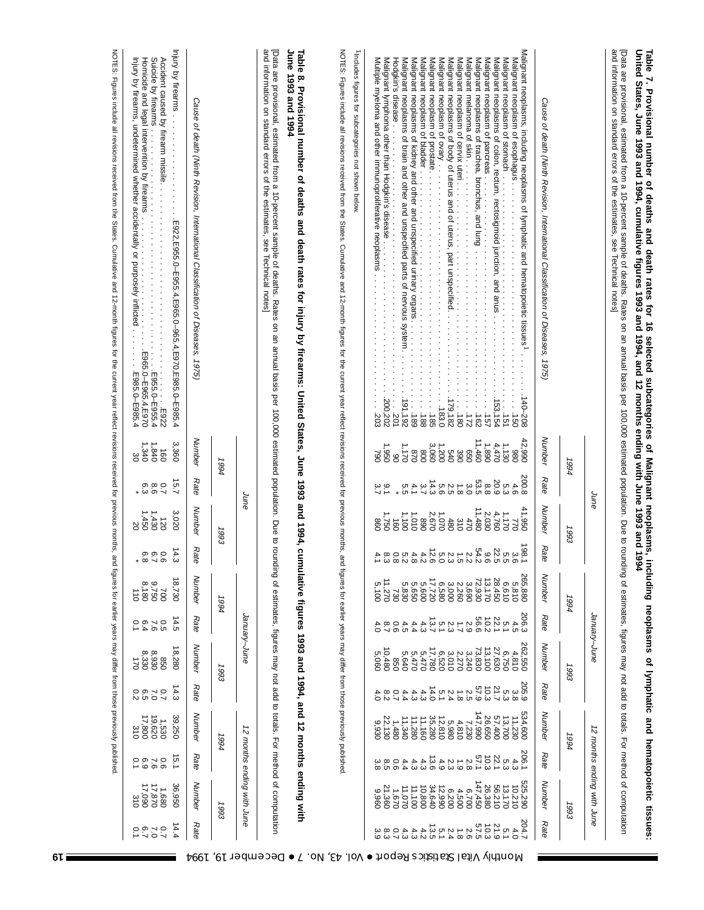| [Data are provisional, estimated from a 10-percent sample of deaths. Rates on an annual basis per 100,000 estimated population. Due to rounding of estimates, figures may not add to totals. For method of computation<br>and inf<br>NOTES: Figures include all revisions received from the States. Cumulative and 12-month figures for the current year reflect revisions received for previous months,<br>Malignant neoplasms, including neoplasms of lymphatic and hematopoietic tissues <sup>1</sup><br>and information on standard errors of the estimates, see<br>United States, June 1993 and 1994, cumulative figures 1993 and 1994,<br>NOTES: Figures include all revisions received from the States. Cumulative and 12-month figures for the<br>Table 8. Provisional number of deaths and death rates for injury by firearms: United States, June 1993 and 1994, cu<br>Data are provisional, estimated from a 10-percent sample of deaths. Rates on an annual basis per 100,000 estimated population. Due to rou<br><sup>1</sup> Includes figures for subcategories not shown below<br>Accident caused by firearm missile. .<br>Malignant neoplasms of brain and other and unspecified parts of nervous system<br>Malignant neoplasms of kidney and other and unspecified urinary organs.<br>Malignant neoplasm of bladder<br>Malignant neoplasm of prostate.<br>Malignant neoplasm of ovary<br>Malignant neoplasm of cervix uteri<br>Malignant neoplasms of colon, rectum, rectosigmoid junction, and anus<br>Malignant neoplasm of esophagus<br>Homicide and legal intervention by firearms.<br>Multiple myeloma and other immunoproliferative neoplasms<br>Malignant melanoma of skin<br>Malignant neoplasm of pancreas<br>Malignant neoplasm of stomach<br>Injury by firearms, undetermined whether accidentally or purposely inflicted<br>disease<br>Cause of death (Ninth Revision, International Classification of Diseases, 1975)<br>Cause of death (Ninth Revision, International Classification of Diseases,<br>$\frac{1}{2}$<br>エス・エス・エス・エス・エス・エス・エス・エス・エス・エス<br>エスティング・ファイン アイディング・ディング アイディング<br>.E922, E955.0-E955.4, E965.0-965.4, E970, E985.0-E985.4<br>.<br>$\vdots$<br>.<br>.<br>$\frac{1}{2}$<br>Technical notes]<br>$\cdot$<br>.<br>$\vdots$<br>$\vdots$<br>selected subcategories of Malignant neoplasms,<br>E965.0-E965.4,E970<br>1975<br>and 12 months ending with June 1993 and 1<br>current year reflect revisions received for previous months,<br>E985.0-E985.4<br>E955.0-E955.4<br>140-208<br>191,192<br>200,202<br>291<br>.153, 154<br>$-188$<br>.183.0<br>79,182<br>$rac{1}{180}$<br>$-185$<br>$\frac{1}{8}$<br>E922<br>$-162$<br>-.172<br>ogi <sup>-</sup><br>Lg <sub>1</sub><br>201<br>203<br>Number<br>Number<br>42,990<br>ب<br>$\frac{1}{3}$ , $\frac{340}{30}$<br>4,470<br>1,130<br>360<br>096'<br>06<br>$\overline{160}$<br>086<br>280<br>1994<br>1994<br>Rate<br>15.7<br>Rate<br>  0 0 0 0 − 0 0 0 <del>1</del> 0 4 0<br>  0 0 0 0 0 0 0 0 0 0 0 1 − 0<br>  0 0 0 0 0 0 0 0 0 0 − − 0<br>$\overset{0}{\Theta}$ $\overset{0}{\Theta}$<br>0.80<br>2.69<br>ە بە<br>တြ ထ<br>June<br>June<br>Number<br>Number<br>41,950<br>$\begin{array}{c} 2,030 \\ 11,480 \end{array}$<br>3,020<br>4,760<br>$\begin{array}{c} 4.4 \\ 34.4 \\ 89.8 \\ 80.8 \\ \end{array}$<br>$\begin{array}{c} 1,070 \\ 2,670 \end{array}$<br>1,170<br>1,100<br>$\frac{1}{208}$<br>1,750<br>480<br>470<br>860<br>$\overline{180}$<br>770<br>1993<br>1993<br>Rai<br>Ra<br>$\vec{4}$<br>စ္ပြဲ ပုဂ္<br>$\aleph$ a $\aleph$ a $\mapsto$ a $\stackrel{1}{\sim}$ a $\stackrel{1}{\sim}$ a $\stackrel{1}{\sim}$ a $\stackrel{1}{\sim}$ a $\stackrel{1}{\sim}$<br>$\circ \circ \circ$<br>and figures for earlier years may differ from those previously published.<br>and figures for earlier years may differ from those previously published<br>$\ast$ $\infty$<br>$-5$<br>مخ<br>9<br>ımulative figures 1993 and 1994, and 12 months ending with<br>œ,<br>inding of estimates, figures may not add to totals. For method of computation<br>566<br>− σσονασανοδασανοσαν<br>including neoplasms of lymphatic and hematopoietic tissues:<br><b>Number</b><br>Number<br>18,730<br>7 2 3 3 3 3 4 5 7 7<br>9 0 9 7 9 9 9 7 7<br>9 0 0 0 0 0 0 7 1<br>11,270<br>9,750<br>8,180<br>5,100<br>5,600<br>6,650<br>5,830<br>700<br>$\vec{a}$<br>730<br>1994<br>1994<br>$\frac{206.3}{4.5.1}$<br>January–June<br>Rate<br>January-June<br>Rate<br>14.5<br>22.1<br>$7.6$<br>2.6<br>6.4<br>4.3<br>$\begin{array}{c} 8.7 \\ 4.0 \end{array}$<br>0.6<br>4.5<br>4.4<br>262,550<br>4,810<br>6,750<br><b>Number</b><br><b>Number</b><br>3233334<br>22252525<br>4755881<br>73,830<br>13,100<br>27,630<br>$^{10,480}_{5,060}$<br>850<br>8930<br>8330<br>8,280<br>5,470<br>5,470<br>5,640<br>850<br>1993<br>1993<br>205.<br>205. ລັດ<br>2. ລັດ<br>Rate<br>Rate<br>14.3<br>10 12 13 19<br>10 10 10 10<br>10 10 10<br>21.7<br>$\frac{21}{4}$<br>$\frac{5}{4}$<br>$\frac{4}{4}$<br>7.007<br>8.50<br>$\overline{0.7}$<br>4.4<br>4.3<br>$\frac{83}{10}$<br>4.3<br>534,600<br>11,230<br><b>Number</b><br>147,990<br>Number<br>39,250<br>57,400<br>35,280<br>$4,810$<br>$1,8810$<br>$12,810$<br>26,650<br>13,700<br>22,130<br>$11,180$<br>$11,340$<br>$11,340$<br>9,930<br>1,480<br>7,230<br>12 months ending with June<br>12 months ending with June<br>1994<br>1994<br>$\frac{206}{4}$<br>$\frac{4}{3}$ $\frac{6}{3}$<br>$\frac{4}{3}$<br>Rate<br>Rate<br>$55.84 + 2.9$<br>$\frac{21}{3}$ 4 $\frac{4}{3}$ 6<br>22.1<br>$\overline{5}$<br>0.9<br>0.60<br>4 4 0 0 0<br>3 4 0 10 0<br>3 4 10 10 0<br>4.3<br>147,450<br><b>Number</b><br>Number<br>17,870<br>36,950<br>13,170<br>56,210<br>10,525<br>10,210<br>26,380<br>17,090<br>21,360<br>10,800<br>34,640<br>12,990<br>11,100<br>11,070<br>1,680<br>6,200<br>6,700<br>4,500<br>096'6<br>1,670<br>310<br>1993<br>1993<br>204.7<br>Rate<br>Rate<br>14.4<br>5 12 14 15<br>3 10 10 10 11<br>$4.62$<br>$0.43$<br>$\alpha$ io $\frac{1}{2}$ a $\frac{1}{3}$ a $\frac{1}{3}$<br>7.0<br>6.7<br>0 8 9 9<br>7 9 9<br>4.3<br>4.<br>ن | Injury by firearms<br>Suicide by firearms |  | June 1993 and 1994 | Hodgkin's | Table                                                  |
|-----------------------------------------------------------------------------------------------------------------------------------------------------------------------------------------------------------------------------------------------------------------------------------------------------------------------------------------------------------------------------------------------------------------------------------------------------------------------------------------------------------------------------------------------------------------------------------------------------------------------------------------------------------------------------------------------------------------------------------------------------------------------------------------------------------------------------------------------------------------------------------------------------------------------------------------------------------------------------------------------------------------------------------------------------------------------------------------------------------------------------------------------------------------------------------------------------------------------------------------------------------------------------------------------------------------------------------------------------------------------------------------------------------------------------------------------------------------------------------------------------------------------------------------------------------------------------------------------------------------------------------------------------------------------------------------------------------------------------------------------------------------------------------------------------------------------------------------------------------------------------------------------------------------------------------------------------------------------------------------------------------------------------------------------------------------------------------------------------------------------------------------------------------------------------------------------------------------------------------------------------------------------------------------------------------------------------------------------------------------------------------------------------------------------------------------------------------------------------------------------------------------------------------------------------------------------------------------------------------------------------------------------------------------------------------------------------------------------------------------------------------------------------------------------------------------------------------------------------------------------------------------------------------------------------------------------------------------------------------------------------------------------------------------------------------------------------------------------------------------------------------------------------------------------------------------------------------------------------------------------------------------------------------------------------------------------------------------------------------------------------------------------------------------------------------------------------------------------------------------------------------------------------------------------------------------------------------------------------------------------------------------------------------------------------------------------------------------------------------------------------------------------------------------------------------------------------------------------------------------------------------------------------------------------------------------------------------------------------------------------------------------------------------------------------------------------------------------------------------------------------------------------------------------------------------------------------------------------------------------------------------------------------------------------------------------------------------------------------------------------------------------------------------------------------------------------------------------------------------------------------------------------------------------------------------------------------------------------------------------------------------------------------------------------------------------------------------------------------------------------------------------------------------------------------------------------------------------------------------------------------------------------------------------------------------------------------------------------------------------------------------------------------------------------------------------------------------------------------------------------------------------------------------------------------------------------------------------------------------------------------------------------------------------------------------------------------------------------------------------------------------------------------------------------------------------------------------------------------------------------------------------------------------------------------------------------------------------------------------------------------------------------------------------------------------------------------------------------------------------------------------------------------------------------------------------------------------------------------------------------------------------------------------------------------------------------------------------------------------------------------------------------------------------------------|-------------------------------------------|--|--------------------|-----------|--------------------------------------------------------|
|                                                                                                                                                                                                                                                                                                                                                                                                                                                                                                                                                                                                                                                                                                                                                                                                                                                                                                                                                                                                                                                                                                                                                                                                                                                                                                                                                                                                                                                                                                                                                                                                                                                                                                                                                                                                                                                                                                                                                                                                                                                                                                                                                                                                                                                                                                                                                                                                                                                                                                                                                                                                                                                                                                                                                                                                                                                                                                                                                                                                                                                                                                                                                                                                                                                                                                                                                                                                                                                                                                                                                                                                                                                                                                                                                                                                                                                                                                                                                                                                                                                                                                                                                                                                                                                                                                                                                                                                                                                                                                                                                                                                                                                                                                                                                                                                                                                                                                                                                                                                                                                                                                                                                                                                                                                                                                                                                                                                                                                                                                                                                                                                                                                                                                                                                                                                                                                                                                                                                                                                                                                     |                                           |  |                    |           | 7. Provisional number of deaths and death rates for 16 |
|                                                                                                                                                                                                                                                                                                                                                                                                                                                                                                                                                                                                                                                                                                                                                                                                                                                                                                                                                                                                                                                                                                                                                                                                                                                                                                                                                                                                                                                                                                                                                                                                                                                                                                                                                                                                                                                                                                                                                                                                                                                                                                                                                                                                                                                                                                                                                                                                                                                                                                                                                                                                                                                                                                                                                                                                                                                                                                                                                                                                                                                                                                                                                                                                                                                                                                                                                                                                                                                                                                                                                                                                                                                                                                                                                                                                                                                                                                                                                                                                                                                                                                                                                                                                                                                                                                                                                                                                                                                                                                                                                                                                                                                                                                                                                                                                                                                                                                                                                                                                                                                                                                                                                                                                                                                                                                                                                                                                                                                                                                                                                                                                                                                                                                                                                                                                                                                                                                                                                                                                                                                     |                                           |  |                    |           |                                                        |
|                                                                                                                                                                                                                                                                                                                                                                                                                                                                                                                                                                                                                                                                                                                                                                                                                                                                                                                                                                                                                                                                                                                                                                                                                                                                                                                                                                                                                                                                                                                                                                                                                                                                                                                                                                                                                                                                                                                                                                                                                                                                                                                                                                                                                                                                                                                                                                                                                                                                                                                                                                                                                                                                                                                                                                                                                                                                                                                                                                                                                                                                                                                                                                                                                                                                                                                                                                                                                                                                                                                                                                                                                                                                                                                                                                                                                                                                                                                                                                                                                                                                                                                                                                                                                                                                                                                                                                                                                                                                                                                                                                                                                                                                                                                                                                                                                                                                                                                                                                                                                                                                                                                                                                                                                                                                                                                                                                                                                                                                                                                                                                                                                                                                                                                                                                                                                                                                                                                                                                                                                                                     |                                           |  |                    |           |                                                        |
|                                                                                                                                                                                                                                                                                                                                                                                                                                                                                                                                                                                                                                                                                                                                                                                                                                                                                                                                                                                                                                                                                                                                                                                                                                                                                                                                                                                                                                                                                                                                                                                                                                                                                                                                                                                                                                                                                                                                                                                                                                                                                                                                                                                                                                                                                                                                                                                                                                                                                                                                                                                                                                                                                                                                                                                                                                                                                                                                                                                                                                                                                                                                                                                                                                                                                                                                                                                                                                                                                                                                                                                                                                                                                                                                                                                                                                                                                                                                                                                                                                                                                                                                                                                                                                                                                                                                                                                                                                                                                                                                                                                                                                                                                                                                                                                                                                                                                                                                                                                                                                                                                                                                                                                                                                                                                                                                                                                                                                                                                                                                                                                                                                                                                                                                                                                                                                                                                                                                                                                                                                                     |                                           |  |                    |           |                                                        |
|                                                                                                                                                                                                                                                                                                                                                                                                                                                                                                                                                                                                                                                                                                                                                                                                                                                                                                                                                                                                                                                                                                                                                                                                                                                                                                                                                                                                                                                                                                                                                                                                                                                                                                                                                                                                                                                                                                                                                                                                                                                                                                                                                                                                                                                                                                                                                                                                                                                                                                                                                                                                                                                                                                                                                                                                                                                                                                                                                                                                                                                                                                                                                                                                                                                                                                                                                                                                                                                                                                                                                                                                                                                                                                                                                                                                                                                                                                                                                                                                                                                                                                                                                                                                                                                                                                                                                                                                                                                                                                                                                                                                                                                                                                                                                                                                                                                                                                                                                                                                                                                                                                                                                                                                                                                                                                                                                                                                                                                                                                                                                                                                                                                                                                                                                                                                                                                                                                                                                                                                                                                     |                                           |  |                    |           |                                                        |
|                                                                                                                                                                                                                                                                                                                                                                                                                                                                                                                                                                                                                                                                                                                                                                                                                                                                                                                                                                                                                                                                                                                                                                                                                                                                                                                                                                                                                                                                                                                                                                                                                                                                                                                                                                                                                                                                                                                                                                                                                                                                                                                                                                                                                                                                                                                                                                                                                                                                                                                                                                                                                                                                                                                                                                                                                                                                                                                                                                                                                                                                                                                                                                                                                                                                                                                                                                                                                                                                                                                                                                                                                                                                                                                                                                                                                                                                                                                                                                                                                                                                                                                                                                                                                                                                                                                                                                                                                                                                                                                                                                                                                                                                                                                                                                                                                                                                                                                                                                                                                                                                                                                                                                                                                                                                                                                                                                                                                                                                                                                                                                                                                                                                                                                                                                                                                                                                                                                                                                                                                                                     |                                           |  |                    |           |                                                        |
|                                                                                                                                                                                                                                                                                                                                                                                                                                                                                                                                                                                                                                                                                                                                                                                                                                                                                                                                                                                                                                                                                                                                                                                                                                                                                                                                                                                                                                                                                                                                                                                                                                                                                                                                                                                                                                                                                                                                                                                                                                                                                                                                                                                                                                                                                                                                                                                                                                                                                                                                                                                                                                                                                                                                                                                                                                                                                                                                                                                                                                                                                                                                                                                                                                                                                                                                                                                                                                                                                                                                                                                                                                                                                                                                                                                                                                                                                                                                                                                                                                                                                                                                                                                                                                                                                                                                                                                                                                                                                                                                                                                                                                                                                                                                                                                                                                                                                                                                                                                                                                                                                                                                                                                                                                                                                                                                                                                                                                                                                                                                                                                                                                                                                                                                                                                                                                                                                                                                                                                                                                                     |                                           |  |                    |           |                                                        |
|                                                                                                                                                                                                                                                                                                                                                                                                                                                                                                                                                                                                                                                                                                                                                                                                                                                                                                                                                                                                                                                                                                                                                                                                                                                                                                                                                                                                                                                                                                                                                                                                                                                                                                                                                                                                                                                                                                                                                                                                                                                                                                                                                                                                                                                                                                                                                                                                                                                                                                                                                                                                                                                                                                                                                                                                                                                                                                                                                                                                                                                                                                                                                                                                                                                                                                                                                                                                                                                                                                                                                                                                                                                                                                                                                                                                                                                                                                                                                                                                                                                                                                                                                                                                                                                                                                                                                                                                                                                                                                                                                                                                                                                                                                                                                                                                                                                                                                                                                                                                                                                                                                                                                                                                                                                                                                                                                                                                                                                                                                                                                                                                                                                                                                                                                                                                                                                                                                                                                                                                                                                     |                                           |  |                    |           |                                                        |
|                                                                                                                                                                                                                                                                                                                                                                                                                                                                                                                                                                                                                                                                                                                                                                                                                                                                                                                                                                                                                                                                                                                                                                                                                                                                                                                                                                                                                                                                                                                                                                                                                                                                                                                                                                                                                                                                                                                                                                                                                                                                                                                                                                                                                                                                                                                                                                                                                                                                                                                                                                                                                                                                                                                                                                                                                                                                                                                                                                                                                                                                                                                                                                                                                                                                                                                                                                                                                                                                                                                                                                                                                                                                                                                                                                                                                                                                                                                                                                                                                                                                                                                                                                                                                                                                                                                                                                                                                                                                                                                                                                                                                                                                                                                                                                                                                                                                                                                                                                                                                                                                                                                                                                                                                                                                                                                                                                                                                                                                                                                                                                                                                                                                                                                                                                                                                                                                                                                                                                                                                                                     |                                           |  |                    |           |                                                        |
|                                                                                                                                                                                                                                                                                                                                                                                                                                                                                                                                                                                                                                                                                                                                                                                                                                                                                                                                                                                                                                                                                                                                                                                                                                                                                                                                                                                                                                                                                                                                                                                                                                                                                                                                                                                                                                                                                                                                                                                                                                                                                                                                                                                                                                                                                                                                                                                                                                                                                                                                                                                                                                                                                                                                                                                                                                                                                                                                                                                                                                                                                                                                                                                                                                                                                                                                                                                                                                                                                                                                                                                                                                                                                                                                                                                                                                                                                                                                                                                                                                                                                                                                                                                                                                                                                                                                                                                                                                                                                                                                                                                                                                                                                                                                                                                                                                                                                                                                                                                                                                                                                                                                                                                                                                                                                                                                                                                                                                                                                                                                                                                                                                                                                                                                                                                                                                                                                                                                                                                                                                                     |                                           |  |                    |           |                                                        |
|                                                                                                                                                                                                                                                                                                                                                                                                                                                                                                                                                                                                                                                                                                                                                                                                                                                                                                                                                                                                                                                                                                                                                                                                                                                                                                                                                                                                                                                                                                                                                                                                                                                                                                                                                                                                                                                                                                                                                                                                                                                                                                                                                                                                                                                                                                                                                                                                                                                                                                                                                                                                                                                                                                                                                                                                                                                                                                                                                                                                                                                                                                                                                                                                                                                                                                                                                                                                                                                                                                                                                                                                                                                                                                                                                                                                                                                                                                                                                                                                                                                                                                                                                                                                                                                                                                                                                                                                                                                                                                                                                                                                                                                                                                                                                                                                                                                                                                                                                                                                                                                                                                                                                                                                                                                                                                                                                                                                                                                                                                                                                                                                                                                                                                                                                                                                                                                                                                                                                                                                                                                     |                                           |  |                    |           |                                                        |
|                                                                                                                                                                                                                                                                                                                                                                                                                                                                                                                                                                                                                                                                                                                                                                                                                                                                                                                                                                                                                                                                                                                                                                                                                                                                                                                                                                                                                                                                                                                                                                                                                                                                                                                                                                                                                                                                                                                                                                                                                                                                                                                                                                                                                                                                                                                                                                                                                                                                                                                                                                                                                                                                                                                                                                                                                                                                                                                                                                                                                                                                                                                                                                                                                                                                                                                                                                                                                                                                                                                                                                                                                                                                                                                                                                                                                                                                                                                                                                                                                                                                                                                                                                                                                                                                                                                                                                                                                                                                                                                                                                                                                                                                                                                                                                                                                                                                                                                                                                                                                                                                                                                                                                                                                                                                                                                                                                                                                                                                                                                                                                                                                                                                                                                                                                                                                                                                                                                                                                                                                                                     |                                           |  |                    |           |                                                        |
|                                                                                                                                                                                                                                                                                                                                                                                                                                                                                                                                                                                                                                                                                                                                                                                                                                                                                                                                                                                                                                                                                                                                                                                                                                                                                                                                                                                                                                                                                                                                                                                                                                                                                                                                                                                                                                                                                                                                                                                                                                                                                                                                                                                                                                                                                                                                                                                                                                                                                                                                                                                                                                                                                                                                                                                                                                                                                                                                                                                                                                                                                                                                                                                                                                                                                                                                                                                                                                                                                                                                                                                                                                                                                                                                                                                                                                                                                                                                                                                                                                                                                                                                                                                                                                                                                                                                                                                                                                                                                                                                                                                                                                                                                                                                                                                                                                                                                                                                                                                                                                                                                                                                                                                                                                                                                                                                                                                                                                                                                                                                                                                                                                                                                                                                                                                                                                                                                                                                                                                                                                                     |                                           |  |                    |           |                                                        |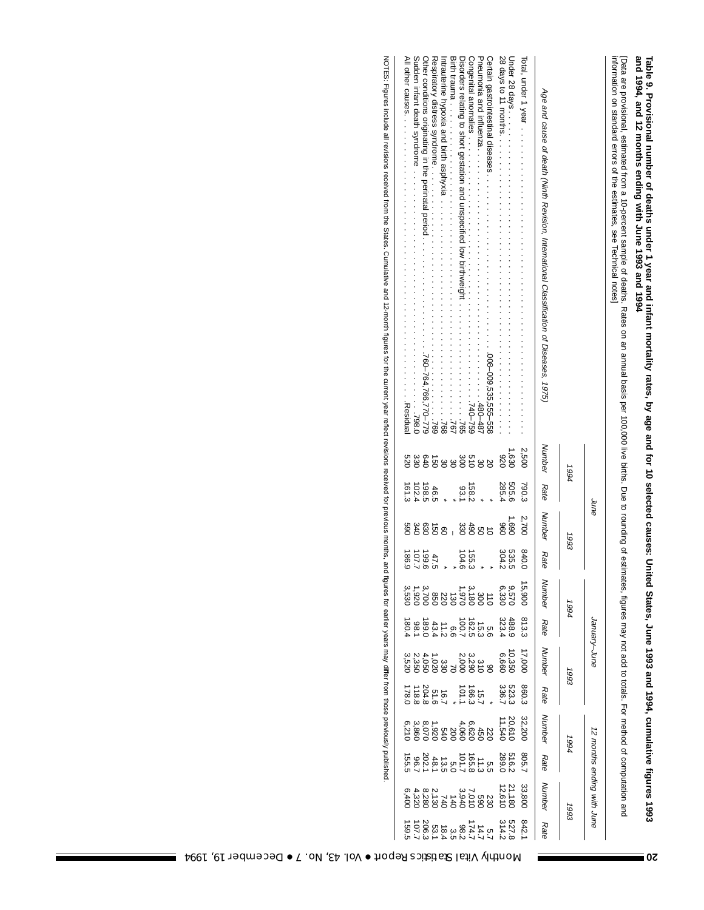| Table 9. Provisional number of deaths under 1 year and infant mortality rates, by age and for 10 selected causes: Unit<br>and 1994, and 12 months ending with June 1993 and 1994 |
|----------------------------------------------------------------------------------------------------------------------------------------------------------------------------------|
|                                                                                                                                                                                  |
|                                                                                                                                                                                  |
|                                                                                                                                                                                  |
|                                                                                                                                                                                  |
|                                                                                                                                                                                  |
|                                                                                                                                                                                  |
|                                                                                                                                                                                  |

information on standard errors of the estimates, see Technical notes] [Data are provisional,estimated from a 10-percent sample of deaths. Rates on an annual basis per 100,000 live births. Due to rounding of estimates, figures may not add $\overline{5}$  totals. For method of computationand

|                                                                                                                                                                                                                                |              | June           |                |                 |                                                                                    | anuary–June |                                                                        |                                                                                   |        |      | 12 months ending with June |      |
|--------------------------------------------------------------------------------------------------------------------------------------------------------------------------------------------------------------------------------|--------------|----------------|----------------|-----------------|------------------------------------------------------------------------------------|-------------|------------------------------------------------------------------------|-----------------------------------------------------------------------------------|--------|------|----------------------------|------|
|                                                                                                                                                                                                                                | 1994         |                | 1993           |                 | 1994                                                                               |             | 1993                                                                   |                                                                                   | 1994   |      | 1993                       |      |
| Age and cause of death (Ninth Revision, International Classification of Diseases, 1975)                                                                                                                                        |              | Number Rate    | Number<br>Rate |                 | Number                                                                             | Rate        | Number                                                                 | Rate                                                                              | Number | Rate | Number                     | Rate |
| Total, under 1 year                                                                                                                                                                                                            | 2,500        | 790.3          | 2,700          | 0.048           | 15,900                                                                             |             | 17,000                                                                 | 860.3                                                                             | 32,200 |      | 33,800                     |      |
|                                                                                                                                                                                                                                | 1,630<br>026 | 505.6<br>285.4 | 1,690<br>096   | 536.<br>304.    | 966 - 378<br>1979 - 3797 - 387 - 398<br>1979 - 388 - 398 - 398<br>1980 - 398 - 398 |             | 10.6<br>19.60 - 19.00.90.90.90<br>19.60 - 19.00.90<br>19.60 - 19.00.00 | 83<br>2360 10:00 10:00 10:00<br>2360 10:00 10:00 10:00<br>11:00 10:00 10:00 10:00 |        |      | 21,180<br>12,610           |      |
|                                                                                                                                                                                                                                | <b>S</b>     |                |                |                 |                                                                                    |             |                                                                        |                                                                                   |        |      |                            |      |
|                                                                                                                                                                                                                                |              |                | 50             |                 |                                                                                    |             |                                                                        |                                                                                   |        |      |                            |      |
| Congenital anomalies                                                                                                                                                                                                           |              | 158.2          | 06#            |                 |                                                                                    |             |                                                                        |                                                                                   |        |      |                            |      |
| Disorders relation of the contraction and university from the contraction of the contract of the contract of the contraction and university from the contract of the contract of $\sim$ 1.                                     | 8588838      | 93.1           | 330            | 155.<br>104     |                                                                                    |             |                                                                        |                                                                                   |        |      |                            |      |
|                                                                                                                                                                                                                                |              |                |                |                 |                                                                                    |             |                                                                        |                                                                                   |        |      |                            |      |
|                                                                                                                                                                                                                                |              |                | 8              |                 |                                                                                    |             |                                                                        |                                                                                   |        |      |                            |      |
|                                                                                                                                                                                                                                |              | 46.5           | ġ              |                 |                                                                                    |             |                                                                        |                                                                                   |        |      |                            |      |
| Other conditions originating in the better in the secondary of the sequence of the $169-769$ $169-769$                                                                                                                         |              | 198.5          | 630            |                 |                                                                                    |             |                                                                        |                                                                                   |        |      |                            |      |
|                                                                                                                                                                                                                                | 330          | 102.4<br>161.3 | 340            | 587             |                                                                                    |             |                                                                        |                                                                                   |        |      |                            |      |
|                                                                                                                                                                                                                                | 0ZS          |                | 069            | $\overline{98}$ |                                                                                    |             |                                                                        |                                                                                   |        |      |                            |      |
| NOTED: Frames receives a provimed and the states of the data, being a controlution of the data of the desiscres regal or the casing required for the castles of the data and the and the states of the desiscal correct data o |              |                |                |                 |                                                                                    |             |                                                                        |                                                                                   |        |      |                            |      |

 $\overline{\text{SO}}$   $\overline{\text{O}}$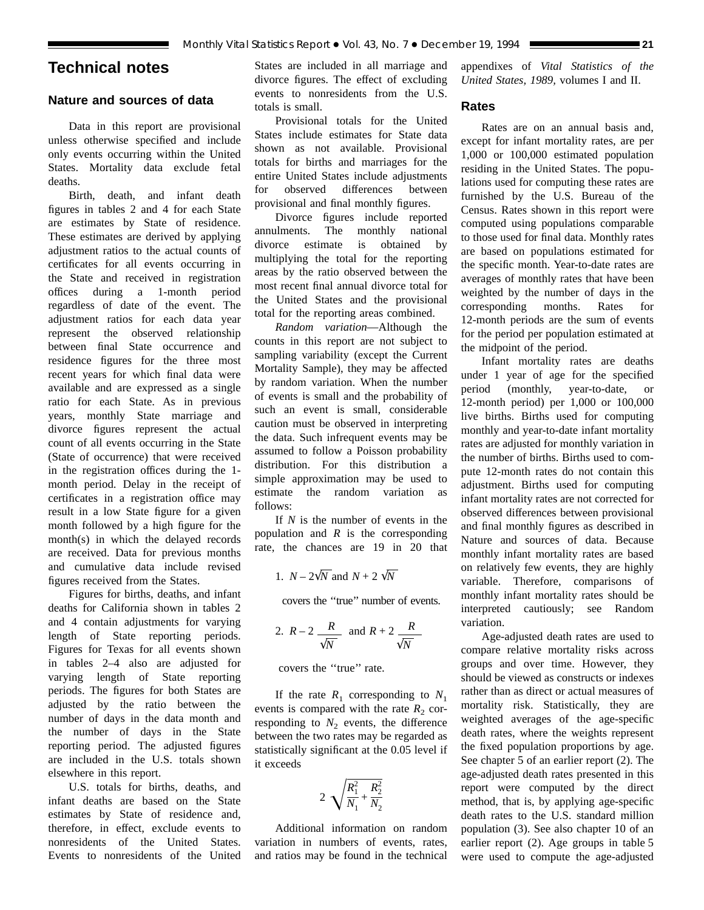# **Technical notes**

# **Nature and sources of data**

Data in this report are provisional unless otherwise specified and include only events occurring within the United States. Mortality data exclude fetal deaths.

Birth, death, and infant death figures in tables 2 and 4 for each State are estimates by State of residence. These estimates are derived by applying adjustment ratios to the actual counts of certificates for all events occurring in the State and received in registration offices during a 1-month period regardless of date of the event. The adjustment ratios for each data year represent the observed relationship between final State occurrence and residence figures for the three most recent years for which final data were available and are expressed as a single ratio for each State. As in previous years, monthly State marriage and divorce figures represent the actual count of all events occurring in the State (State of occurrence) that were received in the registration offices during the 1 month period. Delay in the receipt of certificates in a registration office may result in a low State figure for a given month followed by a high figure for the month(s) in which the delayed records are received. Data for previous months and cumulative data include revised figures received from the States.

Figures for births, deaths, and infant deaths for California shown in tables 2 and 4 contain adjustments for varying length of State reporting periods. Figures for Texas for all events shown in tables 2–4 also are adjusted for varying length of State reporting periods. The figures for both States are adjusted by the ratio between the number of days in the data month and the number of days in the State reporting period. The adjusted figures are included in the U.S. totals shown elsewhere in this report.

U.S. totals for births, deaths, and infant deaths are based on the State estimates by State of residence and, therefore, in effect, exclude events to nonresidents of the United States. Events to nonresidents of the United States are included in all marriage and divorce figures. The effect of excluding events to nonresidents from the U.S. totals is small.

Provisional totals for the United States include estimates for State data shown as not available. Provisional totals for births and marriages for the entire United States include adjustments for observed differences between provisional and final monthly figures.

Divorce figures include reported annulments. The monthly national divorce estimate is obtained by multiplying the total for the reporting areas by the ratio observed between the most recent final annual divorce total for the United States and the provisional total for the reporting areas combined.

*Random variation*—Although the counts in this report are not subject to sampling variability (except the Current Mortality Sample), they may be affected by random variation. When the number of events is small and the probability of such an event is small, considerable caution must be observed in interpreting the data. Such infrequent events may be assumed to follow a Poisson probability distribution. For this distribution a simple approximation may be used to estimate the random variation as follows:

If *N* is the number of events in the population and *R* is the corresponding rate, the chances are 19 in 20 that

1. 
$$
N - 2\sqrt{N}
$$
 and  $N + 2\sqrt{N}$ 

covers the ''true'' number of events.

2. 
$$
R-2
$$
  $\frac{R}{\sqrt{N}}$  and  $R+2$   $\frac{R}{\sqrt{N}}$ 

covers the ''true'' rate.

If the rate  $R_1$  corresponding to  $N_1$ events is compared with the rate  $R_2$  corresponding to  $N_2$  events, the difference between the two rates may be regarded as statistically significant at the 0.05 level if it exceeds

$$
2\sqrt{\frac{R_1^2}{N_1} + \frac{R_2^2}{N_2}}
$$

Additional information on random variation in numbers of events, rates, and ratios may be found in the technical appendixes of *Vital Statistics of the United States, 1989,* volumes I and II.

#### **Rates**

Rates are on an annual basis and, except for infant mortality rates, are per 1,000 or 100,000 estimated population residing in the United States. The populations used for computing these rates are furnished by the U.S. Bureau of the Census. Rates shown in this report were computed using populations comparable to those used for final data. Monthly rates are based on populations estimated for the specific month. Year-to-date rates are averages of monthly rates that have been weighted by the number of days in the corresponding months. Rates for 12-month periods are the sum of events for the period per population estimated at the midpoint of the period.

Infant mortality rates are deaths under 1 year of age for the specified period (monthly, year-to-date, or 12-month period) per 1,000 or 100,000 live births. Births used for computing monthly and year-to-date infant mortality rates are adjusted for monthly variation in the number of births. Births used to compute 12-month rates do not contain this adjustment. Births used for computing infant mortality rates are not corrected for observed differences between provisional and final monthly figures as described in Nature and sources of data. Because monthly infant mortality rates are based on relatively few events, they are highly variable. Therefore, comparisons of monthly infant mortality rates should be interpreted cautiously; see Random variation.

Age-adjusted death rates are used to compare relative mortality risks across groups and over time. However, they should be viewed as constructs or indexes rather than as direct or actual measures of mortality risk. Statistically, they are weighted averages of the age-specific death rates, where the weights represent the fixed population proportions by age. See chapter 5 of an earlier report (2). The age-adjusted death rates presented in this report were computed by the direct method, that is, by applying age-specific death rates to the U.S. standard million population (3). See also chapter 10 of an earlier report (2). Age groups in table 5 were used to compute the age-adjusted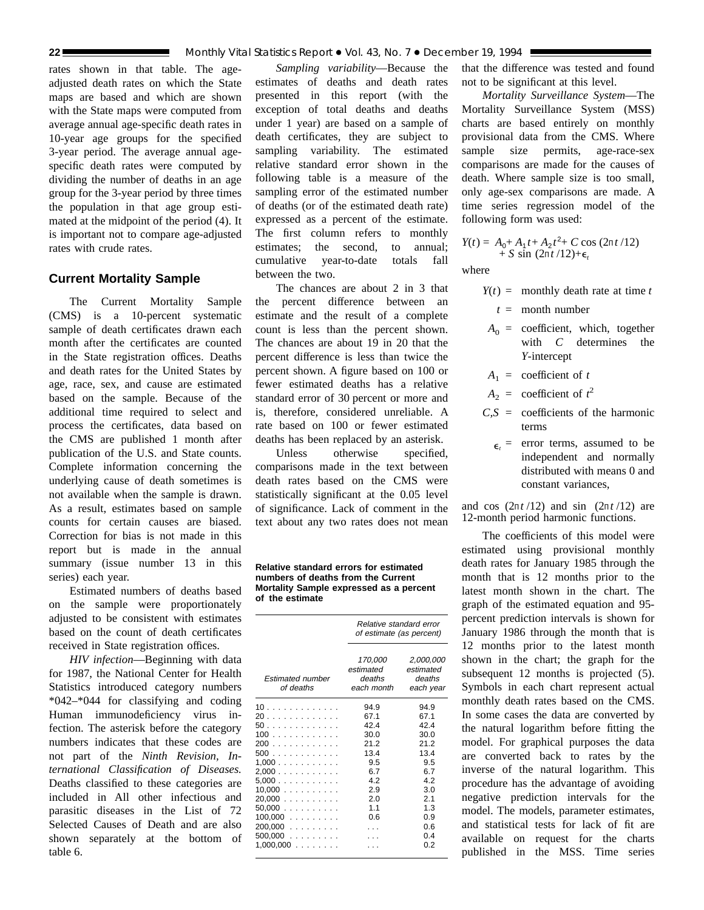rates shown in that table. The ageadjusted death rates on which the State maps are based and which are shown with the State maps were computed from average annual age-specific death rates in 10-year age groups for the specified 3-year period. The average annual agespecific death rates were computed by dividing the number of deaths in an age group for the 3-year period by three times the population in that age group estimated at the midpoint of the period (4). It is important not to compare age-adjusted rates with crude rates.

## **Current Mortality Sample**

The Current Mortality Sample (CMS) is a 10-percent systematic sample of death certificates drawn each month after the certificates are counted in the State registration offices. Deaths and death rates for the United States by age, race, sex, and cause are estimated based on the sample. Because of the additional time required to select and process the certificates, data based on the CMS are published 1 month after publication of the U.S. and State counts. Complete information concerning the underlying cause of death sometimes is not available when the sample is drawn. As a result, estimates based on sample counts for certain causes are biased. Correction for bias is not made in this report but is made in the annual summary (issue number 13 in this series) each year.

Estimated numbers of deaths based on the sample were proportionately adjusted to be consistent with estimates based on the count of death certificates received in State registration offices.

*HIV infection*—Beginning with data for 1987, the National Center for Health Statistics introduced category numbers \*042–\*044 for classifying and coding Human immunodeficiency virus infection. The asterisk before the category numbers indicates that these codes are not part of the *Ninth Revision, International Classification of Diseases.* Deaths classified to these categories are included in All other infectious and parasitic diseases in the List of 72 Selected Causes of Death and are also shown separately at the bottom of table 6.

*Sampling variability*—Because the estimates of deaths and death rates presented in this report (with the exception of total deaths and deaths under 1 year) are based on a sample of death certificates, they are subject to sampling variability. The estimated relative standard error shown in the following table is a measure of the sampling error of the estimated number of deaths (or of the estimated death rate) expressed as a percent of the estimate. The first column refers to monthly estimates; the second, to annual; cumulative year-to-date totals fall between the two.

The chances are about 2 in 3 that the percent difference between an estimate and the result of a complete count is less than the percent shown. The chances are about 19 in 20 that the percent difference is less than twice the percent shown. A figure based on 100 or fewer estimated deaths has a relative standard error of 30 percent or more and is, therefore, considered unreliable. A rate based on 100 or fewer estimated deaths has been replaced by an asterisk.

Unless otherwise specified. comparisons made in the text between death rates based on the CMS were statistically significant at the 0.05 level of significance. Lack of comment in the text about any two rates does not mean

**Relative standard errors for estimated numbers of deaths from the Current Mortality Sample expressed as a percent of the estimate**

|                               | Relative standard error<br>of estimate (as percent) |                                               |
|-------------------------------|-----------------------------------------------------|-----------------------------------------------|
| Estimated number<br>of deaths | 170,000<br>estimated<br>deaths<br>each month        | 2,000,000<br>estimated<br>deaths<br>each year |
| 10                            | 94.9                                                | 94.9                                          |
| 20                            | 67.1                                                | 67.1                                          |
| 50                            | 42.4                                                | 42.4                                          |
| 100                           | 30.0                                                | 30.0                                          |
| 200                           | 21.2                                                | 21.2                                          |
| 500                           | 13.4                                                | 13.4                                          |
| 1,000                         | 9.5                                                 | 9.5                                           |
| 2,000                         | 6.7                                                 | 6.7                                           |
| $5,000$                       | 4.2                                                 | 42                                            |
| 10,000                        | 2.9                                                 | 3.0                                           |
| 20,000                        | 2.0                                                 | 2.1                                           |
| 50.000                        | 1.1                                                 | 1.3                                           |
| $100,000$                     | 0.6                                                 | 0.9                                           |
| 200.000                       |                                                     | 0.6                                           |
| $500,000$                     |                                                     | 0.4                                           |
| $1,000,000$                   |                                                     | 0.2                                           |

that the difference was tested and found not to be significant at this level.

*Mortality Surveillance System*—The Mortality Surveillance System (MSS) charts are based entirely on monthly provisional data from the CMS. Where sample size permits, age-race-sex comparisons are made for the causes of death. Where sample size is too small, only age-sex comparisons are made. A time series regression model of the following form was used:

$$
Y(t) = A_0 + A_1 t + A_2 t^2 + C \cos (2\pi t / 12) + S \sin (2\pi t / 12) + \epsilon_t
$$

where

- $Y(t) =$  monthly death rate at time *t* 
	- *t* = month number
- $A_0$  = coefficient, which, together with *C* determines the *Y*-intercept
- $A_1$  = coefficient of *t*
- $A_2$  = coefficient of  $t^2$
- $C.S =$  coefficients of the harmonic terms
	- $\epsilon$  = error terms, assumed to be independent and normally distributed with means 0 and constant variances,

and cos  $(2\pi t/12)$  and sin  $(2\pi t/12)$  are 12-month period harmonic functions.

The coefficients of this model were estimated using provisional monthly death rates for January 1985 through the month that is 12 months prior to the latest month shown in the chart. The graph of the estimated equation and 95 percent prediction intervals is shown for January 1986 through the month that is 12 months prior to the latest month shown in the chart; the graph for the subsequent 12 months is projected  $(5)$ . Symbols in each chart represent actual monthly death rates based on the CMS. In some cases the data are converted by the natural logarithm before fitting the model. For graphical purposes the data are converted back to rates by the inverse of the natural logarithm. This procedure has the advantage of avoiding negative prediction intervals for the model. The models, parameter estimates, and statistical tests for lack of fit are available on request for the charts published in the MSS. Time series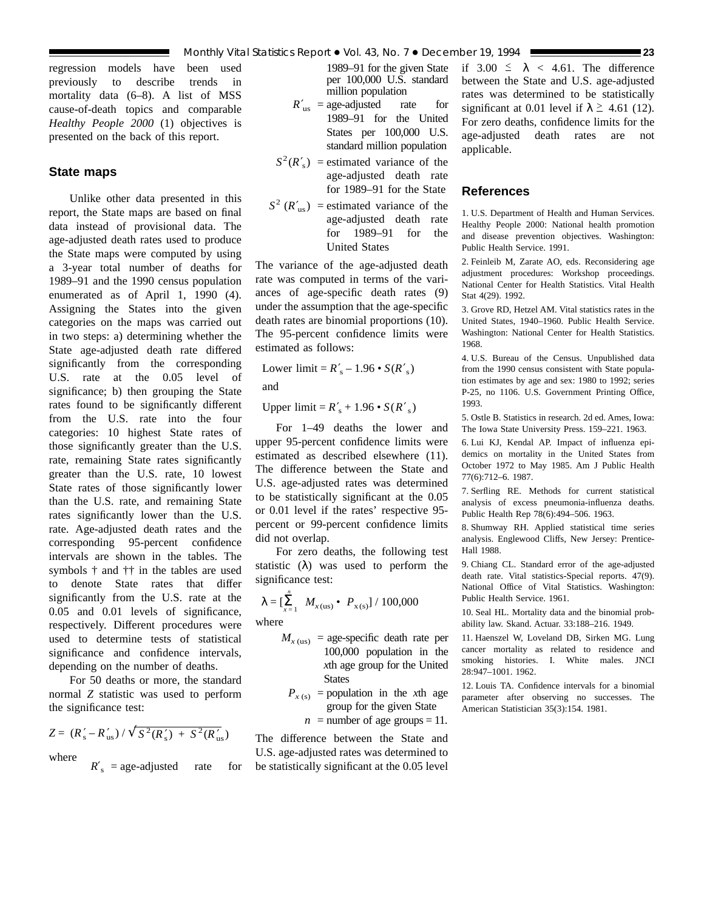regression models have been used previously to describe trends in mortality data (6–8). A list of MSS cause-of-death topics and comparable *Healthy People 2000* (1) objectives is presented on the back of this report.

#### **State maps**

Unlike other data presented in this report, the State maps are based on final data instead of provisional data. The age-adjusted death rates used to produce the State maps were computed by using a 3-year total number of deaths for 1989–91 and the 1990 census population enumerated as of April 1, 1990 (4). Assigning the States into the given categories on the maps was carried out in two steps: a) determining whether the State age-adjusted death rate differed significantly from the corresponding U.S. rate at the 0.05 level of significance; b) then grouping the State rates found to be significantly different from the U.S. rate into the four categories: 10 highest State rates of those significantly greater than the U.S. rate, remaining State rates significantly greater than the U.S. rate, 10 lowest State rates of those significantly lower than the U.S. rate, and remaining State rates significantly lower than the U.S. rate. Age-adjusted death rates and the corresponding 95-percent confidence intervals are shown in the tables. The symbols † and †† in the tables are used to denote State rates that differ significantly from the U.S. rate at the 0.05 and 0.01 levels of significance, respectively. Different procedures were used to determine tests of statistical significance and confidence intervals, depending on the number of deaths.

For 50 deaths or more, the standard normal *Z* statistic was used to perform the significance test:

$$
Z = (R'_{\rm s} - R'_{\rm us}) / \sqrt{S^2 (R'_{\rm s}) + S^2 (R'_{\rm us})}
$$

where

 $R'$ <sub>s</sub> = age-adjusted rate for

1989–91 for the given State per 100,000 U.S. standard million population

- $R'_{\text{us}} = \text{age-adjusted}$  rate for 1989–91 for the United States per 100,000 U.S. standard million population
- $S^2(R'_s)$  = estimated variance of the age-adjusted death rate for 1989–91 for the State
- $S^2$  ( $R'_{\text{us}}$ ) = estimated variance of the age-adjusted death rate for 1989–91 for the United States

The variance of the age-adjusted death rate was computed in terms of the variances of age-specific death rates (9) under the assumption that the age-specific death rates are binomial proportions (10). The 95-percent confidence limits were estimated as follows:

Lower limit =  $R'_s - 1.96 \cdot S(R'_s)$ 

and

Upper  $\text{limit} = R'_{\text{s}} + 1.96 \cdot S(R'_{\text{s}})$ 

For 1–49 deaths the lower and upper 95-percent confidence limits were estimated as described elsewhere (11). The difference between the State and U.S. age-adjusted rates was determined to be statistically significant at the 0.05 or 0.01 level if the rates' respective 95 percent or 99-percent confidence limits did not overlap.

For zero deaths, the following test statistic  $(\lambda)$  was used to perform the significance test:

$$
\lambda = \left[\sum_{x=1}^{n} M_{x(\text{us})} \bullet P_{x(\text{s})}\right] / 100,000
$$

where

- $M_{x \text{(us)}}$  = age-specific death rate per 100,000 population in the *x*th age group for the United **States** 
	- $P_{x(s)}$  = population in the *x*th age group for the given State

 $n =$  number of age groups = 11.

The difference between the State and U.S. age-adjusted rates was determined to be statistically significant at the 0.05 level if  $3.00 \le \lambda < 4.61$ . The difference between the State and U.S. age-adjusted rates was determined to be statistically significant at 0.01 level if  $\lambda \geq 4.61$  (12). For zero deaths, confidence limits for the age-adjusted death rates are not applicable.

#### **References**

1. U.S. Department of Health and Human Services. Healthy People 2000: National health promotion and disease prevention objectives. Washington: Public Health Service. 1991.

2. Feinleib M, Zarate AO, eds. Reconsidering age adjustment procedures: Workshop proceedings. National Center for Health Statistics. Vital Health Stat 4(29). 1992.

3. Grove RD, Hetzel AM. Vital statistics rates in the United States, 1940–1960. Public Health Service. Washington: National Center for Health Statistics. 1968.

4. U.S. Bureau of the Census. Unpublished data from the 1990 census consistent with State population estimates by age and sex: 1980 to 1992; series P-25, no 1106. U.S. Government Printing Office, 1993.

5. Ostle B. Statistics in research. 2d ed. Ames, Iowa: The Iowa State University Press. 159–221. 1963.

6. Lui KJ, Kendal AP. Impact of influenza epidemics on mortality in the United States from October 1972 to May 1985. Am J Public Health 77(6):712–6. 1987.

7. Serfling RE. Methods for current statistical analysis of excess pneumonia-influenza deaths. Public Health Rep 78(6):494–506. 1963.

8. Shumway RH. Applied statistical time series analysis. Englewood Cliffs, New Jersey: Prentice-Hall 1988.

9. Chiang CL. Standard error of the age-adjusted death rate. Vital statistics-Special reports. 47(9). National Office of Vital Statistics. Washington: Public Health Service. 1961.

10. Seal HL. Mortality data and the binomial probability law. Skand. Actuar. 33:188–216. 1949.

11. Haenszel W, Loveland DB, Sirken MG. Lung cancer mortality as related to residence and smoking histories. I. White males. JNCI 28:947–1001. 1962.

12. Louis TA. Confidence intervals for a binomial parameter after observing no successes. The American Statistician 35(3):154. 1981.